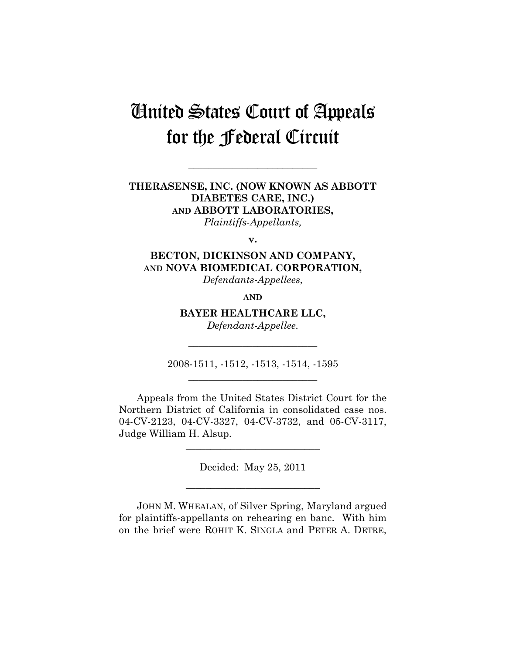# United States Court of Appeals for the Federal Circuit

**\_\_\_\_\_\_\_\_\_\_\_\_\_\_\_\_\_\_\_\_\_\_\_\_\_\_** 

# **THERASENSE, INC. (NOW KNOWN AS ABBOTT DIABETES CARE, INC.) AND ABBOTT LABORATORIES,**  *Plaintiffs-Appellants,*

**v.** 

**BECTON, DICKINSON AND COMPANY, AND NOVA BIOMEDICAL CORPORATION,**  *Defendants-Appellees,* 

**AND**

**BAYER HEALTHCARE LLC,** 

*Defendant-Appellee.*  **\_\_\_\_\_\_\_\_\_\_\_\_\_\_\_\_\_\_\_\_\_\_\_\_\_\_** 

2008-1511, -1512, -1513, -1514, -1595 **\_\_\_\_\_\_\_\_\_\_\_\_\_\_\_\_\_\_\_\_\_\_\_\_\_\_** 

Appeals from the United States District Court for the Northern District of California in consolidated case nos. 04-CV-2123, 04-CV-3327, 04-CV-3732, and 05-CV-3117, Judge William H. Alsup.

Decided: May 25, 2011

**\_\_\_\_\_\_\_\_\_\_\_\_\_\_\_\_\_\_\_\_\_\_\_\_\_\_\_** 

**\_\_\_\_\_\_\_\_\_\_\_\_\_\_\_\_\_\_\_\_\_\_\_\_\_\_\_** 

JOHN M. WHEALAN, of Silver Spring, Maryland argued for plaintiffs-appellants on rehearing en banc. With him on the brief were ROHIT K. SINGLA and PETER A. DETRE,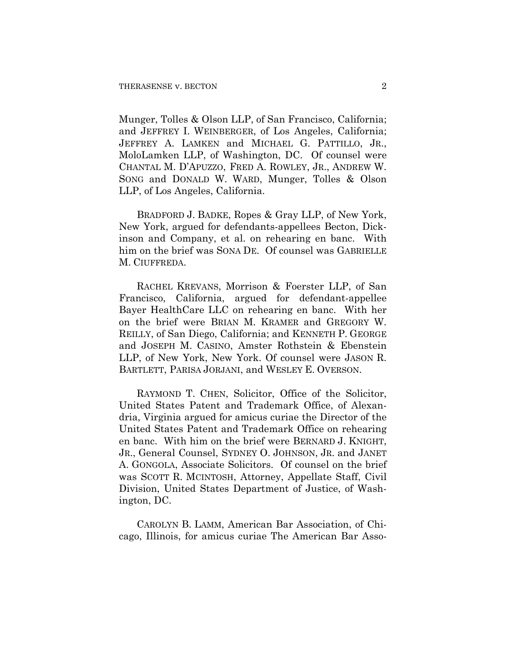Munger, Tolles & Olson LLP, of San Francisco, California; and JEFFREY I. WEINBERGER, of Los Angeles, California; JEFFREY A. LAMKEN and MICHAEL G. PATTILLO, JR., MoloLamken LLP, of Washington, DC. Of counsel were CHANTAL M. D'APUZZO, FRED A. ROWLEY, JR., ANDREW W. SONG and DONALD W. WARD, Munger, Tolles & Olson LLP, of Los Angeles, California.

BRADFORD J. BADKE, Ropes & Gray LLP, of New York, New York, argued for defendants-appellees Becton, Dickinson and Company, et al. on rehearing en banc. With him on the brief was SONA DE. Of counsel was GABRIELLE M. CIUFFREDA.

RACHEL KREVANS, Morrison & Foerster LLP, of San Francisco, California, argued for defendant-appellee Bayer HealthCare LLC on rehearing en banc. With her on the brief were BRIAN M. KRAMER and GREGORY W. REILLY, of San Diego, California; and KENNETH P. GEORGE and JOSEPH M. CASINO, Amster Rothstein & Ebenstein LLP, of New York, New York. Of counsel were JASON R. BARTLETT, PARISA JORJANI, and WESLEY E. OVERSON.

RAYMOND T. CHEN, Solicitor, Office of the Solicitor, United States Patent and Trademark Office, of Alexandria, Virginia argued for amicus curiae the Director of the United States Patent and Trademark Office on rehearing en banc. With him on the brief were BERNARD J. KNIGHT, JR., General Counsel, SYDNEY O. JOHNSON, JR. and JANET A. GONGOLA, Associate Solicitors. Of counsel on the brief was SCOTT R. MCINTOSH, Attorney, Appellate Staff, Civil Division, United States Department of Justice, of Washington, DC.

CAROLYN B. LAMM, American Bar Association, of Chicago, Illinois, for amicus curiae The American Bar Asso-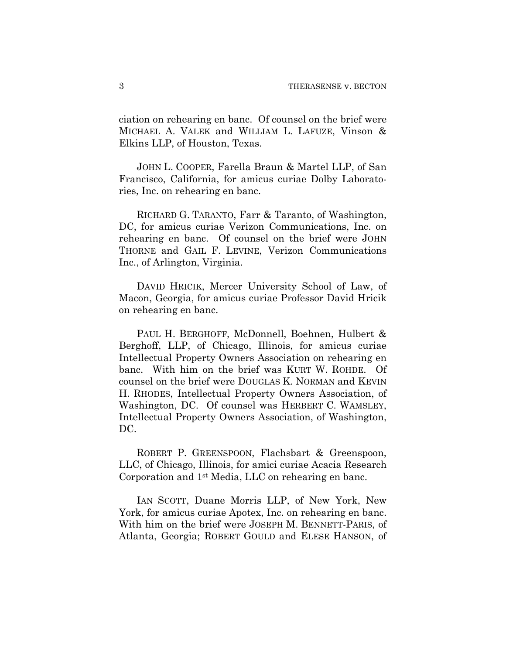ciation on rehearing en banc. Of counsel on the brief were MICHAEL A. VALEK and WILLIAM L. LAFUZE, Vinson & Elkins LLP, of Houston, Texas.

JOHN L. COOPER, Farella Braun & Martel LLP, of San Francisco, California, for amicus curiae Dolby Laboratories, Inc. on rehearing en banc.

RICHARD G. TARANTO, Farr & Taranto, of Washington, DC, for amicus curiae Verizon Communications, Inc. on rehearing en banc. Of counsel on the brief were JOHN THORNE and GAIL F. LEVINE, Verizon Communications Inc., of Arlington, Virginia.

DAVID HRICIK, Mercer University School of Law, of Macon, Georgia, for amicus curiae Professor David Hricik on rehearing en banc.

PAUL H. BERGHOFF, McDonnell, Boehnen, Hulbert & Berghoff, LLP, of Chicago, Illinois, for amicus curiae Intellectual Property Owners Association on rehearing en banc. With him on the brief was KURT W. ROHDE. Of counsel on the brief were DOUGLAS K. NORMAN and KEVIN H. RHODES, Intellectual Property Owners Association, of Washington, DC. Of counsel was HERBERT C. WAMSLEY, Intellectual Property Owners Association, of Washington, DC.

ROBERT P. GREENSPOON, Flachsbart & Greenspoon, LLC, of Chicago, Illinois, for amici curiae Acacia Research Corporation and 1st Media, LLC on rehearing en banc.

IAN SCOTT, Duane Morris LLP, of New York, New York, for amicus curiae Apotex, Inc. on rehearing en banc. With him on the brief were JOSEPH M. BENNETT-PARIS, of Atlanta, Georgia; ROBERT GOULD and ELESE HANSON, of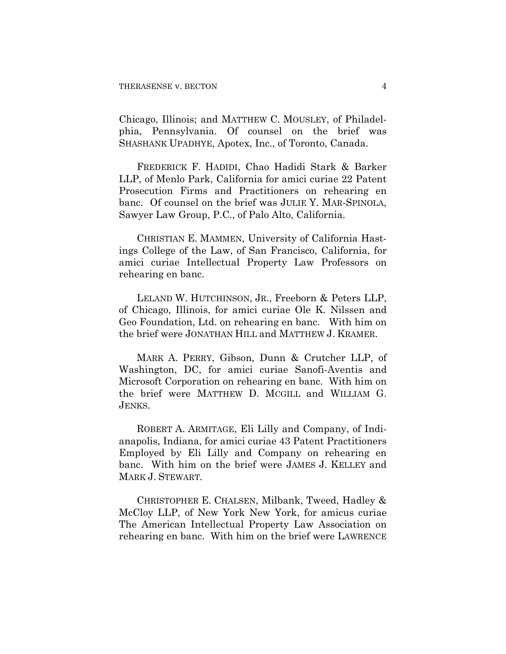Chicago, Illinois; and MATTHEW C. MOUSLEY, of Philadelphia, Pennsylvania. Of counsel on the brief was SHASHANK UPADHYE, Apotex, Inc., of Toronto, Canada.

FREDERICK F. HADIDI, Chao Hadidi Stark & Barker LLP, of Menlo Park, California for amici curiae 22 Patent Prosecution Firms and Practitioners on rehearing en banc. Of counsel on the brief was JULIE Y. MAR-SPINOLA, Sawyer Law Group, P.C., of Palo Alto, California.

CHRISTIAN E. MAMMEN, University of California Hastings College of the Law, of San Francisco, California, for amici curiae Intellectual Property Law Professors on rehearing en banc.

LELAND W. HUTCHINSON, JR., Freeborn & Peters LLP, of Chicago, Illinois, for amici curiae Ole K. Nilssen and Geo Foundation, Ltd. on rehearing en banc. With him on the brief were JONATHAN HILL and MATTHEW J. KRAMER.

MARK A. PERRY, Gibson, Dunn & Crutcher LLP, of Washington, DC, for amici curiae Sanofi-Aventis and Microsoft Corporation on rehearing en banc. With him on the brief were MATTHEW D. MCGILL and WILLIAM G. JENKS.

ROBERT A. ARMITAGE, Eli Lilly and Company, of Indianapolis, Indiana, for amici curiae 43 Patent Practitioners Employed by Eli Lilly and Company on rehearing en banc. With him on the brief were JAMES J. KELLEY and MARK J. STEWART.

CHRISTOPHER E. CHALSEN, Milbank, Tweed, Hadley & McCloy LLP, of New York New York, for amicus curiae The American Intellectual Property Law Association on rehearing en banc. With him on the brief were LAWRENCE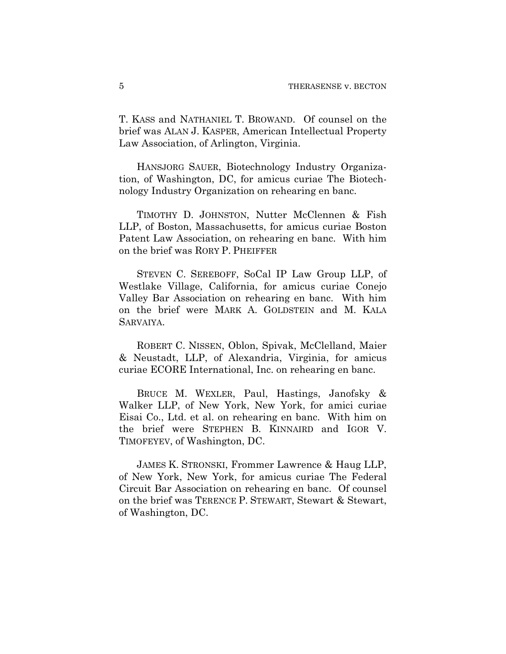T. KASS and NATHANIEL T. BROWAND. Of counsel on the brief was ALAN J. KASPER, American Intellectual Property Law Association, of Arlington, Virginia.

HANSJORG SAUER, Biotechnology Industry Organization, of Washington, DC, for amicus curiae The Biotechnology Industry Organization on rehearing en banc.

TIMOTHY D. JOHNSTON, Nutter McClennen & Fish LLP, of Boston, Massachusetts, for amicus curiae Boston Patent Law Association, on rehearing en banc. With him on the brief was RORY P. PHEIFFER

STEVEN C. SEREBOFF, SoCal IP Law Group LLP, of Westlake Village, California, for amicus curiae Conejo Valley Bar Association on rehearing en banc. With him on the brief were MARK A. GOLDSTEIN and M. KALA SARVAIYA.

ROBERT C. NISSEN, Oblon, Spivak, McClelland, Maier & Neustadt, LLP, of Alexandria, Virginia, for amicus curiae ECORE International, Inc. on rehearing en banc.

BRUCE M. WEXLER, Paul, Hastings, Janofsky & Walker LLP, of New York, New York, for amici curiae Eisai Co., Ltd. et al. on rehearing en banc. With him on the brief were STEPHEN B. KINNAIRD and IGOR V. TIMOFEYEV, of Washington, DC.

JAMES K. STRONSKI, Frommer Lawrence & Haug LLP, of New York, New York, for amicus curiae The Federal Circuit Bar Association on rehearing en banc. Of counsel on the brief was TERENCE P. STEWART, Stewart & Stewart, of Washington, DC.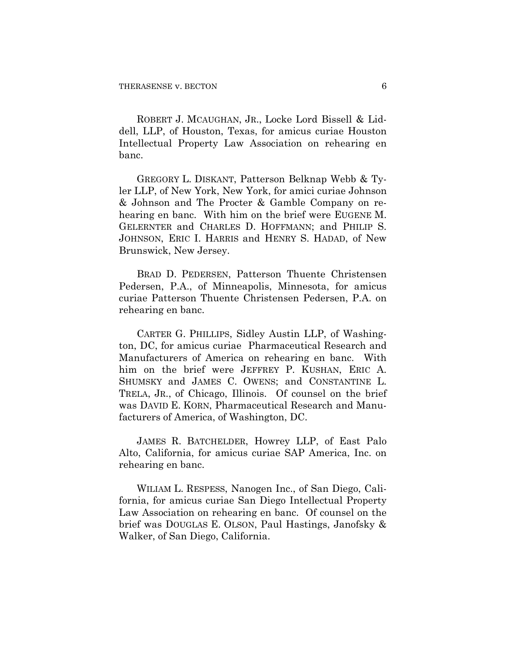ROBERT J. MCAUGHAN, JR., Locke Lord Bissell & Liddell, LLP, of Houston, Texas, for amicus curiae Houston Intellectual Property Law Association on rehearing en banc.

GREGORY L. DISKANT, Patterson Belknap Webb & Tyler LLP, of New York, New York, for amici curiae Johnson & Johnson and The Procter & Gamble Company on rehearing en banc. With him on the brief were EUGENE M. GELERNTER and CHARLES D. HOFFMANN; and PHILIP S. JOHNSON, ERIC I. HARRIS and HENRY S. HADAD, of New Brunswick, New Jersey.

BRAD D. PEDERSEN, Patterson Thuente Christensen Pedersen, P.A., of Minneapolis, Minnesota, for amicus curiae Patterson Thuente Christensen Pedersen, P.A. on rehearing en banc.

CARTER G. PHILLIPS, Sidley Austin LLP, of Washington, DC, for amicus curiae Pharmaceutical Research and Manufacturers of America on rehearing en banc. With him on the brief were JEFFREY P. KUSHAN, ERIC A. SHUMSKY and JAMES C. OWENS; and CONSTANTINE L. TRELA, JR., of Chicago, Illinois. Of counsel on the brief was DAVID E. KORN, Pharmaceutical Research and Manufacturers of America, of Washington, DC.

JAMES R. BATCHELDER, Howrey LLP, of East Palo Alto, California, for amicus curiae SAP America, Inc. on rehearing en banc.

WILIAM L. RESPESS, Nanogen Inc., of San Diego, California, for amicus curiae San Diego Intellectual Property Law Association on rehearing en banc. Of counsel on the brief was DOUGLAS E. OLSON, Paul Hastings, Janofsky & Walker, of San Diego, California.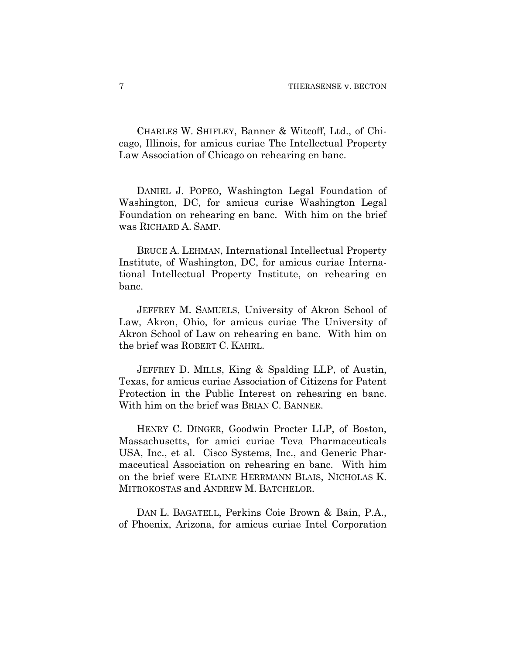CHARLES W. SHIFLEY, Banner & Witcoff, Ltd., of Chicago, Illinois, for amicus curiae The Intellectual Property Law Association of Chicago on rehearing en banc.

DANIEL J. POPEO, Washington Legal Foundation of Washington, DC, for amicus curiae Washington Legal Foundation on rehearing en banc. With him on the brief was RICHARD A. SAMP.

BRUCE A. LEHMAN, International Intellectual Property Institute, of Washington, DC, for amicus curiae International Intellectual Property Institute, on rehearing en banc.

JEFFREY M. SAMUELS, University of Akron School of Law, Akron, Ohio, for amicus curiae The University of Akron School of Law on rehearing en banc. With him on the brief was ROBERT C. KAHRL.

JEFFREY D. MILLS, King & Spalding LLP, of Austin, Texas, for amicus curiae Association of Citizens for Patent Protection in the Public Interest on rehearing en banc. With him on the brief was BRIAN C. BANNER.

HENRY C. DINGER, Goodwin Procter LLP, of Boston, Massachusetts, for amici curiae Teva Pharmaceuticals USA, Inc., et al. Cisco Systems, Inc., and Generic Pharmaceutical Association on rehearing en banc. With him on the brief were ELAINE HERRMANN BLAIS, NICHOLAS K. MITROKOSTAS and ANDREW M. BATCHELOR.

DAN L. BAGATELL, Perkins Coie Brown & Bain, P.A., of Phoenix, Arizona, for amicus curiae Intel Corporation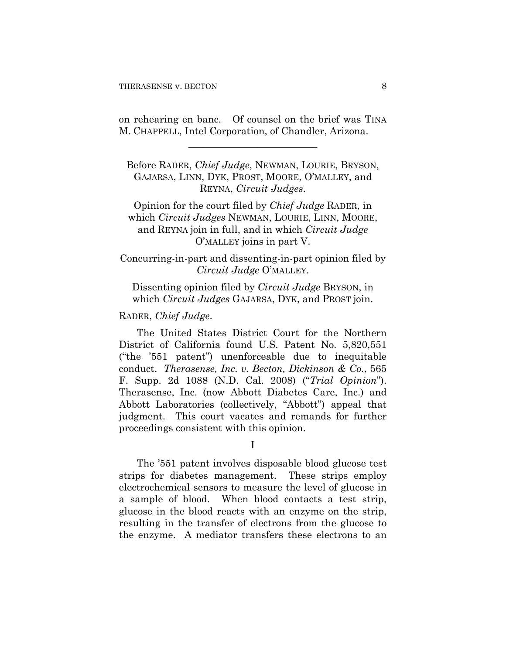on rehearing en banc. Of counsel on the brief was TINA M. CHAPPELL, Intel Corporation, of Chandler, Arizona.

**\_\_\_\_\_\_\_\_\_\_\_\_\_\_\_\_\_\_\_\_\_\_\_\_\_\_** 

Before RADER, *Chief Judge*, NEWMAN, LOURIE, BRYSON, GAJARSA, LINN, DYK, PROST, MOORE, O'MALLEY, and REYNA, *Circuit Judges*.

Opinion for the court filed by *Chief Judge* RADER, in which *Circuit Judges* NEWMAN, LOURIE, LINN, MOORE, and REYNA join in full, and in which *Circuit Judge*  O'MALLEY joins in part V.

Concurring-in-part and dissenting-in-part opinion filed by *Circuit Judge* O'MALLEY.

Dissenting opinion filed by *Circuit Judge* BRYSON, in which *Circuit Judges* GAJARSA, DYK, and PROST join.

#### RADER, *Chief Judge*.

The United States District Court for the Northern District of California found U.S. Patent No. 5,820,551 ("the '551 patent") unenforceable due to inequitable conduct. *Therasense, Inc. v. Becton, Dickinson & Co.*, 565 F. Supp. 2d 1088 (N.D. Cal. 2008) ("*Trial Opinion*"). Therasense, Inc. (now Abbott Diabetes Care, Inc.) and Abbott Laboratories (collectively, "Abbott") appeal that judgment. This court vacates and remands for further proceedings consistent with this opinion.

I

The '551 patent involves disposable blood glucose test strips for diabetes management. These strips employ electrochemical sensors to measure the level of glucose in a sample of blood. When blood contacts a test strip, glucose in the blood reacts with an enzyme on the strip, resulting in the transfer of electrons from the glucose to the enzyme. A mediator transfers these electrons to an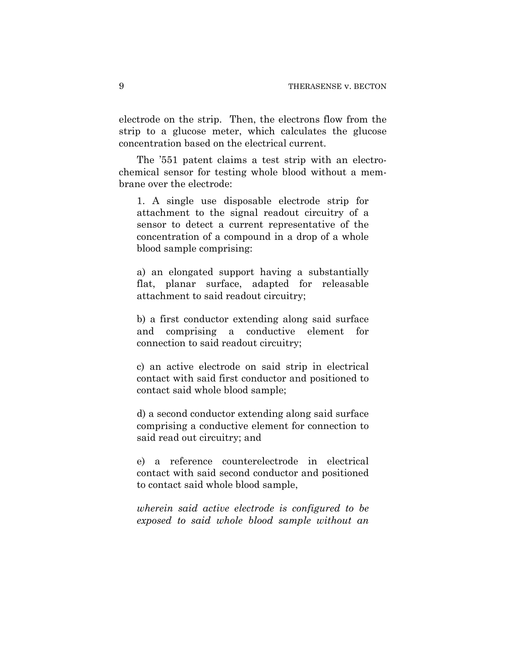electrode on the strip. Then, the electrons flow from the strip to a glucose meter, which calculates the glucose concentration based on the electrical current.

The '551 patent claims a test strip with an electrochemical sensor for testing whole blood without a membrane over the electrode:

1. A single use disposable electrode strip for attachment to the signal readout circuitry of a sensor to detect a current representative of the concentration of a compound in a drop of a whole blood sample comprising:

a) an elongated support having a substantially flat, planar surface, adapted for releasable attachment to said readout circuitry;

b) a first conductor extending along said surface and comprising a conductive element for connection to said readout circuitry;

c) an active electrode on said strip in electrical contact with said first conductor and positioned to contact said whole blood sample;

d) a second conductor extending along said surface comprising a conductive element for connection to said read out circuitry; and

e) a reference counterelectrode in electrical contact with said second conductor and positioned to contact said whole blood sample,

*wherein said active electrode is configured to be exposed to said whole blood sample without an*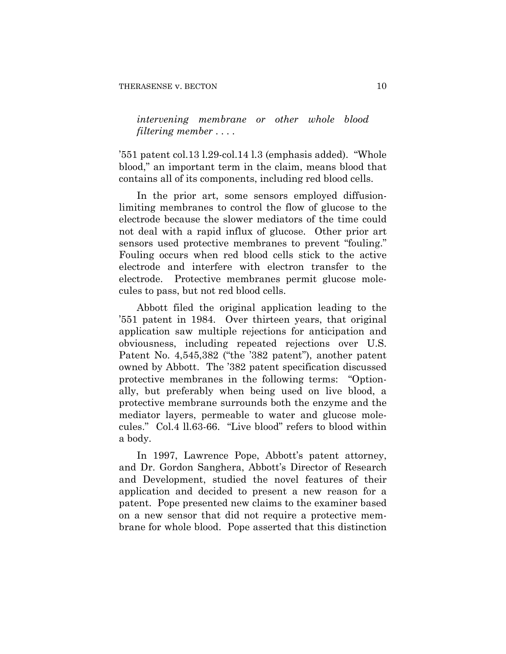*intervening membrane or other whole blood filtering member* . . . .

'551 patent col.13 l.29-col.14 l.3 (emphasis added). "Whole blood," an important term in the claim, means blood that contains all of its components, including red blood cells.

In the prior art, some sensors employed diffusionlimiting membranes to control the flow of glucose to the electrode because the slower mediators of the time could not deal with a rapid influx of glucose. Other prior art sensors used protective membranes to prevent "fouling." Fouling occurs when red blood cells stick to the active electrode and interfere with electron transfer to the electrode. Protective membranes permit glucose molecules to pass, but not red blood cells.

Abbott filed the original application leading to the '551 patent in 1984. Over thirteen years, that original application saw multiple rejections for anticipation and obviousness, including repeated rejections over U.S. Patent No. 4,545,382 ("the '382 patent"), another patent owned by Abbott. The '382 patent specification discussed protective membranes in the following terms: "Optionally, but preferably when being used on live blood, a protective membrane surrounds both the enzyme and the mediator layers, permeable to water and glucose molecules." Col.4 ll.63-66. "Live blood" refers to blood within a body.

In 1997, Lawrence Pope, Abbott's patent attorney, and Dr. Gordon Sanghera, Abbott's Director of Research and Development, studied the novel features of their application and decided to present a new reason for a patent. Pope presented new claims to the examiner based on a new sensor that did not require a protective membrane for whole blood. Pope asserted that this distinction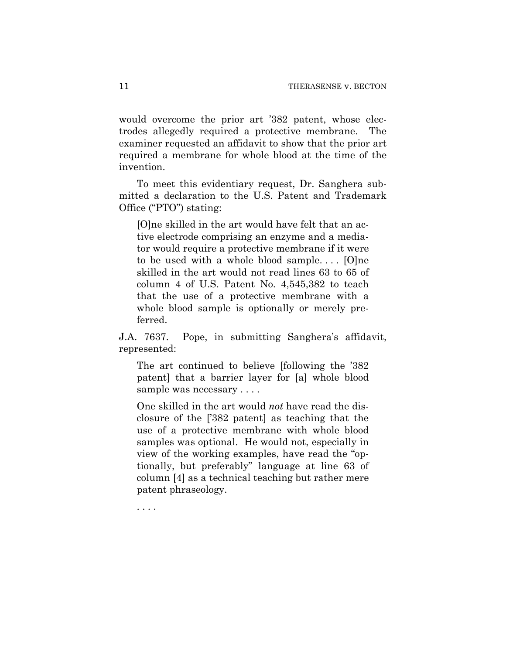would overcome the prior art '382 patent, whose electrodes allegedly required a protective membrane. The examiner requested an affidavit to show that the prior art required a membrane for whole blood at the time of the invention.

To meet this evidentiary request, Dr. Sanghera submitted a declaration to the U.S. Patent and Trademark Office ("PTO") stating:

[O]ne skilled in the art would have felt that an active electrode comprising an enzyme and a mediator would require a protective membrane if it were to be used with a whole blood sample....  $[O]$ ne skilled in the art would not read lines 63 to 65 of column 4 of U.S. Patent No. 4,545,382 to teach that the use of a protective membrane with a whole blood sample is optionally or merely preferred.

J.A. 7637. Pope, in submitting Sanghera's affidavit, represented:

The art continued to believe [following the '382 patent] that a barrier layer for [a] whole blood sample was necessary . . . .

One skilled in the art would *not* have read the disclosure of the ['382 patent] as teaching that the use of a protective membrane with whole blood samples was optional. He would not, especially in view of the working examples, have read the "optionally, but preferably" language at line 63 of column [4] as a technical teaching but rather mere patent phraseology.

. . . .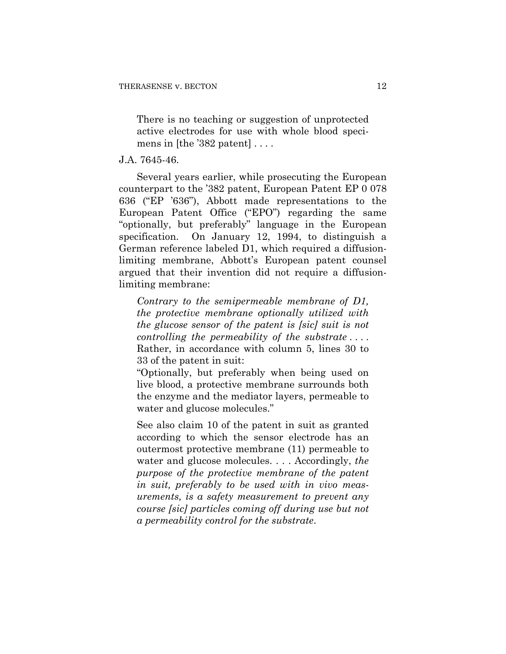There is no teaching or suggestion of unprotected active electrodes for use with whole blood specimens in [the  $382$  patent]  $\dots$ .

# J.A. 7645-46.

Several years earlier, while prosecuting the European counterpart to the '382 patent, European Patent EP 0 078 636 ("EP '636"), Abbott made representations to the European Patent Office ("EPO") regarding the same "optionally, but preferably" language in the European specification. On January 12, 1994, to distinguish a German reference labeled D1, which required a diffusionlimiting membrane, Abbott's European patent counsel argued that their invention did not require a diffusionlimiting membrane:

*Contrary to the semipermeable membrane of D1, the protective membrane optionally utilized with the glucose sensor of the patent is [sic] suit is not controlling the permeability of the substrate* . . . . Rather, in accordance with column 5, lines 30 to 33 of the patent in suit:

"Optionally, but preferably when being used on live blood, a protective membrane surrounds both the enzyme and the mediator layers, permeable to water and glucose molecules."

See also claim 10 of the patent in suit as granted according to which the sensor electrode has an outermost protective membrane (11) permeable to water and glucose molecules. . . . Accordingly, *the purpose of the protective membrane of the patent in suit, preferably to be used with in vivo measurements, is a safety measurement to prevent any course [sic] particles coming off during use but not a permeability control for the substrate*.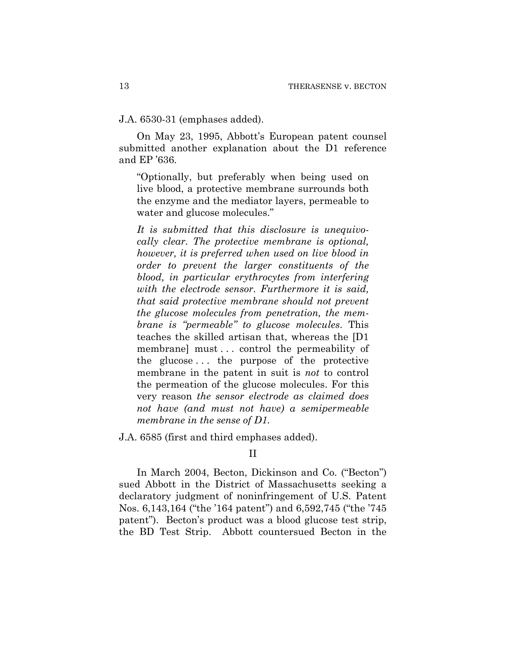J.A. 6530-31 (emphases added).

On May 23, 1995, Abbott's European patent counsel submitted another explanation about the D1 reference and EP '636.

"Optionally, but preferably when being used on live blood, a protective membrane surrounds both the enzyme and the mediator layers, permeable to water and glucose molecules."

*It is submitted that this disclosure is unequivocally clear. The protective membrane is optional, however, it is preferred when used on live blood in order to prevent the larger constituents of the blood, in particular erythrocytes from interfering with the electrode sensor. Furthermore it is said, that said protective membrane should not prevent the glucose molecules from penetration, the membrane is "permeable" to glucose molecules*. This teaches the skilled artisan that, whereas the [D1 membrane] must . . . control the permeability of the glucose . . . the purpose of the protective membrane in the patent in suit is *not* to control the permeation of the glucose molecules. For this very reason *the sensor electrode as claimed does not have (and must not have) a semipermeable membrane in the sense of D1*.

J.A. 6585 (first and third emphases added).

# II

In March 2004, Becton, Dickinson and Co. ("Becton") sued Abbott in the District of Massachusetts seeking a declaratory judgment of noninfringement of U.S. Patent Nos. 6,143,164 ("the '164 patent") and 6,592,745 ("the '745 patent"). Becton's product was a blood glucose test strip, the BD Test Strip. Abbott countersued Becton in the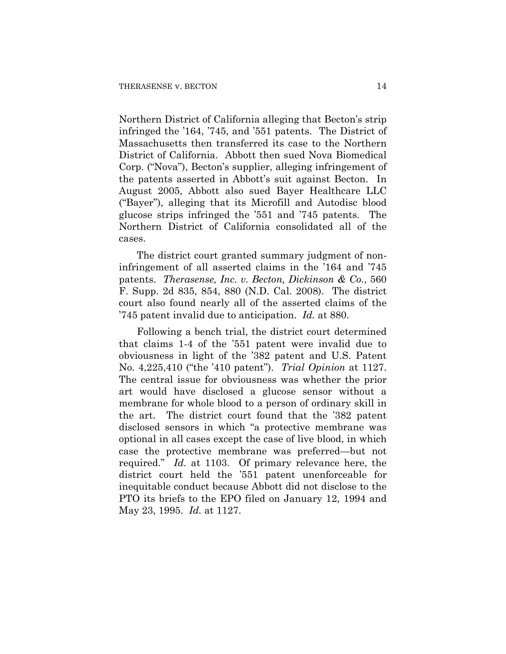Northern District of California alleging that Becton's strip infringed the '164, '745, and '551 patents. The District of Massachusetts then transferred its case to the Northern District of California. Abbott then sued Nova Biomedical Corp. ("Nova"), Becton's supplier, alleging infringement of the patents asserted in Abbott's suit against Becton. In August 2005, Abbott also sued Bayer Healthcare LLC ("Bayer"), alleging that its Microfill and Autodisc blood glucose strips infringed the '551 and '745 patents. The Northern District of California consolidated all of the cases.

The district court granted summary judgment of noninfringement of all asserted claims in the '164 and '745 patents. *Therasense, Inc. v. Becton, Dickinson & Co.*, 560 F. Supp. 2d 835, 854, 880 (N.D. Cal. 2008). The district court also found nearly all of the asserted claims of the '745 patent invalid due to anticipation. *Id.* at 880.

Following a bench trial, the district court determined that claims 1-4 of the '551 patent were invalid due to obviousness in light of the '382 patent and U.S. Patent No. 4,225,410 ("the '410 patent"). *Trial Opinion* at 1127. The central issue for obviousness was whether the prior art would have disclosed a glucose sensor without a membrane for whole blood to a person of ordinary skill in the art. The district court found that the '382 patent disclosed sensors in which "a protective membrane was optional in all cases except the case of live blood, in which case the protective membrane was preferred—but not required." *Id.* at 1103. Of primary relevance here, the district court held the '551 patent unenforceable for inequitable conduct because Abbott did not disclose to the PTO its briefs to the EPO filed on January 12, 1994 and May 23, 1995. *Id.* at 1127.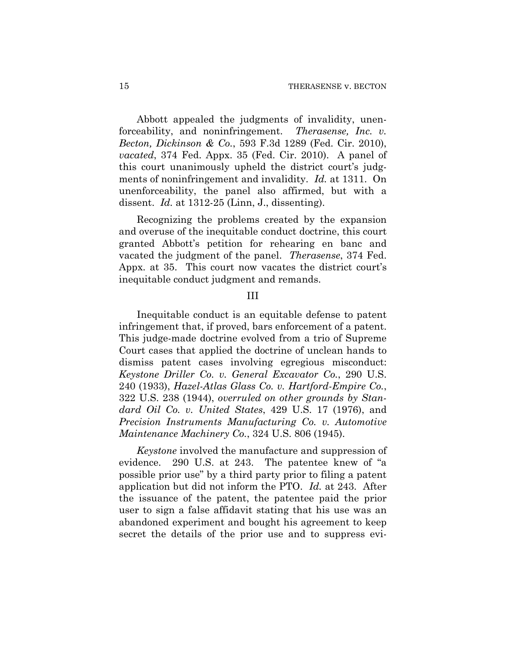Abbott appealed the judgments of invalidity, unenforceability, and noninfringement. *Therasense, Inc. v. Becton, Dickinson & Co.*, 593 F.3d 1289 (Fed. Cir. 2010), *vacated*, 374 Fed. Appx. 35 (Fed. Cir. 2010). A panel of this court unanimously upheld the district court's judgments of noninfringement and invalidity. *Id.* at 1311. On unenforceability, the panel also affirmed, but with a dissent. *Id.* at 1312-25 (Linn, J., dissenting).

Recognizing the problems created by the expansion and overuse of the inequitable conduct doctrine, this court granted Abbott's petition for rehearing en banc and vacated the judgment of the panel. *Therasense*, 374 Fed. Appx. at 35. This court now vacates the district court's inequitable conduct judgment and remands.

#### III

Inequitable conduct is an equitable defense to patent infringement that, if proved, bars enforcement of a patent. This judge-made doctrine evolved from a trio of Supreme Court cases that applied the doctrine of unclean hands to dismiss patent cases involving egregious misconduct: *Keystone Driller Co. v. General Excavator Co.*, 290 U.S. 240 (1933), *Hazel-Atlas Glass Co. v. Hartford-Empire Co.*, 322 U.S. 238 (1944), *overruled on other grounds by Standard Oil Co. v. United States*, 429 U.S. 17 (1976), and *Precision Instruments Manufacturing Co. v. Automotive Maintenance Machinery Co.*, 324 U.S. 806 (1945).

*Keystone* involved the manufacture and suppression of evidence. 290 U.S. at 243. The patentee knew of "a possible prior use" by a third party prior to filing a patent application but did not inform the PTO. *Id.* at 243. After the issuance of the patent, the patentee paid the prior user to sign a false affidavit stating that his use was an abandoned experiment and bought his agreement to keep secret the details of the prior use and to suppress evi-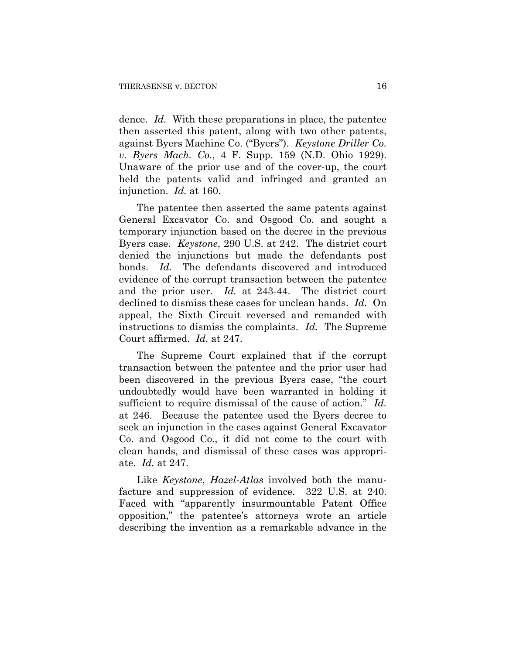dence. *Id.* With these preparations in place, the patentee then asserted this patent, along with two other patents, against Byers Machine Co. ("Byers"). *Keystone Driller Co. v. Byers Mach. Co.*, 4 F. Supp. 159 (N.D. Ohio 1929). Unaware of the prior use and of the cover-up, the court held the patents valid and infringed and granted an injunction. *Id.* at 160.

The patentee then asserted the same patents against General Excavator Co. and Osgood Co. and sought a temporary injunction based on the decree in the previous Byers case. *Keystone*, 290 U.S. at 242.The district court denied the injunctions but made the defendants post bonds. *Id.* The defendants discovered and introduced evidence of the corrupt transaction between the patentee and the prior user. *Id.* at 243-44. The district court declined to dismiss these cases for unclean hands. *Id.* On appeal, the Sixth Circuit reversed and remanded with instructions to dismiss the complaints. *Id.* The Supreme Court affirmed. *Id.* at 247.

The Supreme Court explained that if the corrupt transaction between the patentee and the prior user had been discovered in the previous Byers case, "the court undoubtedly would have been warranted in holding it sufficient to require dismissal of the cause of action." *Id.* at 246. Because the patentee used the Byers decree to seek an injunction in the cases against General Excavator Co. and Osgood Co., it did not come to the court with clean hands, and dismissal of these cases was appropriate. *Id.* at 247.

Like *Keystone*, *Hazel-Atlas* involved both the manufacture and suppression of evidence. 322 U.S. at 240. Faced with "apparently insurmountable Patent Office opposition," the patentee's attorneys wrote an article describing the invention as a remarkable advance in the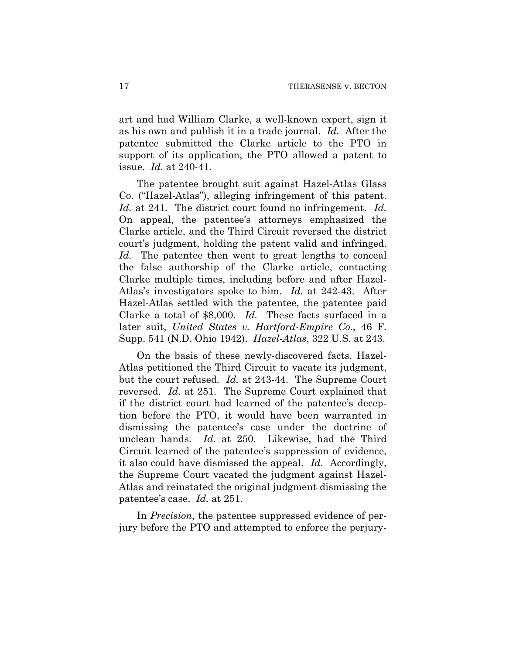art and had William Clarke, a well-known expert, sign it as his own and publish it in a trade journal. *Id.* After the patentee submitted the Clarke article to the PTO in support of its application, the PTO allowed a patent to issue. *Id.* at 240-41.

The patentee brought suit against Hazel-Atlas Glass Co. ("Hazel-Atlas"), alleging infringement of this patent. *Id.* at 241. The district court found no infringement. *Id.* On appeal, the patentee's attorneys emphasized the Clarke article, and the Third Circuit reversed the district court's judgment, holding the patent valid and infringed. *Id.* The patentee then went to great lengths to conceal the false authorship of the Clarke article, contacting Clarke multiple times, including before and after Hazel-Atlas's investigators spoke to him. *Id.* at 242-43. After Hazel-Atlas settled with the patentee, the patentee paid Clarke a total of \$8,000. *Id.* These facts surfaced in a later suit, *United States v. Hartford-Empire Co.*, 46 F. Supp. 541 (N.D. Ohio 1942). *Hazel-Atlas*, 322 U.S. at 243.

On the basis of these newly-discovered facts, Hazel-Atlas petitioned the Third Circuit to vacate its judgment, but the court refused. *Id.* at 243-44. The Supreme Court reversed. *Id.* at 251. The Supreme Court explained that if the district court had learned of the patentee's deception before the PTO, it would have been warranted in dismissing the patentee's case under the doctrine of unclean hands. *Id.* at 250. Likewise, had the Third Circuit learned of the patentee's suppression of evidence, it also could have dismissed the appeal. *Id.* Accordingly, the Supreme Court vacated the judgment against Hazel-Atlas and reinstated the original judgment dismissing the patentee's case. *Id.* at 251.

In *Precision*, the patentee suppressed evidence of perjury before the PTO and attempted to enforce the perjury-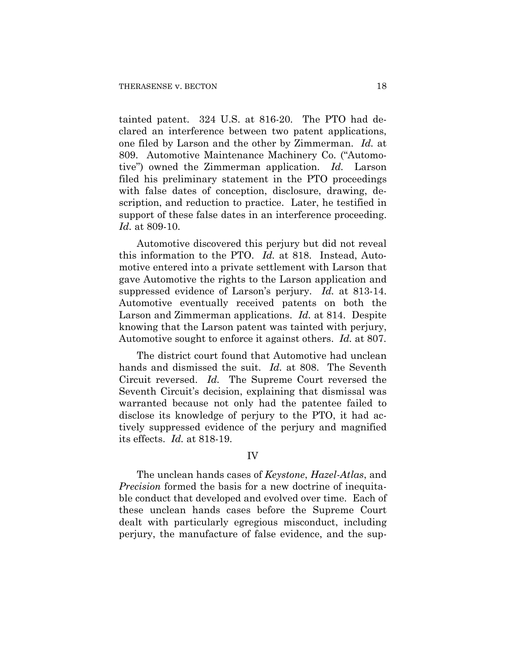tainted patent. 324 U.S. at 816-20. The PTO had declared an interference between two patent applications, one filed by Larson and the other by Zimmerman. *Id.* at 809. Automotive Maintenance Machinery Co. ("Automotive") owned the Zimmerman application. *Id.* Larson filed his preliminary statement in the PTO proceedings with false dates of conception, disclosure, drawing, description, and reduction to practice. Later, he testified in support of these false dates in an interference proceeding. *Id.* at 809-10.

Automotive discovered this perjury but did not reveal this information to the PTO. *Id.* at 818. Instead, Automotive entered into a private settlement with Larson that gave Automotive the rights to the Larson application and suppressed evidence of Larson's perjury. *Id.* at 813-14. Automotive eventually received patents on both the Larson and Zimmerman applications. *Id.* at 814. Despite knowing that the Larson patent was tainted with perjury, Automotive sought to enforce it against others. *Id.* at 807.

The district court found that Automotive had unclean hands and dismissed the suit. *Id.* at 808. The Seventh Circuit reversed. *Id.* The Supreme Court reversed the Seventh Circuit's decision, explaining that dismissal was warranted because not only had the patentee failed to disclose its knowledge of perjury to the PTO, it had actively suppressed evidence of the perjury and magnified its effects. *Id.* at 818-19.

### IV

The unclean hands cases of *Keystone*, *Hazel-Atlas*, and *Precision* formed the basis for a new doctrine of inequitable conduct that developed and evolved over time. Each of these unclean hands cases before the Supreme Court dealt with particularly egregious misconduct, including perjury, the manufacture of false evidence, and the sup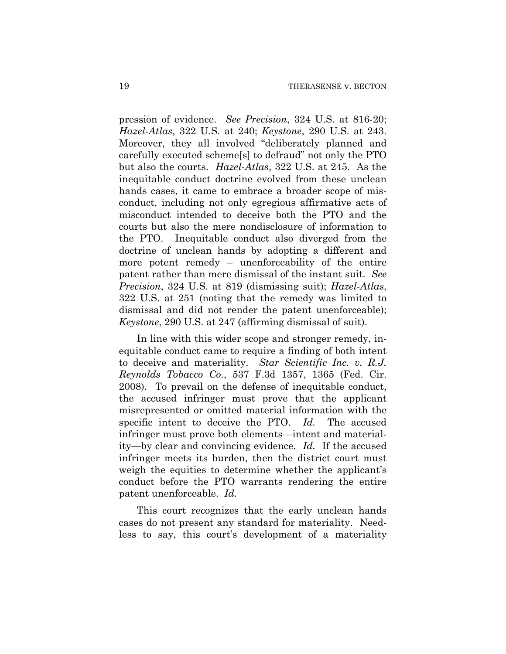pression of evidence. *See Precision*, 324 U.S. at 816-20; *Hazel-Atlas*, 322 U.S. at 240; *Keystone*, 290 U.S. at 243. Moreover, they all involved "deliberately planned and carefully executed scheme[s] to defraud" not only the PTO but also the courts. *Hazel-Atlas*, 322 U.S. at 245. As the inequitable conduct doctrine evolved from these unclean hands cases, it came to embrace a broader scope of misconduct, including not only egregious affirmative acts of misconduct intended to deceive both the PTO and the courts but also the mere nondisclosure of information to the PTO. Inequitable conduct also diverged from the doctrine of unclean hands by adopting a different and more potent remedy – unenforceability of the entire patent rather than mere dismissal of the instant suit. *See Precision*, 324 U.S. at 819 (dismissing suit); *Hazel-Atlas*, 322 U.S. at 251 (noting that the remedy was limited to dismissal and did not render the patent unenforceable); *Keystone*, 290 U.S. at 247 (affirming dismissal of suit).

In line with this wider scope and stronger remedy, inequitable conduct came to require a finding of both intent to deceive and materiality. *Star Scientific Inc. v. R.J. Reynolds Tobacco Co.*, 537 F.3d 1357, 1365 (Fed. Cir. 2008). To prevail on the defense of inequitable conduct, the accused infringer must prove that the applicant misrepresented or omitted material information with the specific intent to deceive the PTO. *Id.* The accused infringer must prove both elements—intent and materiality—by clear and convincing evidence. *Id.* If the accused infringer meets its burden, then the district court must weigh the equities to determine whether the applicant's conduct before the PTO warrants rendering the entire patent unenforceable. *Id.* 

This court recognizes that the early unclean hands cases do not present any standard for materiality. Needless to say, this court's development of a materiality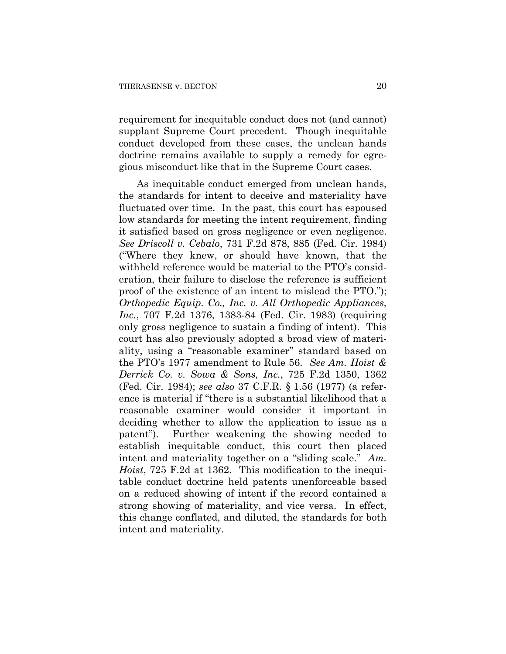requirement for inequitable conduct does not (and cannot) supplant Supreme Court precedent. Though inequitable conduct developed from these cases, the unclean hands doctrine remains available to supply a remedy for egregious misconduct like that in the Supreme Court cases.

As inequitable conduct emerged from unclean hands, the standards for intent to deceive and materiality have fluctuated over time. In the past, this court has espoused low standards for meeting the intent requirement, finding it satisfied based on gross negligence or even negligence. *See Driscoll v. Cebalo*, 731 F.2d 878, 885 (Fed. Cir. 1984) ("Where they knew, or should have known, that the withheld reference would be material to the PTO's consideration, their failure to disclose the reference is sufficient proof of the existence of an intent to mislead the PTO."); *Orthopedic Equip. Co., Inc. v. All Orthopedic Appliances, Inc.*, 707 F.2d 1376, 1383-84 (Fed. Cir. 1983) (requiring only gross negligence to sustain a finding of intent). This court has also previously adopted a broad view of materiality, using a "reasonable examiner" standard based on the PTO's 1977 amendment to Rule 56. *See Am. Hoist & Derrick Co. v. Sowa & Sons, Inc.*, 725 F.2d 1350, 1362 (Fed. Cir. 1984); *see also* 37 C.F.R. § 1.56 (1977) (a reference is material if "there is a substantial likelihood that a reasonable examiner would consider it important in deciding whether to allow the application to issue as a patent"). Further weakening the showing needed to establish inequitable conduct, this court then placed intent and materiality together on a "sliding scale." *Am. Hoist*, 725 F.2d at 1362. This modification to the inequitable conduct doctrine held patents unenforceable based on a reduced showing of intent if the record contained a strong showing of materiality, and vice versa. In effect, this change conflated, and diluted, the standards for both intent and materiality.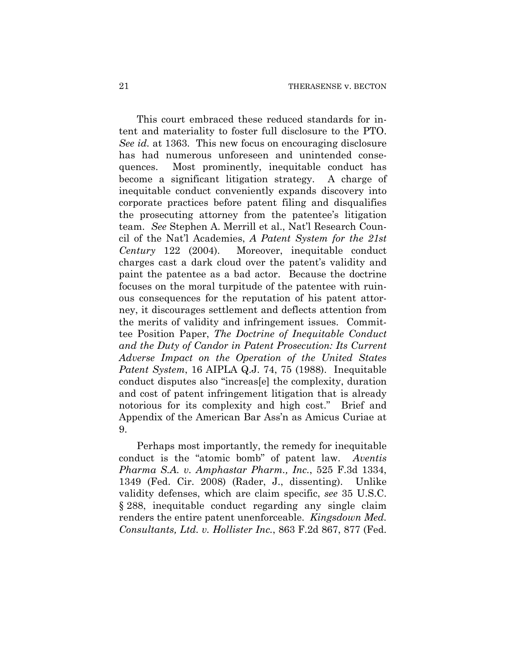This court embraced these reduced standards for intent and materiality to foster full disclosure to the PTO. *See id.* at 1363. This new focus on encouraging disclosure has had numerous unforeseen and unintended consequences. Most prominently, inequitable conduct has become a significant litigation strategy. A charge of inequitable conduct conveniently expands discovery into corporate practices before patent filing and disqualifies the prosecuting attorney from the patentee's litigation team. *See* Stephen A. Merrill et al., Nat'l Research Council of the Nat'l Academies, *A Patent System for the 21st Century* 122 (2004). Moreover, inequitable conduct charges cast a dark cloud over the patent's validity and paint the patentee as a bad actor. Because the doctrine focuses on the moral turpitude of the patentee with ruinous consequences for the reputation of his patent attorney, it discourages settlement and deflects attention from the merits of validity and infringement issues. Committee Position Paper, *The Doctrine of Inequitable Conduct and the Duty of Candor in Patent Prosecution: Its Current Adverse Impact on the Operation of the United States Patent System*, 16 AIPLA Q.J. 74, 75 (1988). Inequitable conduct disputes also "increas[e] the complexity, duration and cost of patent infringement litigation that is already notorious for its complexity and high cost." Brief and Appendix of the American Bar Ass'n as Amicus Curiae at 9.

Perhaps most importantly, the remedy for inequitable conduct is the "atomic bomb" of patent law. *Aventis Pharma S.A. v. Amphastar Pharm., Inc.*, 525 F.3d 1334, 1349 (Fed. Cir. 2008) (Rader, J., dissenting). Unlike validity defenses, which are claim specific, *see* 35 U.S.C. § 288, inequitable conduct regarding any single claim renders the entire patent unenforceable. *Kingsdown Med. Consultants, Ltd. v. Hollister Inc.*, 863 F.2d 867, 877 (Fed.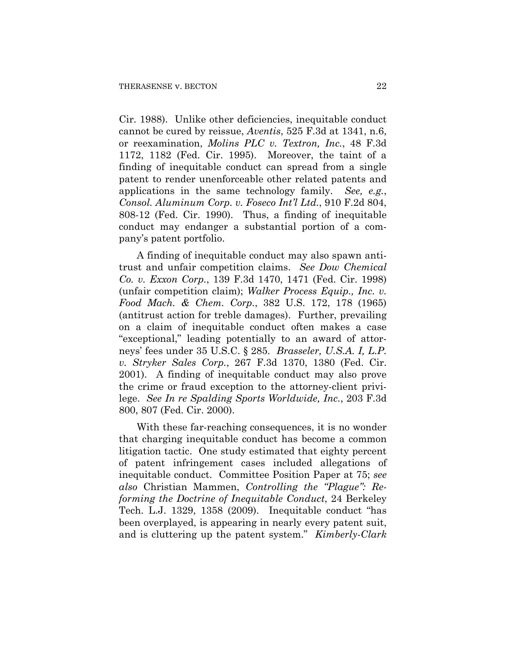Cir. 1988). Unlike other deficiencies, inequitable conduct cannot be cured by reissue, *Aventis*, 525 F.3d at 1341, n.6, or reexamination, *Molins PLC v. Textron, Inc.*, 48 F.3d 1172, 1182 (Fed. Cir. 1995). Moreover, the taint of a finding of inequitable conduct can spread from a single patent to render unenforceable other related patents and applications in the same technology family. *See, e.g.*, *Consol. Aluminum Corp. v. Foseco Int'l Ltd.*, 910 F.2d 804, 808-12 (Fed. Cir. 1990). Thus, a finding of inequitable conduct may endanger a substantial portion of a company's patent portfolio.

A finding of inequitable conduct may also spawn antitrust and unfair competition claims. *See Dow Chemical Co. v. Exxon Corp.*, 139 F.3d 1470, 1471 (Fed. Cir. 1998) (unfair competition claim); *Walker Process Equip., Inc. v. Food Mach. & Chem. Corp.*, 382 U.S. 172, 178 (1965) (antitrust action for treble damages). Further, prevailing on a claim of inequitable conduct often makes a case "exceptional," leading potentially to an award of attorneys' fees under 35 U.S.C. § 285. *Brasseler, U.S.A. I, L.P. v. Stryker Sales Corp.*, 267 F.3d 1370, 1380 (Fed. Cir. 2001). A finding of inequitable conduct may also prove the crime or fraud exception to the attorney-client privilege. *See In re Spalding Sports Worldwide, Inc.*, 203 F.3d 800, 807 (Fed. Cir. 2000).

With these far-reaching consequences, it is no wonder that charging inequitable conduct has become a common litigation tactic. One study estimated that eighty percent of patent infringement cases included allegations of inequitable conduct. Committee Position Paper at 75; *see also* Christian Mammen, *Controlling the "Plague": Reforming the Doctrine of Inequitable Conduct*, 24 Berkeley Tech. L.J. 1329, 1358 (2009). Inequitable conduct "has been overplayed, is appearing in nearly every patent suit, and is cluttering up the patent system." *Kimberly-Clark*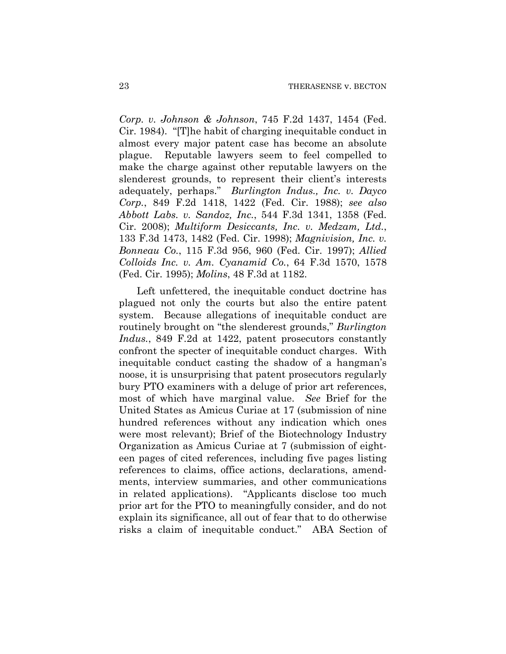*Corp. v. Johnson & Johnson*, 745 F.2d 1437, 1454 (Fed. Cir. 1984). "[T]he habit of charging inequitable conduct in almost every major patent case has become an absolute plague. Reputable lawyers seem to feel compelled to make the charge against other reputable lawyers on the slenderest grounds, to represent their client's interests adequately, perhaps." *Burlington Indus., Inc. v. Dayco Corp.*, 849 F.2d 1418, 1422 (Fed. Cir. 1988); *see also Abbott Labs. v. Sandoz, Inc.*, 544 F.3d 1341, 1358 (Fed. Cir. 2008); *Multiform Desiccants, Inc. v. Medzam, Ltd.*, 133 F.3d 1473, 1482 (Fed. Cir. 1998); *Magnivision, Inc. v. Bonneau Co.*, 115 F.3d 956, 960 (Fed. Cir. 1997); *Allied Colloids Inc. v. Am. Cyanamid Co.*, 64 F.3d 1570, 1578 (Fed. Cir. 1995); *Molins*, 48 F.3d at 1182.

Left unfettered, the inequitable conduct doctrine has plagued not only the courts but also the entire patent system. Because allegations of inequitable conduct are routinely brought on "the slenderest grounds," *Burlington Indus.*, 849 F.2d at 1422, patent prosecutors constantly confront the specter of inequitable conduct charges. With inequitable conduct casting the shadow of a hangman's noose, it is unsurprising that patent prosecutors regularly bury PTO examiners with a deluge of prior art references, most of which have marginal value. *See* Brief for the United States as Amicus Curiae at 17 (submission of nine hundred references without any indication which ones were most relevant); Brief of the Biotechnology Industry Organization as Amicus Curiae at 7 (submission of eighteen pages of cited references, including five pages listing references to claims, office actions, declarations, amendments, interview summaries, and other communications in related applications). "Applicants disclose too much prior art for the PTO to meaningfully consider, and do not explain its significance, all out of fear that to do otherwise risks a claim of inequitable conduct." ABA Section of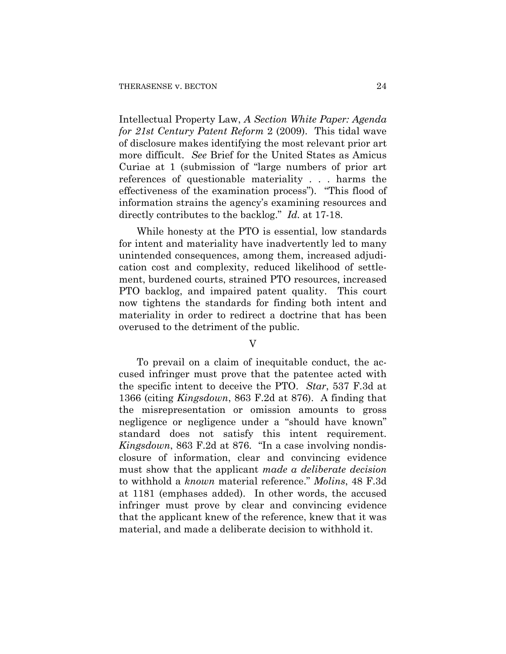Intellectual Property Law, *A Section White Paper: Agenda for 21st Century Patent Reform* 2 (2009). This tidal wave of disclosure makes identifying the most relevant prior art more difficult. *See* Brief for the United States as Amicus Curiae at 1 (submission of "large numbers of prior art references of questionable materiality . . . harms the effectiveness of the examination process"). "This flood of information strains the agency's examining resources and directly contributes to the backlog." *Id.* at 17-18.

While honesty at the PTO is essential, low standards for intent and materiality have inadvertently led to many unintended consequences, among them, increased adjudication cost and complexity, reduced likelihood of settlement, burdened courts, strained PTO resources, increased PTO backlog, and impaired patent quality. This court now tightens the standards for finding both intent and materiality in order to redirect a doctrine that has been overused to the detriment of the public.

V

To prevail on a claim of inequitable conduct, the accused infringer must prove that the patentee acted with the specific intent to deceive the PTO. *Star*, 537 F.3d at 1366 (citing *Kingsdown*, 863 F.2d at 876). A finding that the misrepresentation or omission amounts to gross negligence or negligence under a "should have known" standard does not satisfy this intent requirement. *Kingsdown*, 863 F.2d at 876. "In a case involving nondisclosure of information, clear and convincing evidence must show that the applicant *made a deliberate decision* to withhold a *known* material reference." *Molins*, 48 F.3d at 1181 (emphases added). In other words, the accused infringer must prove by clear and convincing evidence that the applicant knew of the reference, knew that it was material, and made a deliberate decision to withhold it.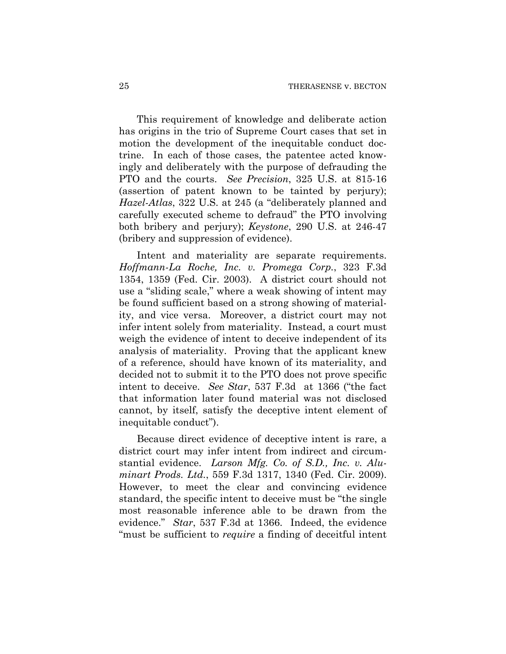This requirement of knowledge and deliberate action has origins in the trio of Supreme Court cases that set in motion the development of the inequitable conduct doctrine. In each of those cases, the patentee acted knowingly and deliberately with the purpose of defrauding the PTO and the courts. *See Precision*, 325 U.S. at 815-16 (assertion of patent known to be tainted by perjury); *Hazel-Atlas*, 322 U.S. at 245 (a "deliberately planned and carefully executed scheme to defraud" the PTO involving both bribery and perjury); *Keystone*, 290 U.S. at 246-47 (bribery and suppression of evidence).

Intent and materiality are separate requirements. *Hoffmann-La Roche, Inc. v. Promega Corp.*, 323 F.3d 1354, 1359 (Fed. Cir. 2003). A district court should not use a "sliding scale," where a weak showing of intent may be found sufficient based on a strong showing of materiality, and vice versa. Moreover, a district court may not infer intent solely from materiality. Instead, a court must weigh the evidence of intent to deceive independent of its analysis of materiality. Proving that the applicant knew of a reference, should have known of its materiality, and decided not to submit it to the PTO does not prove specific intent to deceive. *See Star*, 537 F.3d at 1366 ("the fact that information later found material was not disclosed cannot, by itself, satisfy the deceptive intent element of inequitable conduct").

Because direct evidence of deceptive intent is rare, a district court may infer intent from indirect and circumstantial evidence. *Larson Mfg. Co. of S.D., Inc. v. Aluminart Prods. Ltd.*, 559 F.3d 1317, 1340 (Fed. Cir. 2009). However, to meet the clear and convincing evidence standard, the specific intent to deceive must be "the single most reasonable inference able to be drawn from the evidence." *Star*, 537 F.3d at 1366. Indeed, the evidence "must be sufficient to *require* a finding of deceitful intent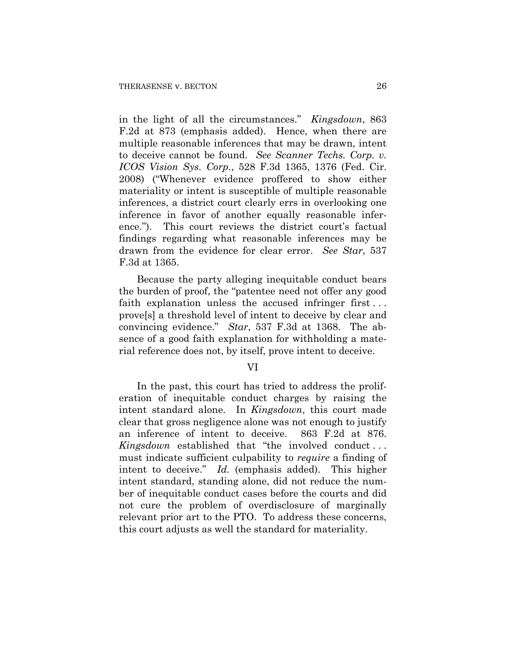in the light of all the circumstances." *Kingsdown*, 863 F.2d at 873 (emphasis added). Hence, when there are multiple reasonable inferences that may be drawn, intent to deceive cannot be found. *See Scanner Techs. Corp. v. ICOS Vision Sys. Corp.*, 528 F.3d 1365, 1376 (Fed. Cir. 2008) ("Whenever evidence proffered to show either materiality or intent is susceptible of multiple reasonable inferences, a district court clearly errs in overlooking one inference in favor of another equally reasonable inference."). This court reviews the district court's factual findings regarding what reasonable inferences may be drawn from the evidence for clear error. *See Star*, 537 F.3d at 1365.

Because the party alleging inequitable conduct bears the burden of proof, the "patentee need not offer any good faith explanation unless the accused infringer first . . . prove[s] a threshold level of intent to deceive by clear and convincing evidence." *Star*, 537 F.3d at 1368. The absence of a good faith explanation for withholding a material reference does not, by itself, prove intent to deceive.

# VI

In the past, this court has tried to address the proliferation of inequitable conduct charges by raising the intent standard alone. In *Kingsdown*, this court made clear that gross negligence alone was not enough to justify an inference of intent to deceive. 863 F.2d at 876. *Kingsdown* established that "the involved conduct . . . must indicate sufficient culpability to *require* a finding of intent to deceive." *Id.* (emphasis added). This higher intent standard, standing alone, did not reduce the number of inequitable conduct cases before the courts and did not cure the problem of overdisclosure of marginally relevant prior art to the PTO. To address these concerns, this court adjusts as well the standard for materiality.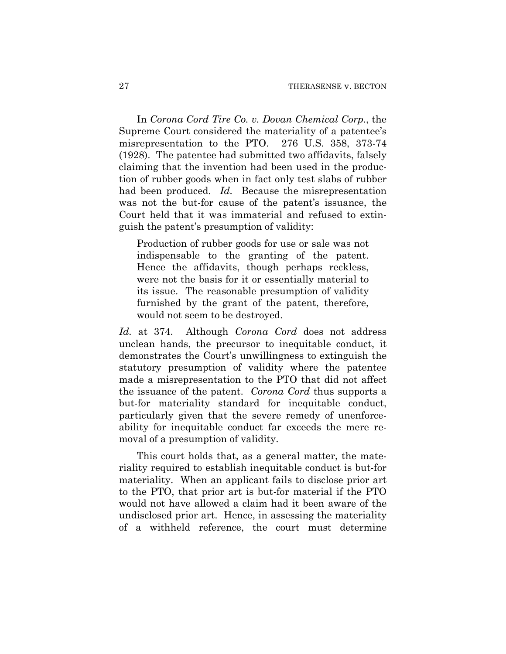In *Corona Cord Tire Co. v. Dovan Chemical Corp.*, the Supreme Court considered the materiality of a patentee's misrepresentation to the PTO. 276 U.S. 358, 373-74 (1928). The patentee had submitted two affidavits, falsely claiming that the invention had been used in the production of rubber goods when in fact only test slabs of rubber had been produced. *Id.* Because the misrepresentation was not the but-for cause of the patent's issuance, the Court held that it was immaterial and refused to extinguish the patent's presumption of validity:

Production of rubber goods for use or sale was not indispensable to the granting of the patent. Hence the affidavits, though perhaps reckless, were not the basis for it or essentially material to its issue. The reasonable presumption of validity furnished by the grant of the patent, therefore, would not seem to be destroyed.

*Id.* at 374. Although *Corona Cord* does not address unclean hands, the precursor to inequitable conduct, it demonstrates the Court's unwillingness to extinguish the statutory presumption of validity where the patentee made a misrepresentation to the PTO that did not affect the issuance of the patent. *Corona Cord* thus supports a but-for materiality standard for inequitable conduct, particularly given that the severe remedy of unenforceability for inequitable conduct far exceeds the mere removal of a presumption of validity.

This court holds that, as a general matter, the materiality required to establish inequitable conduct is but-for materiality. When an applicant fails to disclose prior art to the PTO, that prior art is but-for material if the PTO would not have allowed a claim had it been aware of the undisclosed prior art. Hence, in assessing the materiality of a withheld reference, the court must determine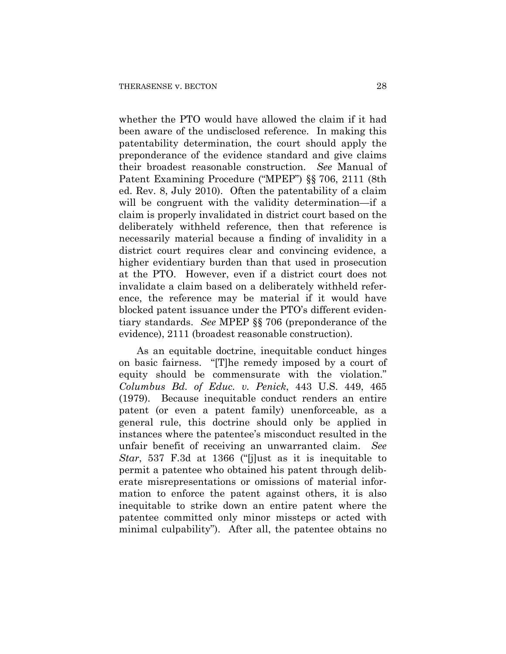whether the PTO would have allowed the claim if it had been aware of the undisclosed reference. In making this patentability determination, the court should apply the preponderance of the evidence standard and give claims their broadest reasonable construction. *See* Manual of Patent Examining Procedure ("MPEP") §§ 706, 2111 (8th ed. Rev. 8, July 2010). Often the patentability of a claim will be congruent with the validity determination—if a claim is properly invalidated in district court based on the deliberately withheld reference, then that reference is necessarily material because a finding of invalidity in a district court requires clear and convincing evidence, a higher evidentiary burden than that used in prosecution at the PTO. However, even if a district court does not invalidate a claim based on a deliberately withheld reference, the reference may be material if it would have blocked patent issuance under the PTO's different evidentiary standards. *See* MPEP §§ 706 (preponderance of the evidence), 2111 (broadest reasonable construction).

As an equitable doctrine, inequitable conduct hinges on basic fairness. "[T]he remedy imposed by a court of equity should be commensurate with the violation." *Columbus Bd. of Educ. v. Penick*, 443 U.S. 449, 465 (1979). Because inequitable conduct renders an entire patent (or even a patent family) unenforceable, as a general rule, this doctrine should only be applied in instances where the patentee's misconduct resulted in the unfair benefit of receiving an unwarranted claim. *See Star*, 537 F.3d at 1366 ("[j]ust as it is inequitable to permit a patentee who obtained his patent through deliberate misrepresentations or omissions of material information to enforce the patent against others, it is also inequitable to strike down an entire patent where the patentee committed only minor missteps or acted with minimal culpability"). After all, the patentee obtains no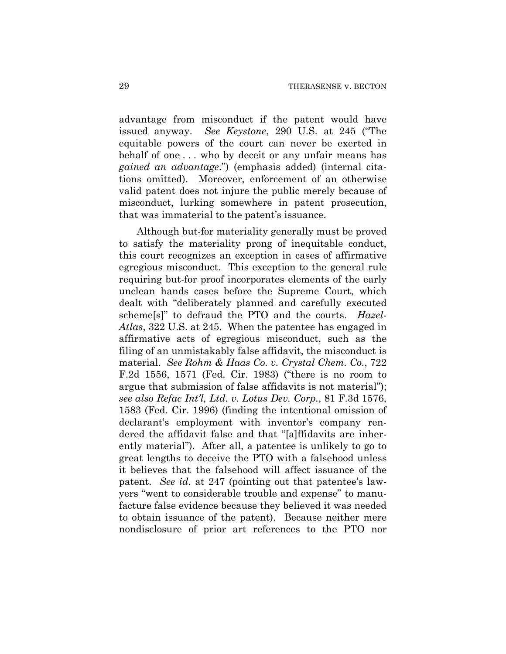advantage from misconduct if the patent would have issued anyway. *See Keystone*, 290 U.S. at 245 ("The equitable powers of the court can never be exerted in behalf of one . . . who by deceit or any unfair means has *gained an advantage*.") (emphasis added) (internal citations omitted). Moreover, enforcement of an otherwise valid patent does not injure the public merely because of misconduct, lurking somewhere in patent prosecution, that was immaterial to the patent's issuance.

Although but-for materiality generally must be proved to satisfy the materiality prong of inequitable conduct, this court recognizes an exception in cases of affirmative egregious misconduct. This exception to the general rule requiring but-for proof incorporates elements of the early unclean hands cases before the Supreme Court, which dealt with "deliberately planned and carefully executed scheme[s]" to defraud the PTO and the courts. *Hazel-Atlas*, 322 U.S. at 245. When the patentee has engaged in affirmative acts of egregious misconduct, such as the filing of an unmistakably false affidavit, the misconduct is material. *See Rohm & Haas Co. v. Crystal Chem. Co.*, 722 F.2d 1556, 1571 (Fed. Cir. 1983) ("there is no room to argue that submission of false affidavits is not material"); *see also Refac Int'l, Ltd. v. Lotus Dev. Corp.*, 81 F.3d 1576, 1583 (Fed. Cir. 1996) (finding the intentional omission of declarant's employment with inventor's company rendered the affidavit false and that "[a]ffidavits are inherently material"). After all, a patentee is unlikely to go to great lengths to deceive the PTO with a falsehood unless it believes that the falsehood will affect issuance of the patent. *See id.* at 247 (pointing out that patentee's lawyers "went to considerable trouble and expense" to manufacture false evidence because they believed it was needed to obtain issuance of the patent). Because neither mere nondisclosure of prior art references to the PTO nor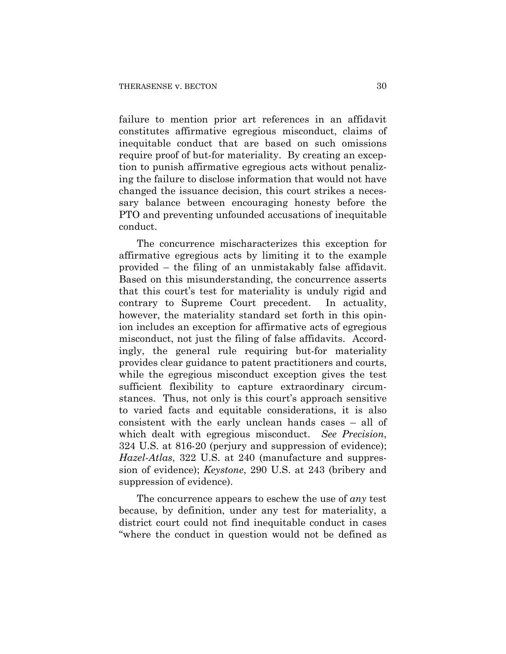failure to mention prior art references in an affidavit constitutes affirmative egregious misconduct, claims of inequitable conduct that are based on such omissions require proof of but-for materiality. By creating an exception to punish affirmative egregious acts without penalizing the failure to disclose information that would not have changed the issuance decision, this court strikes a necessary balance between encouraging honesty before the PTO and preventing unfounded accusations of inequitable conduct.

The concurrence mischaracterizes this exception for affirmative egregious acts by limiting it to the example provided – the filing of an unmistakably false affidavit. Based on this misunderstanding, the concurrence asserts that this court's test for materiality is unduly rigid and contrary to Supreme Court precedent. In actuality, however, the materiality standard set forth in this opinion includes an exception for affirmative acts of egregious misconduct, not just the filing of false affidavits. Accordingly, the general rule requiring but-for materiality provides clear guidance to patent practitioners and courts, while the egregious misconduct exception gives the test sufficient flexibility to capture extraordinary circumstances. Thus, not only is this court's approach sensitive to varied facts and equitable considerations, it is also consistent with the early unclean hands cases – all of which dealt with egregious misconduct. *See Precision*, 324 U.S. at 816-20 (perjury and suppression of evidence); *Hazel-Atlas*, 322 U.S. at 240 (manufacture and suppression of evidence); *Keystone*, 290 U.S. at 243 (bribery and suppression of evidence).

The concurrence appears to eschew the use of *any* test because, by definition, under any test for materiality, a district court could not find inequitable conduct in cases "where the conduct in question would not be defined as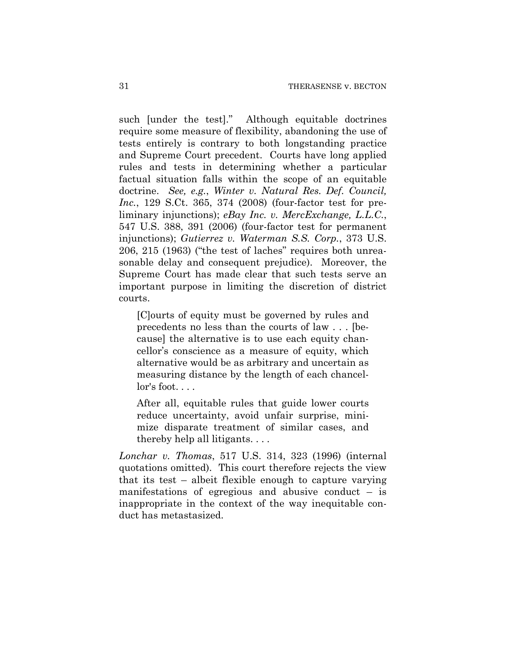such [under the test]." Although equitable doctrines require some measure of flexibility, abandoning the use of tests entirely is contrary to both longstanding practice and Supreme Court precedent. Courts have long applied rules and tests in determining whether a particular factual situation falls within the scope of an equitable doctrine. *See, e.g.*, *Winter v. Natural Res. Def. Council, Inc.*, 129 S.Ct. 365, 374 (2008) (four-factor test for preliminary injunctions); *eBay Inc. v. MercExchange, L.L.C.*, 547 U.S. 388, 391 (2006) (four-factor test for permanent injunctions); *Gutierrez v. Waterman S.S. Corp.*, 373 U.S. 206, 215 (1963) ("the test of laches" requires both unreasonable delay and consequent prejudice). Moreover, the Supreme Court has made clear that such tests serve an important purpose in limiting the discretion of district courts.

[C]ourts of equity must be governed by rules and precedents no less than the courts of law . . . [because] the alternative is to use each equity chancellor's conscience as a measure of equity, which alternative would be as arbitrary and uncertain as measuring distance by the length of each chancellor's foot....

After all, equitable rules that guide lower courts reduce uncertainty, avoid unfair surprise, minimize disparate treatment of similar cases, and thereby help all litigants. . . .

*Lonchar v. Thomas*, 517 U.S. 314, 323 (1996) (internal quotations omitted). This court therefore rejects the view that its test – albeit flexible enough to capture varying manifestations of egregious and abusive conduct – is inappropriate in the context of the way inequitable conduct has metastasized.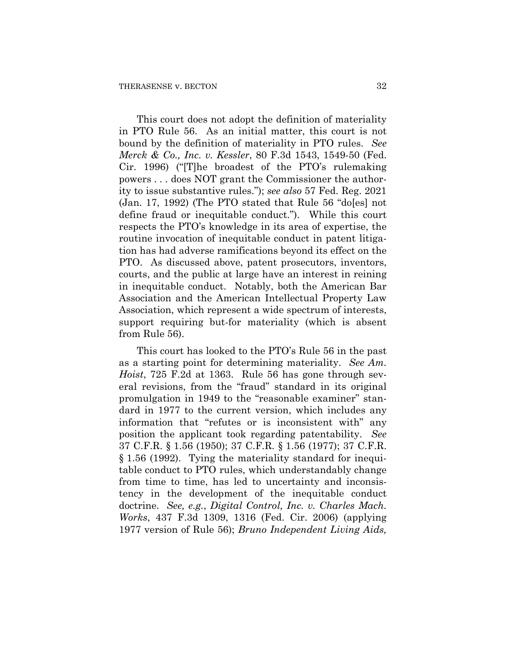This court does not adopt the definition of materiality in PTO Rule 56. As an initial matter, this court is not bound by the definition of materiality in PTO rules. *See Merck & Co., Inc. v. Kessler*, 80 F.3d 1543, 1549-50 (Fed. Cir. 1996) ("[T]he broadest of the PTO's rulemaking powers . . . does NOT grant the Commissioner the authority to issue substantive rules."); *see also* 57 Fed. Reg. 2021 (Jan. 17, 1992) (The PTO stated that Rule 56 "do[es] not define fraud or inequitable conduct."). While this court respects the PTO's knowledge in its area of expertise, the routine invocation of inequitable conduct in patent litigation has had adverse ramifications beyond its effect on the PTO. As discussed above, patent prosecutors, inventors, courts, and the public at large have an interest in reining in inequitable conduct. Notably, both the American Bar Association and the American Intellectual Property Law Association, which represent a wide spectrum of interests, support requiring but-for materiality (which is absent from Rule 56).

This court has looked to the PTO's Rule 56 in the past as a starting point for determining materiality. *See Am. Hoist*, 725 F.2d at 1363. Rule 56 has gone through several revisions, from the "fraud" standard in its original promulgation in 1949 to the "reasonable examiner" standard in 1977 to the current version, which includes any information that "refutes or is inconsistent with" any position the applicant took regarding patentability. *See*  37 C.F.R. § 1.56 (1950); 37 C.F.R. § 1.56 (1977); 37 C.F.R. § 1.56 (1992). Tying the materiality standard for inequitable conduct to PTO rules, which understandably change from time to time, has led to uncertainty and inconsistency in the development of the inequitable conduct doctrine. *See, e.g.*, *Digital Control, Inc. v. Charles Mach. Works*, 437 F.3d 1309, 1316 (Fed. Cir. 2006) (applying 1977 version of Rule 56); *Bruno Independent Living Aids,*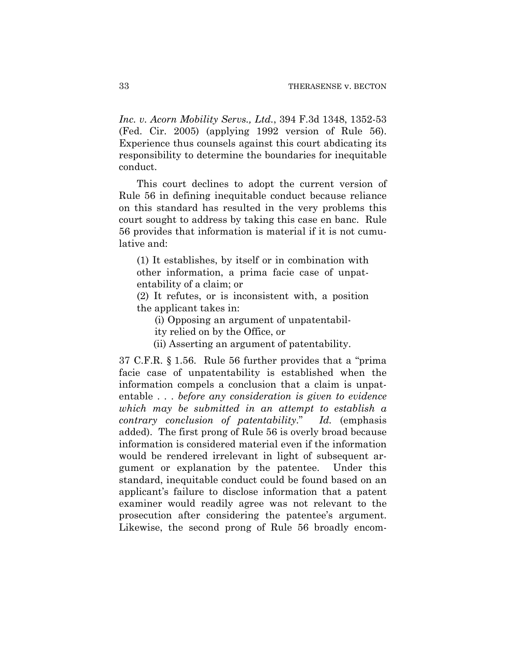*Inc. v. Acorn Mobility Servs., Ltd.*, 394 F.3d 1348, 1352-53 (Fed. Cir. 2005) (applying 1992 version of Rule 56). Experience thus counsels against this court abdicating its responsibility to determine the boundaries for inequitable conduct.

This court declines to adopt the current version of Rule 56 in defining inequitable conduct because reliance on this standard has resulted in the very problems this court sought to address by taking this case en banc. Rule 56 provides that information is material if it is not cumulative and:

(1) It establishes, by itself or in combination with other information, a prima facie case of unpatentability of a claim; or

(2) It refutes, or is inconsistent with, a position the applicant takes in:

(i) Opposing an argument of unpatentabil-

ity relied on by the Office, or

(ii) Asserting an argument of patentability.

37 C.F.R. § 1.56. Rule 56 further provides that a "prima facie case of unpatentability is established when the information compels a conclusion that a claim is unpatentable . . . *before any consideration is given to evidence which may be submitted in an attempt to establish a contrary conclusion of patentability*." *Id.* (emphasis added). The first prong of Rule 56 is overly broad because information is considered material even if the information would be rendered irrelevant in light of subsequent argument or explanation by the patentee. Under this standard, inequitable conduct could be found based on an applicant's failure to disclose information that a patent examiner would readily agree was not relevant to the prosecution after considering the patentee's argument. Likewise, the second prong of Rule 56 broadly encom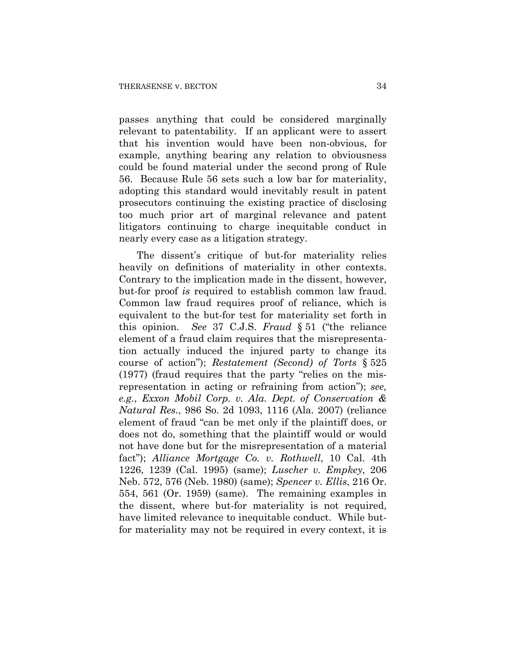passes anything that could be considered marginally relevant to patentability. If an applicant were to assert that his invention would have been non-obvious, for example, anything bearing any relation to obviousness could be found material under the second prong of Rule 56. Because Rule 56 sets such a low bar for materiality, adopting this standard would inevitably result in patent prosecutors continuing the existing practice of disclosing too much prior art of marginal relevance and patent litigators continuing to charge inequitable conduct in nearly every case as a litigation strategy.

The dissent's critique of but-for materiality relies heavily on definitions of materiality in other contexts. Contrary to the implication made in the dissent, however, but-for proof *is* required to establish common law fraud. Common law fraud requires proof of reliance, which is equivalent to the but-for test for materiality set forth in this opinion. *See* 37 C.J.S. *Fraud* § 51 ("the reliance element of a fraud claim requires that the misrepresentation actually induced the injured party to change its course of action"); *Restatement (Second) of Torts* § 525 (1977) (fraud requires that the party "relies on the misrepresentation in acting or refraining from action"); *see, e.g.*, *Exxon Mobil Corp. v. Ala. Dept. of Conservation & Natural Res.*, 986 So. 2d 1093, 1116 (Ala. 2007) (reliance element of fraud "can be met only if the plaintiff does, or does not do, something that the plaintiff would or would not have done but for the misrepresentation of a material fact"); *Alliance Mortgage Co. v. Rothwell*, 10 Cal. 4th 1226, 1239 (Cal. 1995) (same); *Luscher v. Empkey*, 206 Neb. 572, 576 (Neb. 1980) (same); *Spencer v. Ellis*, 216 Or. 554, 561 (Or. 1959) (same). The remaining examples in the dissent, where but-for materiality is not required, have limited relevance to inequitable conduct. While butfor materiality may not be required in every context, it is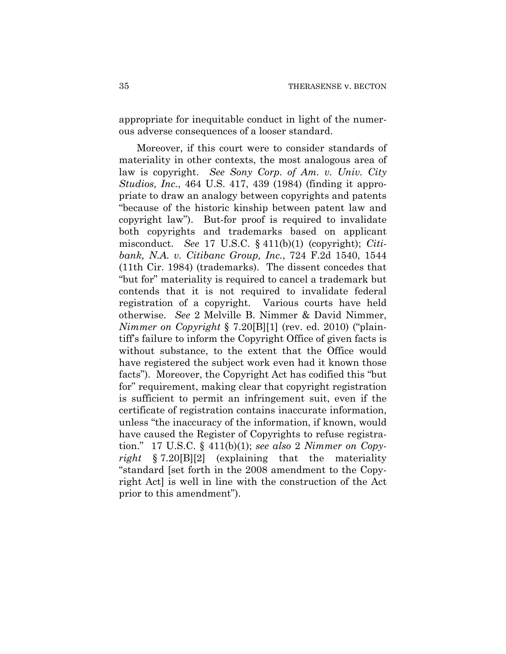appropriate for inequitable conduct in light of the numerous adverse consequences of a looser standard.

Moreover, if this court were to consider standards of materiality in other contexts, the most analogous area of law is copyright. *See Sony Corp. of Am. v. Univ. City Studios, Inc.*, 464 U.S. 417, 439 (1984) (finding it appropriate to draw an analogy between copyrights and patents "because of the historic kinship between patent law and copyright law"). But-for proof is required to invalidate both copyrights and trademarks based on applicant misconduct. *See* 17 U.S.C. § 411(b)(1) (copyright); *Citibank, N.A. v. Citibanc Group, Inc.*, 724 F.2d 1540, 1544 (11th Cir. 1984) (trademarks). The dissent concedes that "but for" materiality is required to cancel a trademark but contends that it is not required to invalidate federal registration of a copyright. Various courts have held otherwise. *See* 2 Melville B. Nimmer & David Nimmer, *Nimmer on Copyright* § 7.20[B][1] (rev. ed. 2010) ("plaintiff's failure to inform the Copyright Office of given facts is without substance, to the extent that the Office would have registered the subject work even had it known those facts"). Moreover, the Copyright Act has codified this "but for" requirement, making clear that copyright registration is sufficient to permit an infringement suit, even if the certificate of registration contains inaccurate information, unless "the inaccuracy of the information, if known, would have caused the Register of Copyrights to refuse registration." 17 U.S.C. § 411(b)(1); *see also* 2 *Nimmer on Copyright* § 7.20[B][2] (explaining that the materiality "standard [set forth in the 2008 amendment to the Copyright Act] is well in line with the construction of the Act prior to this amendment").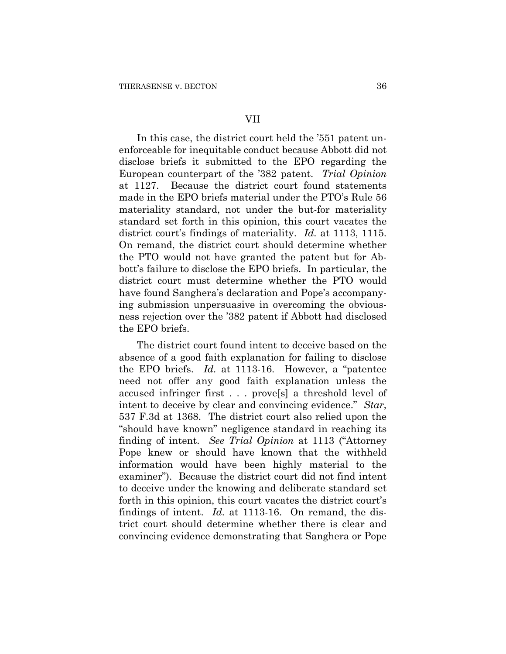# VII

In this case, the district court held the '551 patent unenforceable for inequitable conduct because Abbott did not disclose briefs it submitted to the EPO regarding the European counterpart of the '382 patent. *Trial Opinion* at 1127. Because the district court found statements made in the EPO briefs material under the PTO's Rule 56 materiality standard, not under the but-for materiality standard set forth in this opinion, this court vacates the district court's findings of materiality. *Id.* at 1113, 1115. On remand, the district court should determine whether the PTO would not have granted the patent but for Abbott's failure to disclose the EPO briefs. In particular, the district court must determine whether the PTO would have found Sanghera's declaration and Pope's accompanying submission unpersuasive in overcoming the obviousness rejection over the '382 patent if Abbott had disclosed the EPO briefs.

The district court found intent to deceive based on the absence of a good faith explanation for failing to disclose the EPO briefs. *Id.* at 1113-16. However, a "patentee need not offer any good faith explanation unless the accused infringer first . . . prove[s] a threshold level of intent to deceive by clear and convincing evidence." *Star*, 537 F.3d at 1368. The district court also relied upon the "should have known" negligence standard in reaching its finding of intent. *See Trial Opinion* at 1113 ("Attorney Pope knew or should have known that the withheld information would have been highly material to the examiner"). Because the district court did not find intent to deceive under the knowing and deliberate standard set forth in this opinion, this court vacates the district court's findings of intent. *Id.* at 1113-16. On remand, the district court should determine whether there is clear and convincing evidence demonstrating that Sanghera or Pope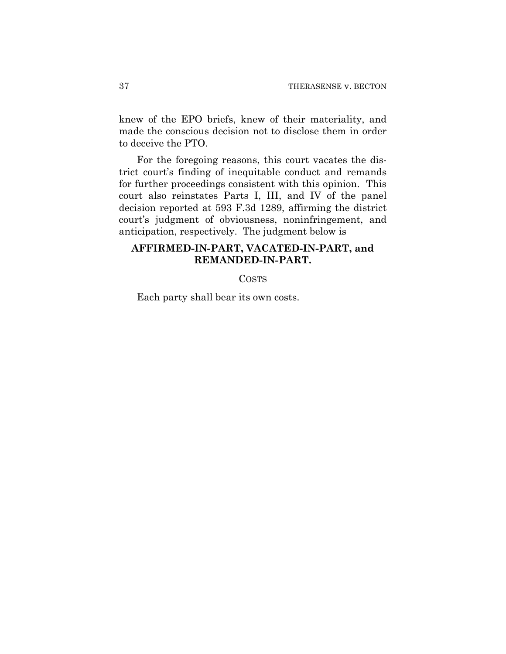knew of the EPO briefs, knew of their materiality, and made the conscious decision not to disclose them in order to deceive the PTO.

For the foregoing reasons, this court vacates the district court's finding of inequitable conduct and remands for further proceedings consistent with this opinion. This court also reinstates Parts I, III, and IV of the panel decision reported at 593 F.3d 1289, affirming the district court's judgment of obviousness, noninfringement, and anticipation, respectively. The judgment below is

## **AFFIRMED-IN-PART, VACATED-IN-PART, and REMANDED-IN-PART.**

COSTS

Each party shall bear its own costs.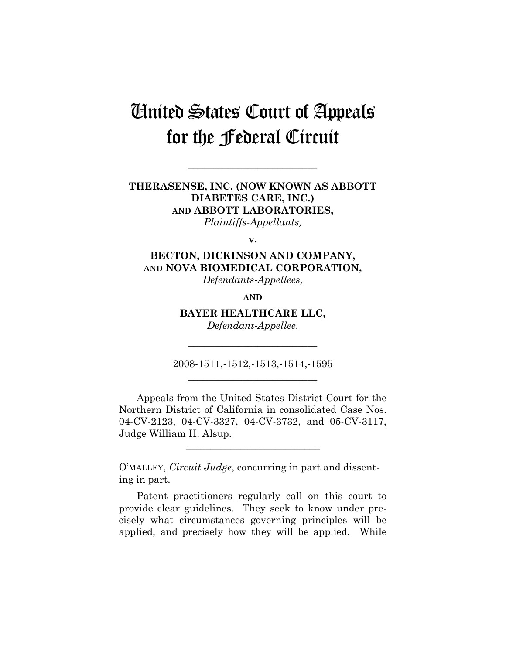# United States Court of Appeals for the Federal Circuit

**\_\_\_\_\_\_\_\_\_\_\_\_\_\_\_\_\_\_\_\_\_\_\_\_\_\_** 

### **THERASENSE, INC. (NOW KNOWN AS ABBOTT DIABETES CARE, INC.) AND ABBOTT LABORATORIES,**  *Plaintiffs-Appellants,*

**v.** 

### **BECTON, DICKINSON AND COMPANY, AND NOVA BIOMEDICAL CORPORATION,**  *Defendants-Appellees,*

**AND**

**BAYER HEALTHCARE LLC,** 

*Defendant-Appellee.*  **\_\_\_\_\_\_\_\_\_\_\_\_\_\_\_\_\_\_\_\_\_\_\_\_\_\_** 

2008-1511,-1512,-1513,-1514,-1595 **\_\_\_\_\_\_\_\_\_\_\_\_\_\_\_\_\_\_\_\_\_\_\_\_\_\_** 

Appeals from the United States District Court for the Northern District of California in consolidated Case Nos. 04-CV-2123, 04-CV-3327, 04-CV-3732, and 05-CV-3117, Judge William H. Alsup.

**\_\_\_\_\_\_\_\_\_\_\_\_\_\_\_\_\_\_\_\_\_\_\_\_\_\_\_** 

O'MALLEY, *Circuit Judge*, concurring in part and dissenting in part.

Patent practitioners regularly call on this court to provide clear guidelines. They seek to know under precisely what circumstances governing principles will be applied, and precisely how they will be applied. While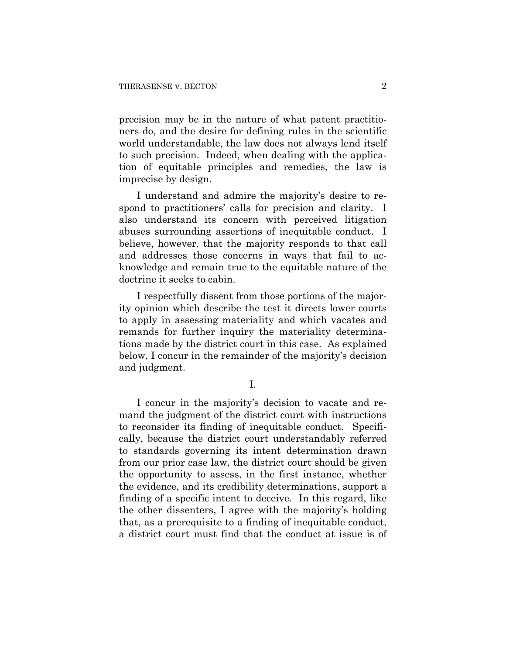precision may be in the nature of what patent practitioners do, and the desire for defining rules in the scientific world understandable, the law does not always lend itself to such precision. Indeed, when dealing with the application of equitable principles and remedies, the law is imprecise by design.

I understand and admire the majority's desire to respond to practitioners' calls for precision and clarity. I also understand its concern with perceived litigation abuses surrounding assertions of inequitable conduct. I believe, however, that the majority responds to that call and addresses those concerns in ways that fail to acknowledge and remain true to the equitable nature of the doctrine it seeks to cabin.

I respectfully dissent from those portions of the majority opinion which describe the test it directs lower courts to apply in assessing materiality and which vacates and remands for further inquiry the materiality determinations made by the district court in this case. As explained below, I concur in the remainder of the majority's decision and judgment.

I.

I concur in the majority's decision to vacate and remand the judgment of the district court with instructions to reconsider its finding of inequitable conduct. Specifically, because the district court understandably referred to standards governing its intent determination drawn from our prior case law, the district court should be given the opportunity to assess, in the first instance, whether the evidence, and its credibility determinations, support a finding of a specific intent to deceive. In this regard, like the other dissenters, I agree with the majority's holding that, as a prerequisite to a finding of inequitable conduct, a district court must find that the conduct at issue is of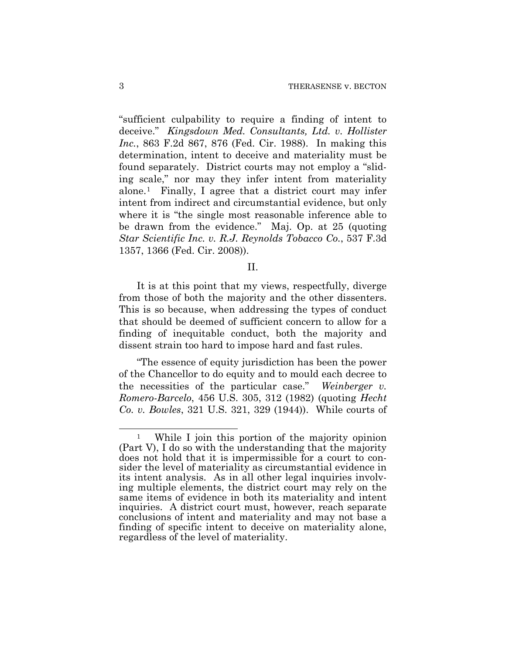"sufficient culpability to require a finding of intent to deceive." *Kingsdown Med. Consultants, Ltd. v. Hollister Inc.*, 863 F.2d 867, 876 (Fed. Cir. 1988). In making this determination, intent to deceive and materiality must be found separately. District courts may not employ a "sliding scale," nor may they infer intent from materiality alone.[1](#page-39-0) Finally, I agree that a district court may infer intent from indirect and circumstantial evidence, but only where it is "the single most reasonable inference able to be drawn from the evidence." Maj. Op. at 25 (quoting *Star Scientific Inc. v. R.J. Reynolds Tobacco Co.*, 537 F.3d 1357, 1366 (Fed. Cir. 2008)).

#### II.

It is at this point that my views, respectfully, diverge from those of both the majority and the other dissenters. This is so because, when addressing the types of conduct that should be deemed of sufficient concern to allow for a finding of inequitable conduct, both the majority and dissent strain too hard to impose hard and fast rules.

"The essence of equity jurisdiction has been the power of the Chancellor to do equity and to mould each decree to the necessities of the particular case." *Weinberger v. Romero-Barcelo*, 456 U.S. 305, 312 (1982) (quoting *Hecht Co. v. Bowles*, 321 U.S. 321, 329 (1944)). While courts of

1

<span id="page-39-0"></span>While I join this portion of the majority opinion (Part V), I do so with the understanding that the majority does not hold that it is impermissible for a court to consider the level of materiality as circumstantial evidence in its intent analysis. As in all other legal inquiries involving multiple elements, the district court may rely on the same items of evidence in both its materiality and intent inquiries. A district court must, however, reach separate conclusions of intent and materiality and may not base a finding of specific intent to deceive on materiality alone, regardless of the level of materiality.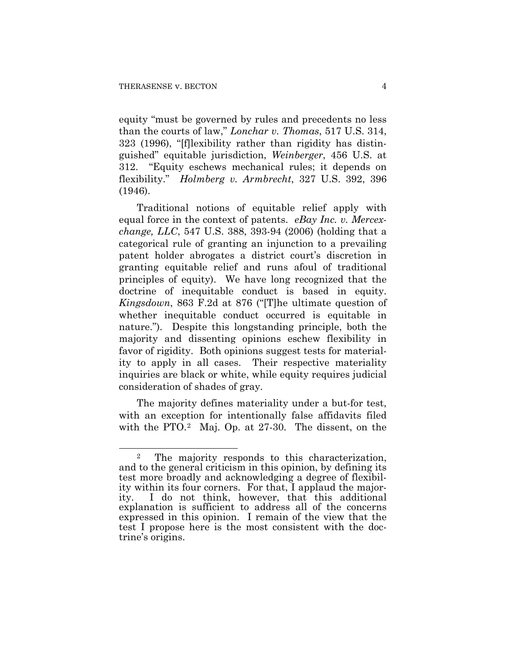equity "must be governed by rules and precedents no less than the courts of law," *Lonchar v. Thomas*, 517 U.S. 314, 323 (1996), "[f]lexibility rather than rigidity has distinguished" equitable jurisdiction, *Weinberger*, 456 U.S. at 312. "Equity eschews mechanical rules; it depends on flexibility." *Holmberg v. Armbrecht*, 327 U.S. 392, 396 (1946).

Traditional notions of equitable relief apply with equal force in the context of patents. *eBay Inc. v. Mercexchange, LLC*, 547 U.S. 388, 393-94 (2006) (holding that a categorical rule of granting an injunction to a prevailing patent holder abrogates a district court's discretion in granting equitable relief and runs afoul of traditional principles of equity). We have long recognized that the doctrine of inequitable conduct is based in equity. *Kingsdown*, 863 F.2d at 876 ("[T]he ultimate question of whether inequitable conduct occurred is equitable in nature."). Despite this longstanding principle, both the majority and dissenting opinions eschew flexibility in favor of rigidity. Both opinions suggest tests for materiality to apply in all cases. Their respective materiality inquiries are black or white, while equity requires judicial consideration of shades of gray.

The majority defines materiality under a but-for test, with an exception for intentionally false affidavits filed with the PTO.<sup>2</sup> Maj. Op. at 27-30. The dissent, on the

<span id="page-40-0"></span> $\overline{a}$ 2 The majority responds to this characterization, and to the general criticism in this opinion, by defining its test more broadly and acknowledging a degree of flexibility within its four corners. For that, I applaud the majority. I do not think, however, that this additional explanation is sufficient to address all of the concerns expressed in this opinion. I remain of the view that the test I propose here is the most consistent with the doctrine's origins.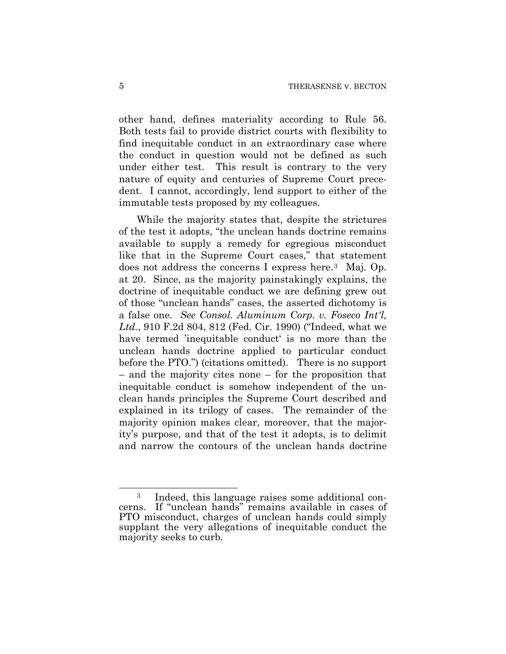other hand, defines materiality according to Rule 56. Both tests fail to provide district courts with flexibility to find inequitable conduct in an extraordinary case where the conduct in question would not be defined as such under either test. This result is contrary to the very nature of equity and centuries of Supreme Court precedent. I cannot, accordingly, lend support to either of the immutable tests proposed by my colleagues.

While the majority states that, despite the strictures of the test it adopts, "the unclean hands doctrine remains available to supply a remedy for egregious misconduct like that in the Supreme Court cases," that statement does not address the concerns I express here.[3](#page-41-0) Maj. Op. at 20. Since, as the majority painstakingly explains, the doctrine of inequitable conduct we are defining grew out of those "unclean hands" cases, the asserted dichotomy is a false one. *See Consol. Aluminum Corp. v. Foseco Int'l, Ltd.*, 910 F.2d 804, 812 (Fed. Cir. 1990) ("Indeed, what we have termed 'inequitable conduct' is no more than the unclean hands doctrine applied to particular conduct before the PTO.") (citations omitted). There is no support – and the majority cites none – for the proposition that inequitable conduct is somehow independent of the unclean hands principles the Supreme Court described and explained in its trilogy of cases. The remainder of the majority opinion makes clear, moreover, that the majority's purpose, and that of the test it adopts, is to delimit and narrow the contours of the unclean hands doctrine

 $\overline{a}$ 

<span id="page-41-0"></span><sup>3</sup> Indeed, this language raises some additional concerns. If "unclean hands" remains available in cases of PTO misconduct, charges of unclean hands could simply supplant the very allegations of inequitable conduct the majority seeks to curb.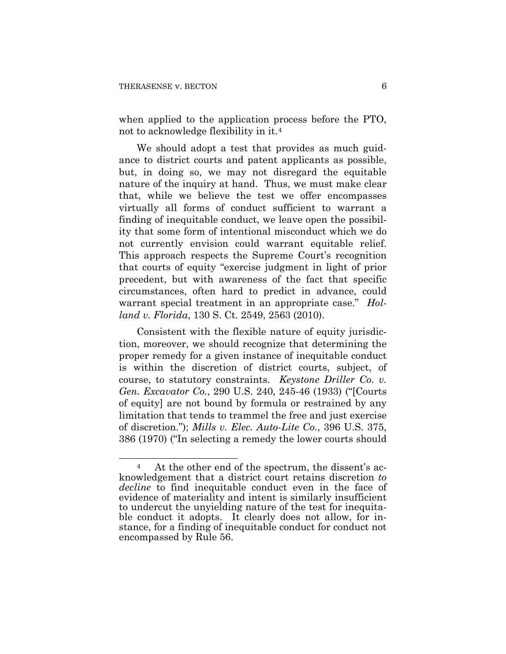$\overline{a}$ 

when applied to the application process before the PTO, not to acknowledge flexibility in it.[4](#page-42-0)

We should adopt a test that provides as much guidance to district courts and patent applicants as possible, but, in doing so, we may not disregard the equitable nature of the inquiry at hand. Thus, we must make clear that, while we believe the test we offer encompasses virtually all forms of conduct sufficient to warrant a finding of inequitable conduct, we leave open the possibility that some form of intentional misconduct which we do not currently envision could warrant equitable relief. This approach respects the Supreme Court's recognition that courts of equity "exercise judgment in light of prior precedent, but with awareness of the fact that specific circumstances, often hard to predict in advance, could warrant special treatment in an appropriate case." *Holland v. Florida*, 130 S. Ct. 2549, 2563 (2010).

Consistent with the flexible nature of equity jurisdiction, moreover, we should recognize that determining the proper remedy for a given instance of inequitable conduct is within the discretion of district courts, subject, of course, to statutory constraints. *Keystone Driller Co. v. Gen. Excavator Co.*, 290 U.S. 240, 245-46 (1933) ("[Courts of equity] are not bound by formula or restrained by any limitation that tends to trammel the free and just exercise of discretion."); *Mills v. Elec. Auto-Lite Co.*, 396 U.S. 375, 386 (1970) ("In selecting a remedy the lower courts should

<span id="page-42-0"></span>At the other end of the spectrum, the dissent's acknowledgement that a district court retains discretion *to decline* to find inequitable conduct even in the face of evidence of materiality and intent is similarly insufficient to undercut the unyielding nature of the test for inequitable conduct it adopts. It clearly does not allow, for instance, for a finding of inequitable conduct for conduct not encompassed by Rule 56.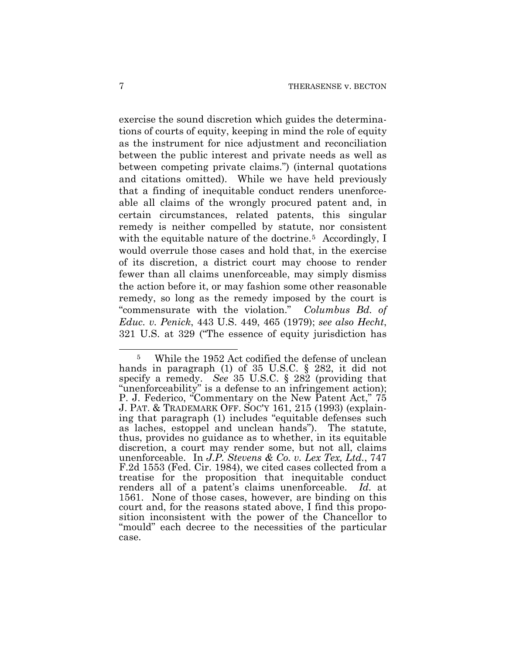exercise the sound discretion which guides the determinations of courts of equity, keeping in mind the role of equity as the instrument for nice adjustment and reconciliation between the public interest and private needs as well as between competing private claims.") (internal quotations and citations omitted). While we have held previously that a finding of inequitable conduct renders unenforceable all claims of the wrongly procured patent and, in certain circumstances, related patents, this singular remedy is neither compelled by statute, nor consistent with the equitable nature of the doctrine.<sup>[5](#page-43-0)</sup> Accordingly, I would overrule those cases and hold that, in the exercise of its discretion, a district court may choose to render fewer than all claims unenforceable, may simply dismiss the action before it, or may fashion some other reasonable remedy, so long as the remedy imposed by the court is "commensurate with the violation." *Columbus Bd. of Educ. v. Penick*, 443 U.S. 449, 465 (1979); *see also Hecht*, 321 U.S. at 329 ("The essence of equity jurisdiction has

1

<span id="page-43-0"></span><sup>5</sup> While the 1952 Act codified the defense of unclean hands in paragraph (1) of 35 U.S.C. § 282, it did not specify a remedy. *See* 35 U.S.C. § 282 (providing that "unenforceability" is a defense to an infringement action); P. J. Federico, "Commentary on the New Patent Act," 75 J. PAT. & TRADEMARK OFF. SOC'Y 161, 215 (1993) (explaining that paragraph (1) includes "equitable defenses such as laches, estoppel and unclean hands"). The statute, thus, provides no guidance as to whether, in its equitable discretion, a court may render some, but not all, claims unenforceable. In *J.P. Stevens & Co. v. Lex Tex, Ltd.*, 747 F.2d 1553 (Fed. Cir. 1984), we cited cases collected from a treatise for the proposition that inequitable conduct renders all of a patent's claims unenforceable. *Id.* at 1561. None of those cases, however, are binding on this court and, for the reasons stated above, I find this proposition inconsistent with the power of the Chancellor to "mould" each decree to the necessities of the particular case.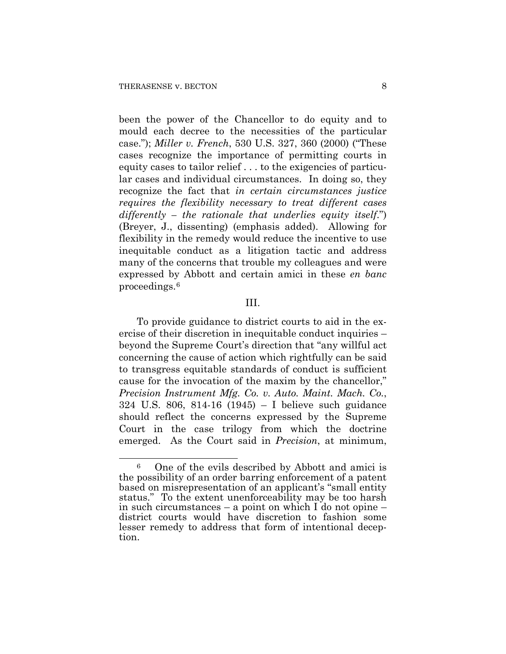$\overline{a}$ 

been the power of the Chancellor to do equity and to mould each decree to the necessities of the particular case."); *Miller v. French*, 530 U.S. 327, 360 (2000) ("These cases recognize the importance of permitting courts in equity cases to tailor relief . . . to the exigencies of particular cases and individual circumstances. In doing so, they recognize the fact that *in certain circumstances justice requires the flexibility necessary to treat different cases differently – the rationale that underlies equity itself*.") (Breyer, J., dissenting) (emphasis added). Allowing for flexibility in the remedy would reduce the incentive to use inequitable conduct as a litigation tactic and address many of the concerns that trouble my colleagues and were expressed by Abbott and certain amici in these *en banc* proceedings.[6](#page-44-0)

#### III.

To provide guidance to district courts to aid in the exercise of their discretion in inequitable conduct inquiries – beyond the Supreme Court's direction that "any willful act concerning the cause of action which rightfully can be said to transgress equitable standards of conduct is sufficient cause for the invocation of the maxim by the chancellor," *Precision Instrument Mfg. Co. v. Auto. Maint. Mach. Co.*, 324 U.S. 806, 814-16 (1945) – I believe such guidance should reflect the concerns expressed by the Supreme Court in the case trilogy from which the doctrine emerged. As the Court said in *Precision*, at minimum,

<span id="page-44-0"></span><sup>6</sup> One of the evils described by Abbott and amici is the possibility of an order barring enforcement of a patent based on misrepresentation of an applicant's "small entity status." To the extent unenforceability may be too harsh in such circumstances – a point on which I do not opine – district courts would have discretion to fashion some lesser remedy to address that form of intentional deception.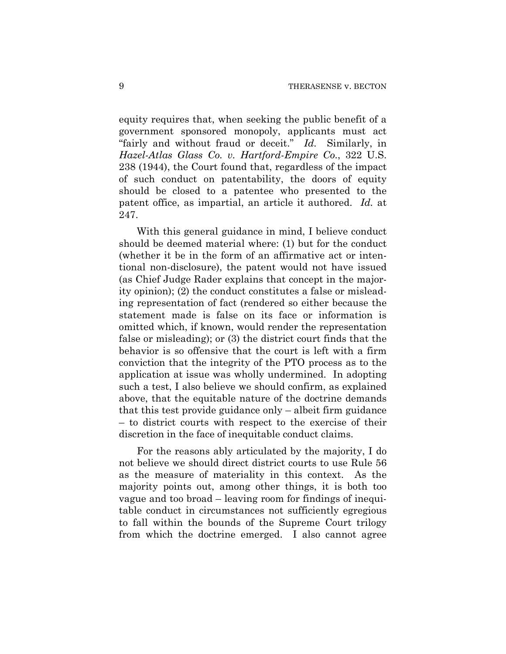equity requires that, when seeking the public benefit of a government sponsored monopoly, applicants must act "fairly and without fraud or deceit." *Id.* Similarly, in *Hazel-Atlas Glass Co. v. Hartford-Empire Co.*, 322 U.S. 238 (1944), the Court found that, regardless of the impact of such conduct on patentability, the doors of equity should be closed to a patentee who presented to the patent office, as impartial, an article it authored. *Id.* at 247.

With this general guidance in mind, I believe conduct should be deemed material where: (1) but for the conduct (whether it be in the form of an affirmative act or intentional non-disclosure), the patent would not have issued (as Chief Judge Rader explains that concept in the majority opinion); (2) the conduct constitutes a false or misleading representation of fact (rendered so either because the statement made is false on its face or information is omitted which, if known, would render the representation false or misleading); or (3) the district court finds that the behavior is so offensive that the court is left with a firm conviction that the integrity of the PTO process as to the application at issue was wholly undermined. In adopting such a test, I also believe we should confirm, as explained above, that the equitable nature of the doctrine demands that this test provide guidance only – albeit firm guidance – to district courts with respect to the exercise of their discretion in the face of inequitable conduct claims.

For the reasons ably articulated by the majority, I do not believe we should direct district courts to use Rule 56 as the measure of materiality in this context. As the majority points out, among other things, it is both too vague and too broad – leaving room for findings of inequitable conduct in circumstances not sufficiently egregious to fall within the bounds of the Supreme Court trilogy from which the doctrine emerged. I also cannot agree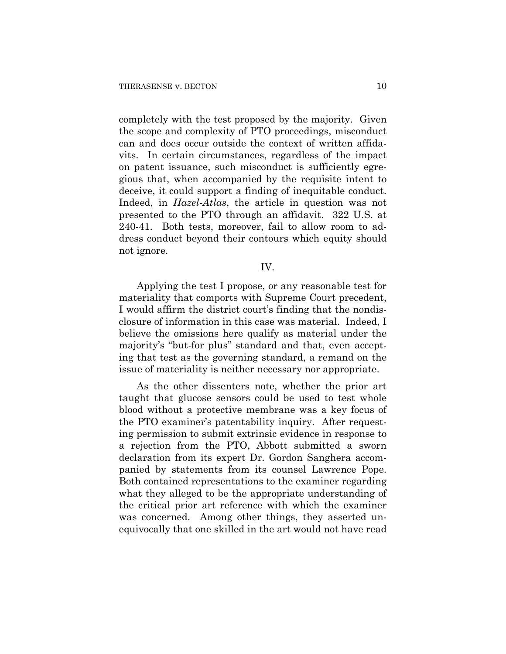completely with the test proposed by the majority. Given the scope and complexity of PTO proceedings, misconduct can and does occur outside the context of written affidavits. In certain circumstances, regardless of the impact on patent issuance, such misconduct is sufficiently egregious that, when accompanied by the requisite intent to deceive, it could support a finding of inequitable conduct. Indeed, in *Hazel-Atlas*, the article in question was not presented to the PTO through an affidavit. 322 U.S. at 240-41. Both tests, moreover, fail to allow room to address conduct beyond their contours which equity should not ignore.

IV.

Applying the test I propose, or any reasonable test for materiality that comports with Supreme Court precedent, I would affirm the district court's finding that the nondisclosure of information in this case was material. Indeed, I believe the omissions here qualify as material under the majority's "but-for plus" standard and that, even accepting that test as the governing standard, a remand on the issue of materiality is neither necessary nor appropriate.

As the other dissenters note, whether the prior art taught that glucose sensors could be used to test whole blood without a protective membrane was a key focus of the PTO examiner's patentability inquiry. After requesting permission to submit extrinsic evidence in response to a rejection from the PTO, Abbott submitted a sworn declaration from its expert Dr. Gordon Sanghera accompanied by statements from its counsel Lawrence Pope. Both contained representations to the examiner regarding what they alleged to be the appropriate understanding of the critical prior art reference with which the examiner was concerned. Among other things, they asserted unequivocally that one skilled in the art would not have read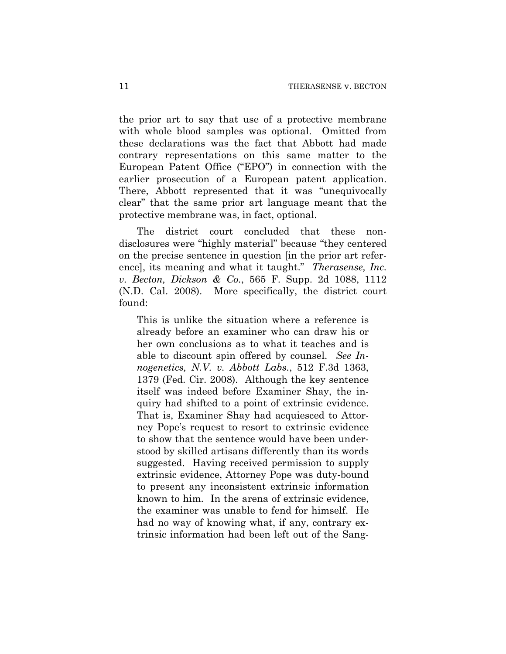the prior art to say that use of a protective membrane with whole blood samples was optional. Omitted from these declarations was the fact that Abbott had made contrary representations on this same matter to the European Patent Office ("EPO") in connection with the earlier prosecution of a European patent application. There, Abbott represented that it was "unequivocally clear" that the same prior art language meant that the protective membrane was, in fact, optional.

The district court concluded that these nondisclosures were "highly material" because "they centered on the precise sentence in question [in the prior art reference], its meaning and what it taught." *Therasense, Inc. v. Becton, Dickson & Co.*, 565 F. Supp. 2d 1088, 1112 (N.D. Cal. 2008). More specifically, the district court found:

This is unlike the situation where a reference is already before an examiner who can draw his or her own conclusions as to what it teaches and is able to discount spin offered by counsel. *See Innogenetics, N.V. v. Abbott Labs.*, 512 F.3d 1363, 1379 (Fed. Cir. 2008). Although the key sentence itself was indeed before Examiner Shay, the inquiry had shifted to a point of extrinsic evidence. That is, Examiner Shay had acquiesced to Attorney Pope's request to resort to extrinsic evidence to show that the sentence would have been understood by skilled artisans differently than its words suggested. Having received permission to supply extrinsic evidence, Attorney Pope was duty-bound to present any inconsistent extrinsic information known to him. In the arena of extrinsic evidence, the examiner was unable to fend for himself. He had no way of knowing what, if any, contrary extrinsic information had been left out of the Sang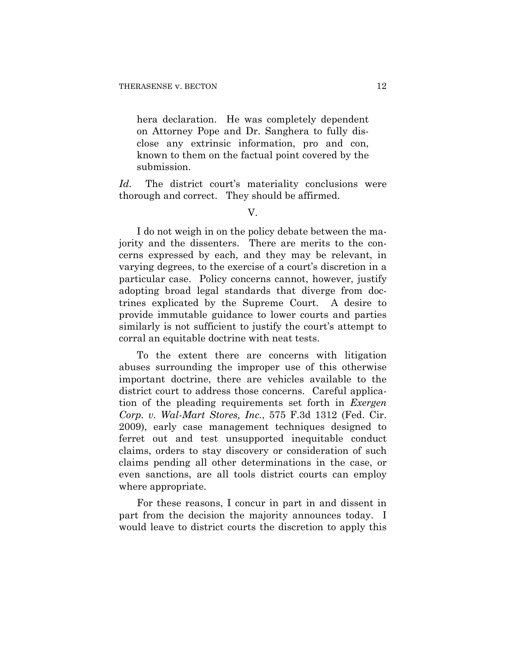hera declaration. He was completely dependent on Attorney Pope and Dr. Sanghera to fully disclose any extrinsic information, pro and con, known to them on the factual point covered by the submission.

Id. The district court's materiality conclusions were thorough and correct. They should be affirmed.

I do not weigh in on the policy debate between the majority and the dissenters. There are merits to the concerns expressed by each, and they may be relevant, in varying degrees, to the exercise of a court's discretion in a particular case. Policy concerns cannot, however, justify adopting broad legal standards that diverge from doctrines explicated by the Supreme Court. A desire to provide immutable guidance to lower courts and parties similarly is not sufficient to justify the court's attempt to corral an equitable doctrine with neat tests.

To the extent there are concerns with litigation abuses surrounding the improper use of this otherwise important doctrine, there are vehicles available to the district court to address those concerns. Careful application of the pleading requirements set forth in *Exergen Corp. v. Wal-Mart Stores, Inc.*, 575 F.3d 1312 (Fed. Cir. 2009), early case management techniques designed to ferret out and test unsupported inequitable conduct claims, orders to stay discovery or consideration of such claims pending all other determinations in the case, or even sanctions, are all tools district courts can employ where appropriate.

For these reasons, I concur in part in and dissent in part from the decision the majority announces today. I would leave to district courts the discretion to apply this

V.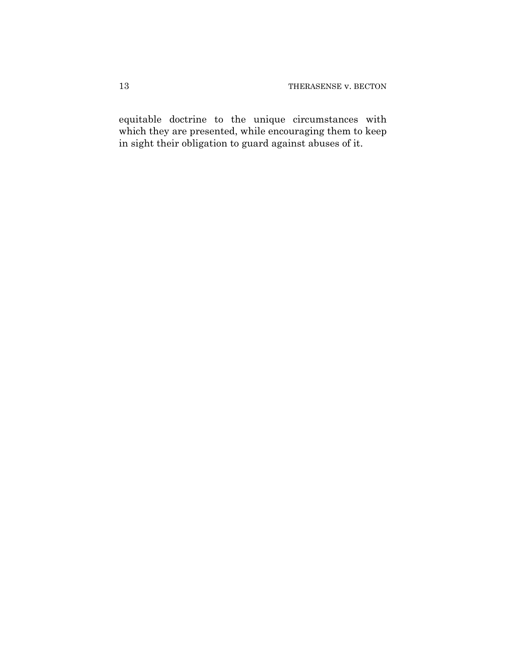equitable doctrine to the unique circumstances with which they are presented, while encouraging them to keep in sight their obligation to guard against abuses of it.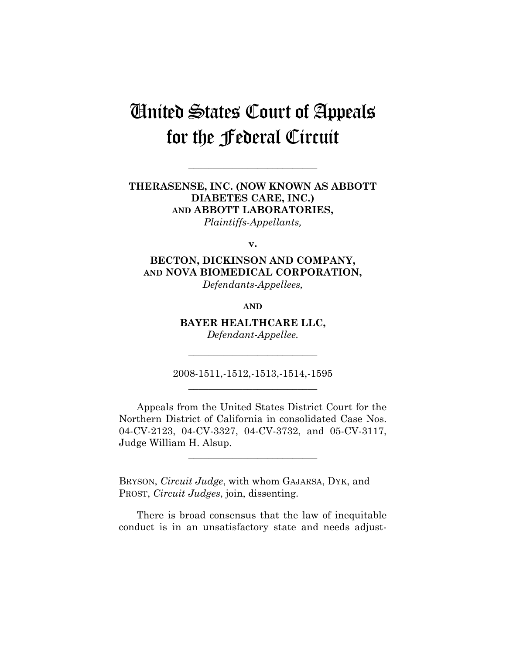# United States Court of Appeals for the Federal Circuit

**\_\_\_\_\_\_\_\_\_\_\_\_\_\_\_\_\_\_\_\_\_\_\_\_\_\_** 

**THERASENSE, INC. (NOW KNOWN AS ABBOTT DIABETES CARE, INC.) AND ABBOTT LABORATORIES,**  *Plaintiffs-Appellants,* 

**v.** 

**BECTON, DICKINSON AND COMPANY, AND NOVA BIOMEDICAL CORPORATION,**  *Defendants-Appellees,* 

**AND**

**BAYER HEALTHCARE LLC,**  *Defendant-Appellee.* 

2008-1511,-1512,-1513,-1514,-1595 **\_\_\_\_\_\_\_\_\_\_\_\_\_\_\_\_\_\_\_\_\_\_\_\_\_\_** 

**\_\_\_\_\_\_\_\_\_\_\_\_\_\_\_\_\_\_\_\_\_\_\_\_\_\_** 

Appeals from the United States District Court for the Northern District of California in consolidated Case Nos. 04-CV-2123, 04-CV-3327, 04-CV-3732, and 05-CV-3117, Judge William H. Alsup.

**\_\_\_\_\_\_\_\_\_\_\_\_\_\_\_\_\_\_\_\_\_\_\_\_\_\_** 

BRYSON, *Circuit Judge*, with whom GAJARSA, DYK, and PROST, *Circuit Judges*, join, dissenting.

There is broad consensus that the law of inequitable conduct is in an unsatisfactory state and needs adjust-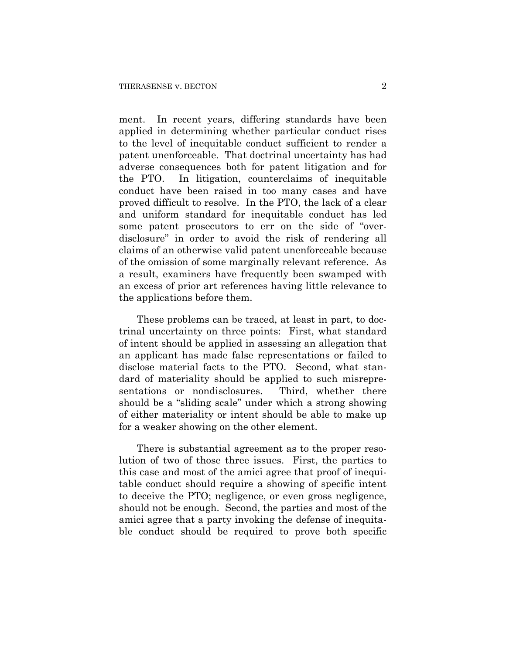ment. In recent years, differing standards have been applied in determining whether particular conduct rises to the level of inequitable conduct sufficient to render a patent unenforceable. That doctrinal uncertainty has had adverse consequences both for patent litigation and for the PTO. In litigation, counterclaims of inequitable conduct have been raised in too many cases and have proved difficult to resolve. In the PTO, the lack of a clear and uniform standard for inequitable conduct has led some patent prosecutors to err on the side of "overdisclosure" in order to avoid the risk of rendering all claims of an otherwise valid patent unenforceable because of the omission of some marginally relevant reference. As a result, examiners have frequently been swamped with an excess of prior art references having little relevance to the applications before them.

These problems can be traced, at least in part, to doctrinal uncertainty on three points: First, what standard of intent should be applied in assessing an allegation that an applicant has made false representations or failed to disclose material facts to the PTO. Second, what standard of materiality should be applied to such misrepresentations or nondisclosures. Third, whether there should be a "sliding scale" under which a strong showing of either materiality or intent should be able to make up for a weaker showing on the other element.

There is substantial agreement as to the proper resolution of two of those three issues. First, the parties to this case and most of the amici agree that proof of inequitable conduct should require a showing of specific intent to deceive the PTO; negligence, or even gross negligence, should not be enough. Second, the parties and most of the amici agree that a party invoking the defense of inequitable conduct should be required to prove both specific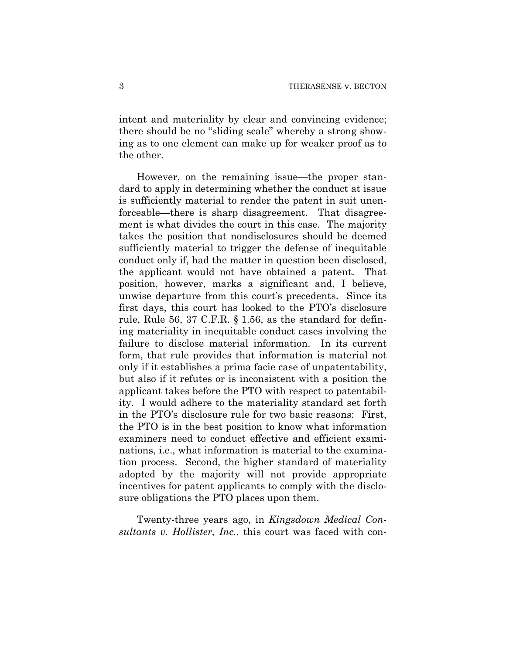intent and materiality by clear and convincing evidence; there should be no "sliding scale" whereby a strong showing as to one element can make up for weaker proof as to the other.

However, on the remaining issue—the proper standard to apply in determining whether the conduct at issue is sufficiently material to render the patent in suit unenforceable—there is sharp disagreement. That disagreement is what divides the court in this case. The majority takes the position that nondisclosures should be deemed sufficiently material to trigger the defense of inequitable conduct only if, had the matter in question been disclosed, the applicant would not have obtained a patent. That position, however, marks a significant and, I believe, unwise departure from this court's precedents. Since its first days, this court has looked to the PTO's disclosure rule, Rule 56, 37 C.F.R. § 1.56, as the standard for defining materiality in inequitable conduct cases involving the failure to disclose material information. In its current form, that rule provides that information is material not only if it establishes a prima facie case of unpatentability, but also if it refutes or is inconsistent with a position the applicant takes before the PTO with respect to patentability. I would adhere to the materiality standard set forth in the PTO's disclosure rule for two basic reasons: First, the PTO is in the best position to know what information examiners need to conduct effective and efficient examinations, i.e., what information is material to the examination process. Second, the higher standard of materiality adopted by the majority will not provide appropriate incentives for patent applicants to comply with the disclosure obligations the PTO places upon them.

Twenty-three years ago, in *Kingsdown Medical Consultants v. Hollister, Inc.*, this court was faced with con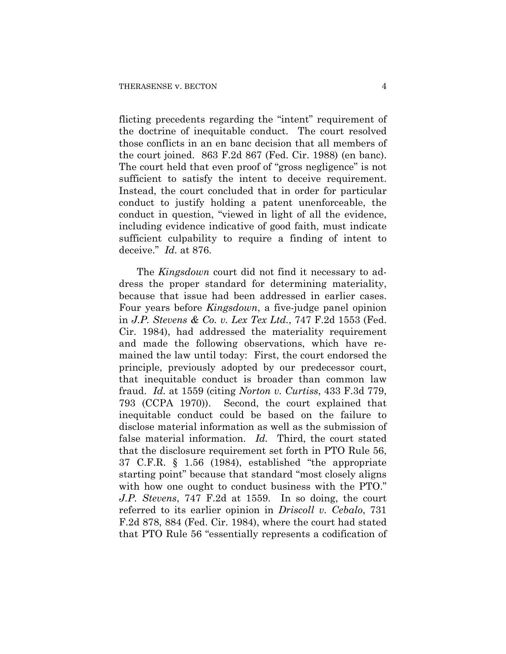flicting precedents regarding the "intent" requirement of the doctrine of inequitable conduct. The court resolved those conflicts in an en banc decision that all members of the court joined. 863 F.2d 867 (Fed. Cir. 1988) (en banc). The court held that even proof of "gross negligence" is not sufficient to satisfy the intent to deceive requirement. Instead, the court concluded that in order for particular conduct to justify holding a patent unenforceable, the conduct in question, "viewed in light of all the evidence, including evidence indicative of good faith, must indicate sufficient culpability to require a finding of intent to deceive." *Id.* at 876.

The *Kingsdown* court did not find it necessary to address the proper standard for determining materiality, because that issue had been addressed in earlier cases. Four years before *Kingsdown*, a five-judge panel opinion in *J.P. Stevens & Co. v. Lex Tex Ltd.*, 747 F.2d 1553 (Fed. Cir. 1984), had addressed the materiality requirement and made the following observations, which have remained the law until today: First, the court endorsed the principle, previously adopted by our predecessor court, that inequitable conduct is broader than common law fraud. *Id.* at 1559 (citing *Norton v. Curtiss*, 433 F.3d 779, 793 (CCPA 1970)). Second, the court explained that inequitable conduct could be based on the failure to disclose material information as well as the submission of false material information. *Id.* Third, the court stated that the disclosure requirement set forth in PTO Rule 56, 37 C.F.R. § 1.56 (1984), established "the appropriate starting point" because that standard "most closely aligns with how one ought to conduct business with the PTO." *J.P. Stevens*, 747 F.2d at 1559. In so doing, the court referred to its earlier opinion in *Driscoll v. Cebalo*, 731 F.2d 878, 884 (Fed. Cir. 1984), where the court had stated that PTO Rule 56 "essentially represents a codification of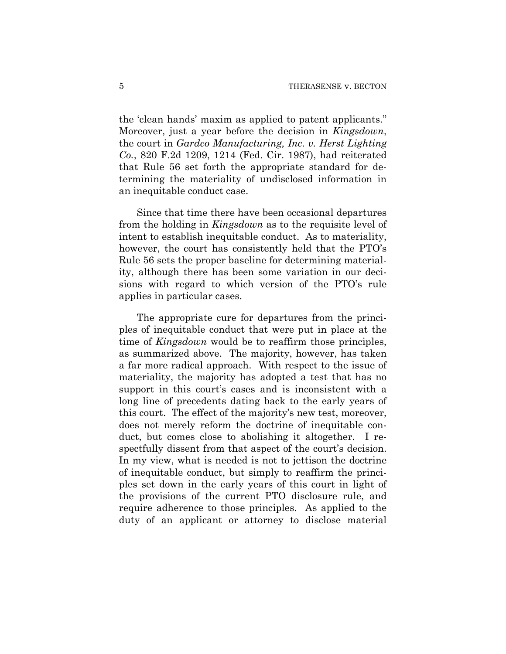the 'clean hands' maxim as applied to patent applicants." Moreover, just a year before the decision in *Kingsdown*, the court in *Gardco Manufacturing, Inc. v. Herst Lighting Co.*, 820 F.2d 1209, 1214 (Fed. Cir. 1987), had reiterated that Rule 56 set forth the appropriate standard for determining the materiality of undisclosed information in an inequitable conduct case.

Since that time there have been occasional departures from the holding in *Kingsdown* as to the requisite level of intent to establish inequitable conduct. As to materiality, however, the court has consistently held that the PTO's Rule 56 sets the proper baseline for determining materiality, although there has been some variation in our decisions with regard to which version of the PTO's rule applies in particular cases.

The appropriate cure for departures from the principles of inequitable conduct that were put in place at the time of *Kingsdown* would be to reaffirm those principles, as summarized above. The majority, however, has taken a far more radical approach. With respect to the issue of materiality, the majority has adopted a test that has no support in this court's cases and is inconsistent with a long line of precedents dating back to the early years of this court. The effect of the majority's new test, moreover, does not merely reform the doctrine of inequitable conduct, but comes close to abolishing it altogether. I respectfully dissent from that aspect of the court's decision. In my view, what is needed is not to jettison the doctrine of inequitable conduct, but simply to reaffirm the principles set down in the early years of this court in light of the provisions of the current PTO disclosure rule, and require adherence to those principles. As applied to the duty of an applicant or attorney to disclose material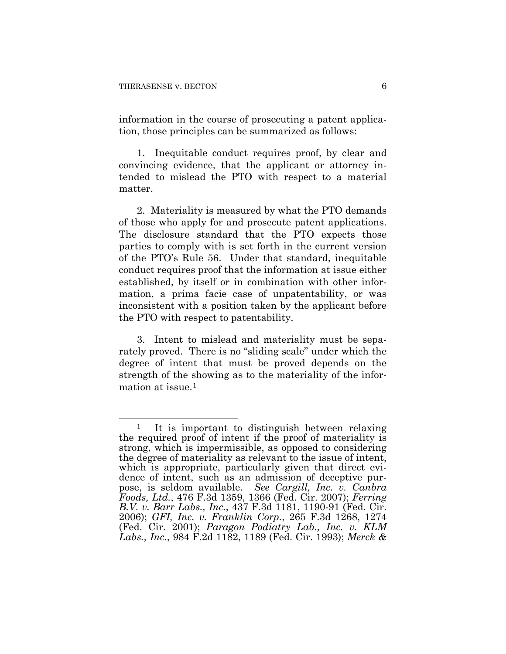information in the course of prosecuting a patent application, those principles can be summarized as follows:

1. Inequitable conduct requires proof, by clear and convincing evidence, that the applicant or attorney intended to mislead the PTO with respect to a material matter.

2. Materiality is measured by what the PTO demands of those who apply for and prosecute patent applications. The disclosure standard that the PTO expects those parties to comply with is set forth in the current version of the PTO's Rule 56. Under that standard, inequitable conduct requires proof that the information at issue either established, by itself or in combination with other information, a prima facie case of unpatentability, or was inconsistent with a position taken by the applicant before the PTO with respect to patentability.

3. Intent to mislead and materiality must be separately proved. There is no "sliding scale" under which the degree of intent that must be proved depends on the strength of the showing as to the materiality of the infor-mation at issue.<sup>[1](#page-55-0)</sup>

<span id="page-55-0"></span> $\overline{a}$ It is important to distinguish between relaxing the required proof of intent if the proof of materiality is strong, which is impermissible, as opposed to considering the degree of materiality as relevant to the issue of intent, which is appropriate, particularly given that direct evidence of intent, such as an admission of deceptive purpose, is seldom available. *See Cargill, Inc. v. Canbra Foods, Ltd.*, 476 F.3d 1359, 1366 (Fed. Cir. 2007); *Ferring B.V. v. Barr Labs., Inc.*, 437 F.3d 1181, 1190-91 (Fed. Cir. 2006); *GFI, Inc. v. Franklin Corp.*, 265 F.3d 1268, 1274 (Fed. Cir. 2001); *Paragon Podiatry Lab., Inc. v. KLM Labs., Inc.*, 984 F.2d 1182, 1189 (Fed. Cir. 1993); *Merck &*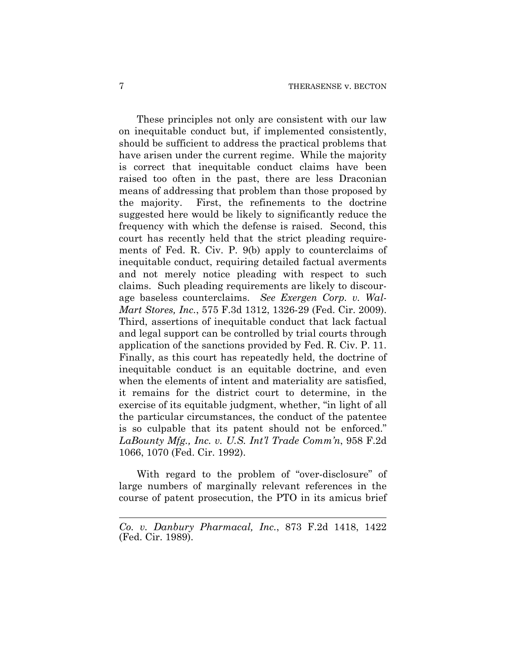These principles not only are consistent with our law on inequitable conduct but, if implemented consistently, should be sufficient to address the practical problems that have arisen under the current regime. While the majority is correct that inequitable conduct claims have been raised too often in the past, there are less Draconian means of addressing that problem than those proposed by the majority. First, the refinements to the doctrine suggested here would be likely to significantly reduce the frequency with which the defense is raised. Second, this court has recently held that the strict pleading requirements of Fed. R. Civ. P. 9(b) apply to counterclaims of inequitable conduct, requiring detailed factual averments and not merely notice pleading with respect to such claims. Such pleading requirements are likely to discourage baseless counterclaims. *See Exergen Corp. v. Wal-Mart Stores, Inc.*, 575 F.3d 1312, 1326-29 (Fed. Cir. 2009). Third, assertions of inequitable conduct that lack factual and legal support can be controlled by trial courts through application of the sanctions provided by Fed. R. Civ. P. 11. Finally, as this court has repeatedly held, the doctrine of inequitable conduct is an equitable doctrine, and even when the elements of intent and materiality are satisfied, it remains for the district court to determine, in the exercise of its equitable judgment, whether, "in light of all the particular circumstances, the conduct of the patentee is so culpable that its patent should not be enforced." *LaBounty Mfg., Inc. v. U.S. Int'l Trade Comm'n*, 958 F.2d 1066, 1070 (Fed. Cir. 1992).

With regard to the problem of "over-disclosure" of large numbers of marginally relevant references in the course of patent prosecution, the PTO in its amicus brief

 $\overline{a}$ 

*Co. v. Danbury Pharmacal, Inc.*, 873 F.2d 1418, 1422 (Fed. Cir. 1989).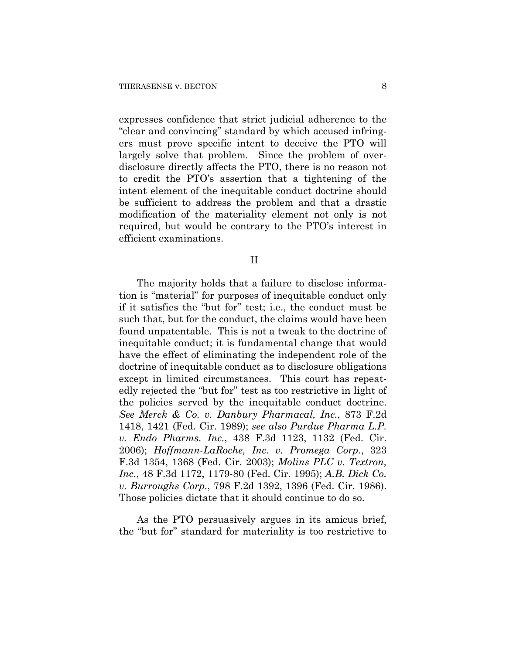expresses confidence that strict judicial adherence to the "clear and convincing" standard by which accused infringers must prove specific intent to deceive the PTO will largely solve that problem. Since the problem of overdisclosure directly affects the PTO, there is no reason not to credit the PTO's assertion that a tightening of the intent element of the inequitable conduct doctrine should be sufficient to address the problem and that a drastic modification of the materiality element not only is not required, but would be contrary to the PTO's interest in efficient examinations.

II

The majority holds that a failure to disclose information is "material" for purposes of inequitable conduct only if it satisfies the "but for" test; i.e., the conduct must be such that, but for the conduct, the claims would have been found unpatentable. This is not a tweak to the doctrine of inequitable conduct; it is fundamental change that would have the effect of eliminating the independent role of the doctrine of inequitable conduct as to disclosure obligations except in limited circumstances. This court has repeatedly rejected the "but for" test as too restrictive in light of the policies served by the inequitable conduct doctrine. *See Merck & Co. v. Danbury Pharmacal, Inc.*, 873 F.2d 1418, 1421 (Fed. Cir. 1989); *see also Purdue Pharma L.P. v. Endo Pharms. Inc.*, 438 F.3d 1123, 1132 (Fed. Cir. 2006); *Hoffmann-LaRoche, Inc. v. Promega Corp.*, 323 F.3d 1354, 1368 (Fed. Cir. 2003); *Molins PLC v. Textron, Inc.*, 48 F.3d 1172, 1179-80 (Fed. Cir. 1995); *A.B. Dick Co. v. Burroughs Corp.*, 798 F.2d 1392, 1396 (Fed. Cir. 1986). Those policies dictate that it should continue to do so.

As the PTO persuasively argues in its amicus brief, the "but for" standard for materiality is too restrictive to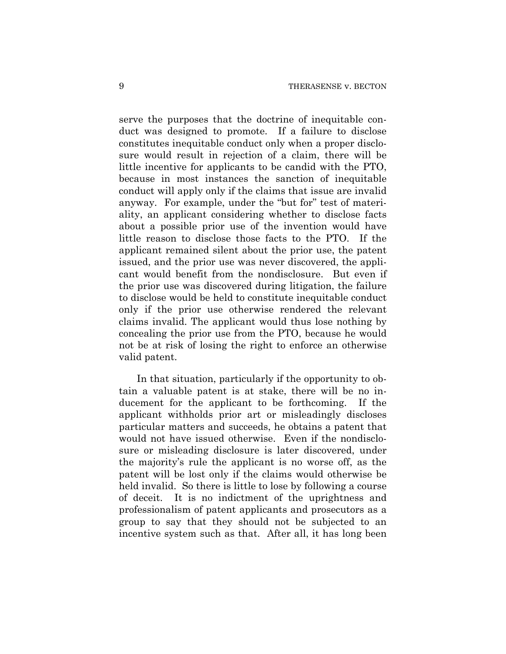serve the purposes that the doctrine of inequitable conduct was designed to promote. If a failure to disclose constitutes inequitable conduct only when a proper disclosure would result in rejection of a claim, there will be little incentive for applicants to be candid with the PTO, because in most instances the sanction of inequitable conduct will apply only if the claims that issue are invalid anyway. For example, under the "but for" test of materiality, an applicant considering whether to disclose facts about a possible prior use of the invention would have little reason to disclose those facts to the PTO. If the applicant remained silent about the prior use, the patent issued, and the prior use was never discovered, the applicant would benefit from the nondisclosure. But even if the prior use was discovered during litigation, the failure to disclose would be held to constitute inequitable conduct only if the prior use otherwise rendered the relevant claims invalid. The applicant would thus lose nothing by concealing the prior use from the PTO, because he would not be at risk of losing the right to enforce an otherwise valid patent.

In that situation, particularly if the opportunity to obtain a valuable patent is at stake, there will be no inducement for the applicant to be forthcoming. If the applicant withholds prior art or misleadingly discloses particular matters and succeeds, he obtains a patent that would not have issued otherwise. Even if the nondisclosure or misleading disclosure is later discovered, under the majority's rule the applicant is no worse off, as the patent will be lost only if the claims would otherwise be held invalid. So there is little to lose by following a course of deceit. It is no indictment of the uprightness and professionalism of patent applicants and prosecutors as a group to say that they should not be subjected to an incentive system such as that. After all, it has long been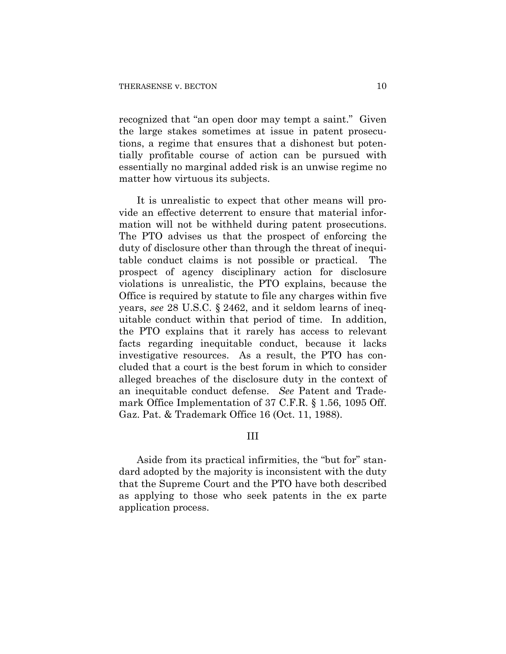recognized that "an open door may tempt a saint." Given the large stakes sometimes at issue in patent prosecutions, a regime that ensures that a dishonest but potentially profitable course of action can be pursued with essentially no marginal added risk is an unwise regime no matter how virtuous its subjects.

It is unrealistic to expect that other means will provide an effective deterrent to ensure that material information will not be withheld during patent prosecutions. The PTO advises us that the prospect of enforcing the duty of disclosure other than through the threat of inequitable conduct claims is not possible or practical. The prospect of agency disciplinary action for disclosure violations is unrealistic, the PTO explains, because the Office is required by statute to file any charges within five years, *see* 28 U.S.C. § 2462, and it seldom learns of inequitable conduct within that period of time. In addition, the PTO explains that it rarely has access to relevant facts regarding inequitable conduct, because it lacks investigative resources. As a result, the PTO has concluded that a court is the best forum in which to consider alleged breaches of the disclosure duty in the context of an inequitable conduct defense. *See* Patent and Trademark Office Implementation of 37 C.F.R. § 1.56, 1095 Off. Gaz. Pat. & Trademark Office 16 (Oct. 11, 1988).

#### III

Aside from its practical infirmities, the "but for" standard adopted by the majority is inconsistent with the duty that the Supreme Court and the PTO have both described as applying to those who seek patents in the ex parte application process.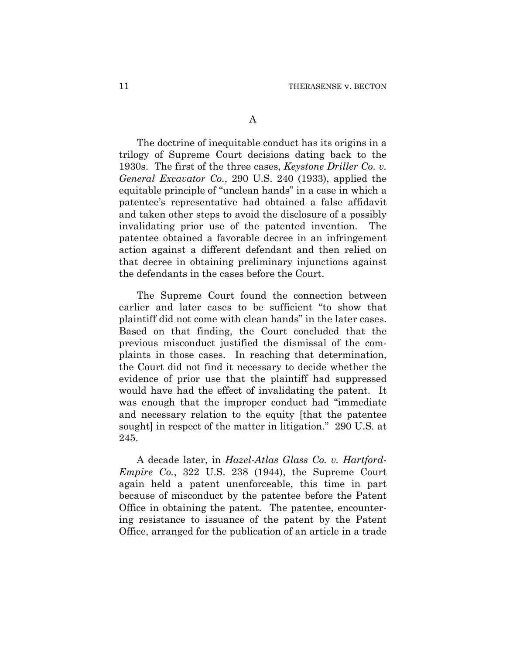The doctrine of inequitable conduct has its origins in a trilogy of Supreme Court decisions dating back to the 1930s. The first of the three cases, *Keystone Driller Co. v. General Excavator Co.*, 290 U.S. 240 (1933), applied the equitable principle of "unclean hands" in a case in which a patentee's representative had obtained a false affidavit and taken other steps to avoid the disclosure of a possibly invalidating prior use of the patented invention. The patentee obtained a favorable decree in an infringement action against a different defendant and then relied on that decree in obtaining preliminary injunctions against the defendants in the cases before the Court.

The Supreme Court found the connection between earlier and later cases to be sufficient "to show that plaintiff did not come with clean hands" in the later cases. Based on that finding, the Court concluded that the previous misconduct justified the dismissal of the complaints in those cases. In reaching that determination, the Court did not find it necessary to decide whether the evidence of prior use that the plaintiff had suppressed would have had the effect of invalidating the patent. It was enough that the improper conduct had "immediate and necessary relation to the equity [that the patentee sought] in respect of the matter in litigation." 290 U.S. at 245.

A decade later, in *Hazel-Atlas Glass Co. v. Hartford-Empire Co.*, 322 U.S. 238 (1944), the Supreme Court again held a patent unenforceable, this time in part because of misconduct by the patentee before the Patent Office in obtaining the patent. The patentee, encountering resistance to issuance of the patent by the Patent Office, arranged for the publication of an article in a trade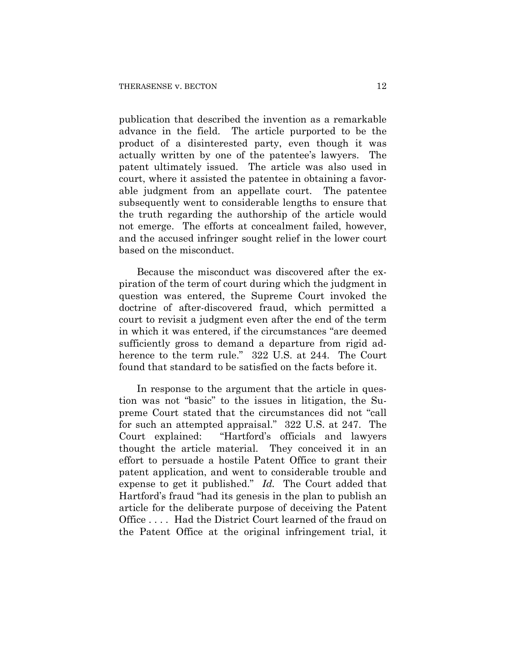publication that described the invention as a remarkable advance in the field. The article purported to be the product of a disinterested party, even though it was actually written by one of the patentee's lawyers. The patent ultimately issued. The article was also used in court, where it assisted the patentee in obtaining a favorable judgment from an appellate court. The patentee subsequently went to considerable lengths to ensure that the truth regarding the authorship of the article would not emerge. The efforts at concealment failed, however, and the accused infringer sought relief in the lower court based on the misconduct.

Because the misconduct was discovered after the expiration of the term of court during which the judgment in question was entered, the Supreme Court invoked the doctrine of after-discovered fraud, which permitted a court to revisit a judgment even after the end of the term in which it was entered, if the circumstances "are deemed sufficiently gross to demand a departure from rigid adherence to the term rule." 322 U.S. at 244. The Court found that standard to be satisfied on the facts before it.

In response to the argument that the article in question was not "basic" to the issues in litigation, the Supreme Court stated that the circumstances did not "call for such an attempted appraisal." 322 U.S. at 247. The Court explained: "Hartford's officials and lawyers thought the article material. They conceived it in an effort to persuade a hostile Patent Office to grant their patent application, and went to considerable trouble and expense to get it published." *Id.* The Court added that Hartford's fraud "had its genesis in the plan to publish an article for the deliberate purpose of deceiving the Patent Office . . . . Had the District Court learned of the fraud on the Patent Office at the original infringement trial, it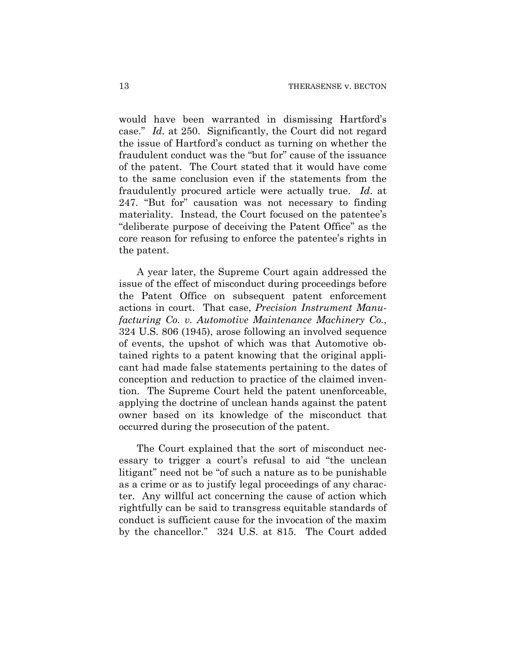would have been warranted in dismissing Hartford's case." *Id.* at 250. Significantly, the Court did not regard the issue of Hartford's conduct as turning on whether the fraudulent conduct was the "but for" cause of the issuance of the patent. The Court stated that it would have come to the same conclusion even if the statements from the fraudulently procured article were actually true. *Id*. at 247. "But for" causation was not necessary to finding materiality. Instead, the Court focused on the patentee's "deliberate purpose of deceiving the Patent Office" as the core reason for refusing to enforce the patentee's rights in the patent.

A year later, the Supreme Court again addressed the issue of the effect of misconduct during proceedings before the Patent Office on subsequent patent enforcement actions in court. That case, *Precision Instrument Manufacturing Co. v. Automotive Maintenance Machinery Co.*, 324 U.S. 806 (1945), arose following an involved sequence of events, the upshot of which was that Automotive obtained rights to a patent knowing that the original applicant had made false statements pertaining to the dates of conception and reduction to practice of the claimed invention. The Supreme Court held the patent unenforceable, applying the doctrine of unclean hands against the patent owner based on its knowledge of the misconduct that occurred during the prosecution of the patent.

The Court explained that the sort of misconduct necessary to trigger a court's refusal to aid "the unclean litigant" need not be "of such a nature as to be punishable as a crime or as to justify legal proceedings of any character. Any willful act concerning the cause of action which rightfully can be said to transgress equitable standards of conduct is sufficient cause for the invocation of the maxim by the chancellor." 324 U.S. at 815. The Court added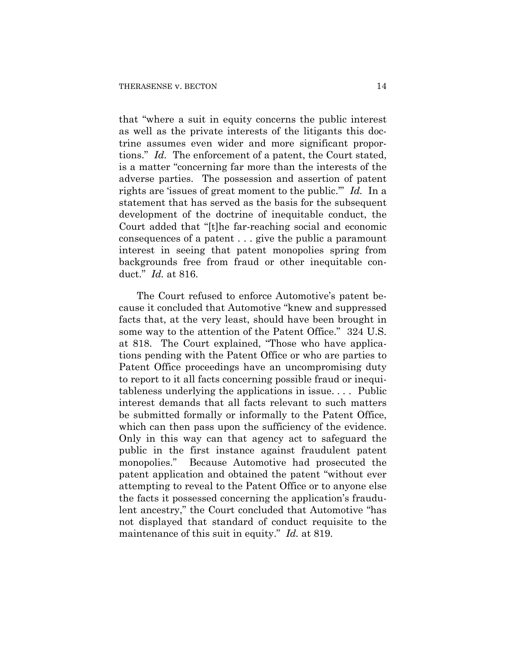that "where a suit in equity concerns the public interest as well as the private interests of the litigants this doctrine assumes even wider and more significant proportions." *Id.* The enforcement of a patent, the Court stated, is a matter "concerning far more than the interests of the adverse parties. The possession and assertion of patent rights are 'issues of great moment to the public.'" *Id.* In a statement that has served as the basis for the subsequent development of the doctrine of inequitable conduct, the Court added that "[t]he far-reaching social and economic consequences of a patent . . . give the public a paramount interest in seeing that patent monopolies spring from backgrounds free from fraud or other inequitable conduct." *Id.* at 816.

The Court refused to enforce Automotive's patent because it concluded that Automotive "knew and suppressed facts that, at the very least, should have been brought in some way to the attention of the Patent Office." 324 U.S. at 818. The Court explained, "Those who have applications pending with the Patent Office or who are parties to Patent Office proceedings have an uncompromising duty to report to it all facts concerning possible fraud or inequitableness underlying the applications in issue. . . . Public interest demands that all facts relevant to such matters be submitted formally or informally to the Patent Office, which can then pass upon the sufficiency of the evidence. Only in this way can that agency act to safeguard the public in the first instance against fraudulent patent monopolies." Because Automotive had prosecuted the patent application and obtained the patent "without ever attempting to reveal to the Patent Office or to anyone else the facts it possessed concerning the application's fraudulent ancestry," the Court concluded that Automotive "has not displayed that standard of conduct requisite to the maintenance of this suit in equity." *Id.* at 819.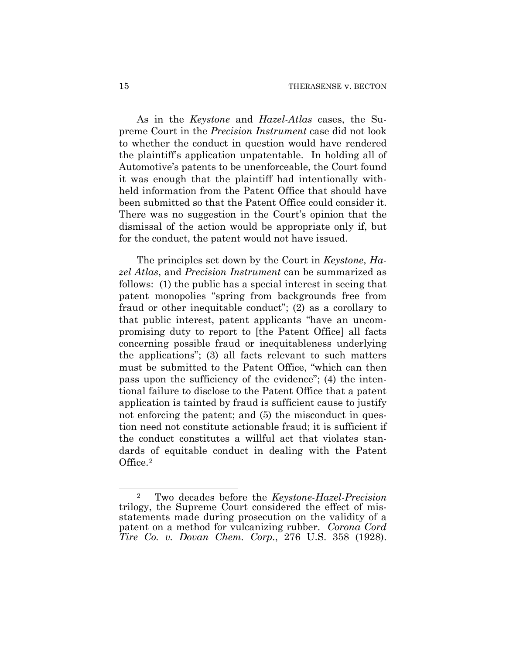As in the *Keystone* and *Hazel-Atlas* cases, the Supreme Court in the *Precision Instrument* case did not look to whether the conduct in question would have rendered the plaintiff's application unpatentable. In holding all of Automotive's patents to be unenforceable, the Court found it was enough that the plaintiff had intentionally withheld information from the Patent Office that should have been submitted so that the Patent Office could consider it. There was no suggestion in the Court's opinion that the dismissal of the action would be appropriate only if, but for the conduct, the patent would not have issued.

The principles set down by the Court in *Keystone*, *Hazel Atlas*, and *Precision Instrument* can be summarized as follows: (1) the public has a special interest in seeing that patent monopolies "spring from backgrounds free from fraud or other inequitable conduct"; (2) as a corollary to that public interest, patent applicants "have an uncompromising duty to report to [the Patent Office] all facts concerning possible fraud or inequitableness underlying the applications"; (3) all facts relevant to such matters must be submitted to the Patent Office, "which can then pass upon the sufficiency of the evidence"; (4) the intentional failure to disclose to the Patent Office that a patent application is tainted by fraud is sufficient cause to justify not enforcing the patent; and  $(5)$  the misconduct in question need not constitute actionable fraud; it is sufficient if the conduct constitutes a willful act that violates standards of equitable conduct in dealing with the Patent Office.[2](#page-64-0)

 $\overline{a}$ 

<span id="page-64-0"></span><sup>2</sup> Two decades before the *Keystone-Hazel-Precision* trilogy, the Supreme Court considered the effect of misstatements made during prosecution on the validity of a patent on a method for vulcanizing rubber. *Corona Cord Tire Co. v. Dovan Chem. Corp.*, 276 U.S. 358 (1928).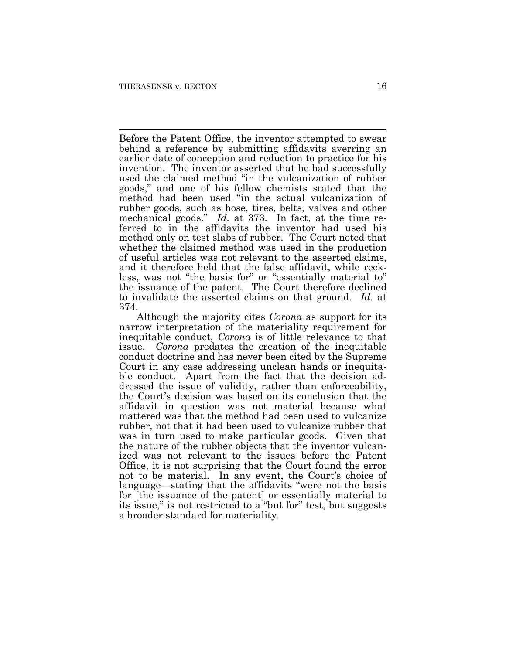$\overline{a}$ Before the Patent Office, the inventor attempted to swear behind a reference by submitting affidavits averring an earlier date of conception and reduction to practice for his invention. The inventor asserted that he had successfully used the claimed method "in the vulcanization of rubber goods," and one of his fellow chemists stated that the method had been used "in the actual vulcanization of rubber goods, such as hose, tires, belts, valves and other mechanical goods." *Id.* at 373. In fact, at the time referred to in the affidavits the inventor had used his method only on test slabs of rubber. The Court noted that whether the claimed method was used in the production of useful articles was not relevant to the asserted claims, and it therefore held that the false affidavit, while reckless, was not "the basis for" or "essentially material to" the issuance of the patent. The Court therefore declined to invalidate the asserted claims on that ground. *Id.* at 374.

Although the majority cites *Corona* as support for its narrow interpretation of the materiality requirement for inequitable conduct, *Corona* is of little relevance to that issue. *Corona* predates the creation of the inequitable conduct doctrine and has never been cited by the Supreme Court in any case addressing unclean hands or inequitable conduct. Apart from the fact that the decision addressed the issue of validity, rather than enforceability, the Court's decision was based on its conclusion that the affidavit in question was not material because what mattered was that the method had been used to vulcanize rubber, not that it had been used to vulcanize rubber that was in turn used to make particular goods. Given that the nature of the rubber objects that the inventor vulcanized was not relevant to the issues before the Patent Office, it is not surprising that the Court found the error not to be material. In any event, the Court's choice of language—stating that the affidavits "were not the basis for [the issuance of the patent] or essentially material to its issue," is not restricted to a "but for" test, but suggests a broader standard for materiality.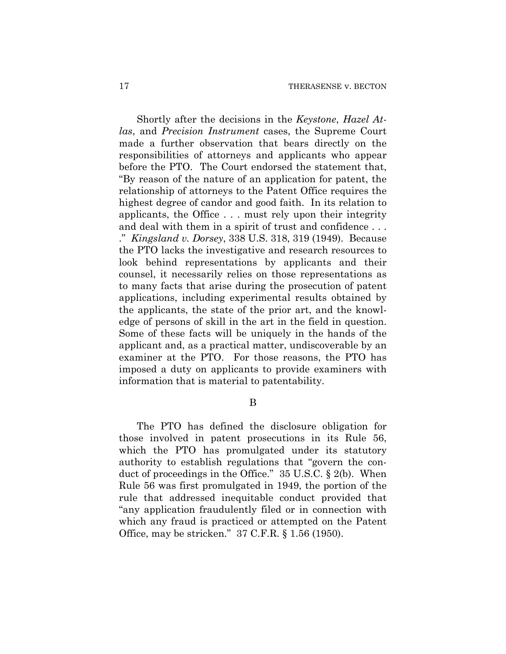Shortly after the decisions in the *Keystone*, *Hazel Atlas*, and *Precision Instrument* cases, the Supreme Court made a further observation that bears directly on the responsibilities of attorneys and applicants who appear before the PTO. The Court endorsed the statement that, "By reason of the nature of an application for patent, the relationship of attorneys to the Patent Office requires the highest degree of candor and good faith. In its relation to applicants, the Office . . . must rely upon their integrity and deal with them in a spirit of trust and confidence . . . ." *Kingsland v. Dorsey*, 338 U.S. 318, 319 (1949). Because the PTO lacks the investigative and research resources to look behind representations by applicants and their counsel, it necessarily relies on those representations as to many facts that arise during the prosecution of patent applications, including experimental results obtained by the applicants, the state of the prior art, and the knowledge of persons of skill in the art in the field in question. Some of these facts will be uniquely in the hands of the applicant and, as a practical matter, undiscoverable by an examiner at the PTO. For those reasons, the PTO has imposed a duty on applicants to provide examiners with information that is material to patentability.

B

The PTO has defined the disclosure obligation for those involved in patent prosecutions in its Rule 56, which the PTO has promulgated under its statutory authority to establish regulations that "govern the conduct of proceedings in the Office." 35 U.S.C. § 2(b). When Rule 56 was first promulgated in 1949, the portion of the rule that addressed inequitable conduct provided that "any application fraudulently filed or in connection with which any fraud is practiced or attempted on the Patent Office, may be stricken." 37 C.F.R. § 1.56 (1950).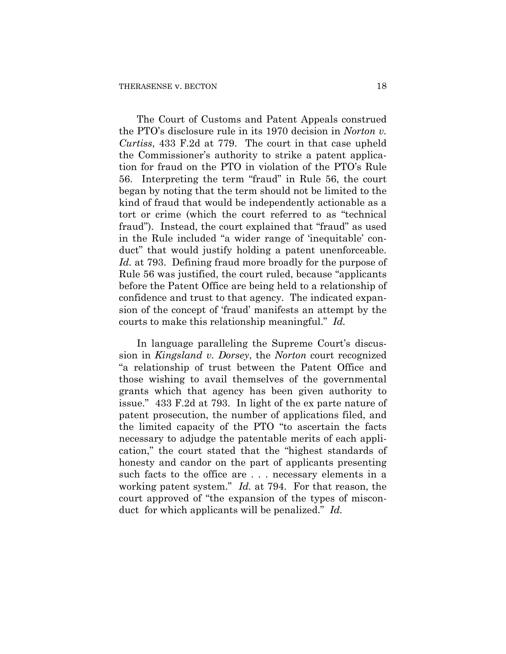The Court of Customs and Patent Appeals construed the PTO's disclosure rule in its 1970 decision in *Norton v. Curtiss*, 433 F.2d at 779. The court in that case upheld the Commissioner's authority to strike a patent application for fraud on the PTO in violation of the PTO's Rule 56. Interpreting the term "fraud" in Rule 56, the court began by noting that the term should not be limited to the kind of fraud that would be independently actionable as a tort or crime (which the court referred to as "technical fraud"). Instead, the court explained that "fraud" as used in the Rule included "a wider range of 'inequitable' conduct" that would justify holding a patent unenforceable. *Id.* at 793. Defining fraud more broadly for the purpose of Rule 56 was justified, the court ruled, because "applicants before the Patent Office are being held to a relationship of confidence and trust to that agency. The indicated expansion of the concept of 'fraud' manifests an attempt by the courts to make this relationship meaningful." *Id.* 

In language paralleling the Supreme Court's discussion in *Kingsland v. Dorsey*, the *Norton* court recognized "a relationship of trust between the Patent Office and those wishing to avail themselves of the governmental grants which that agency has been given authority to issue." 433 F.2d at 793. In light of the ex parte nature of patent prosecution, the number of applications filed, and the limited capacity of the PTO "to ascertain the facts necessary to adjudge the patentable merits of each application," the court stated that the "highest standards of honesty and candor on the part of applicants presenting such facts to the office are . . . necessary elements in a working patent system." *Id.* at 794. For that reason, the court approved of "the expansion of the types of misconduct for which applicants will be penalized." *Id.*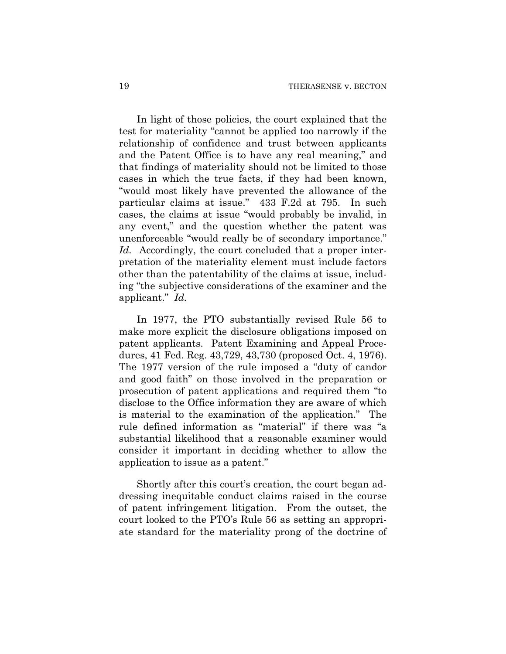In light of those policies, the court explained that the test for materiality "cannot be applied too narrowly if the relationship of confidence and trust between applicants and the Patent Office is to have any real meaning," and that findings of materiality should not be limited to those cases in which the true facts, if they had been known, "would most likely have prevented the allowance of the particular claims at issue." 433 F.2d at 795. In such cases, the claims at issue "would probably be invalid, in any event," and the question whether the patent was unenforceable "would really be of secondary importance." *Id.* Accordingly, the court concluded that a proper interpretation of the materiality element must include factors other than the patentability of the claims at issue, including "the subjective considerations of the examiner and the applicant." *Id.*

In 1977, the PTO substantially revised Rule 56 to make more explicit the disclosure obligations imposed on patent applicants. Patent Examining and Appeal Procedures, 41 Fed. Reg. 43,729, 43,730 (proposed Oct. 4, 1976). The 1977 version of the rule imposed a "duty of candor and good faith" on those involved in the preparation or prosecution of patent applications and required them "to disclose to the Office information they are aware of which is material to the examination of the application." The rule defined information as "material" if there was "a substantial likelihood that a reasonable examiner would consider it important in deciding whether to allow the application to issue as a patent."

Shortly after this court's creation, the court began addressing inequitable conduct claims raised in the course of patent infringement litigation. From the outset, the court looked to the PTO's Rule 56 as setting an appropriate standard for the materiality prong of the doctrine of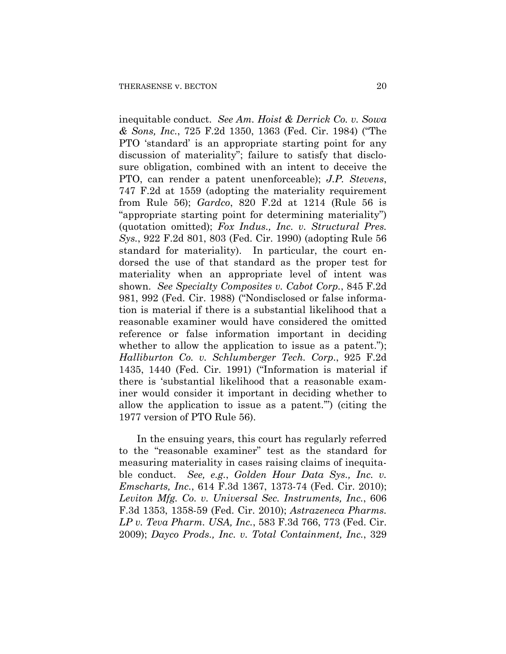inequitable conduct. *See Am. Hoist & Derrick Co. v. Sowa & Sons, Inc.*, 725 F.2d 1350, 1363 (Fed. Cir. 1984) ("The PTO 'standard' is an appropriate starting point for any discussion of materiality"; failure to satisfy that disclosure obligation, combined with an intent to deceive the PTO, can render a patent unenforceable); *J.P. Stevens*, 747 F.2d at 1559 (adopting the materiality requirement from Rule 56); *Gardco*, 820 F.2d at 1214 (Rule 56 is "appropriate starting point for determining materiality") (quotation omitted); *Fox Indus., Inc. v. Structural Pres. Sys.*, 922 F.2d 801, 803 (Fed. Cir. 1990) (adopting Rule 56 standard for materiality). In particular, the court endorsed the use of that standard as the proper test for materiality when an appropriate level of intent was shown. *See Specialty Composites v. Cabot Corp.*, 845 F.2d 981, 992 (Fed. Cir. 1988) ("Nondisclosed or false information is material if there is a substantial likelihood that a reasonable examiner would have considered the omitted reference or false information important in deciding whether to allow the application to issue as a patent."); *Halliburton Co. v. Schlumberger Tech. Corp.*, 925 F.2d 1435, 1440 (Fed. Cir. 1991) ("Information is material if there is 'substantial likelihood that a reasonable examiner would consider it important in deciding whether to allow the application to issue as a patent.'") (citing the 1977 version of PTO Rule 56).

In the ensuing years, this court has regularly referred to the "reasonable examiner" test as the standard for measuring materiality in cases raising claims of inequitable conduct. *See, e.g.*, *Golden Hour Data Sys., Inc. v. Emscharts, Inc.*, 614 F.3d 1367, 1373-74 (Fed. Cir. 2010); *Leviton Mfg. Co. v. Universal Sec. Instruments, Inc.*, 606 F.3d 1353, 1358-59 (Fed. Cir. 2010); *Astrazeneca Pharms. LP v. Teva Pharm. USA, Inc.*, 583 F.3d 766, 773 (Fed. Cir. 2009); *Dayco Prods., Inc. v. Total Containment, Inc.*, 329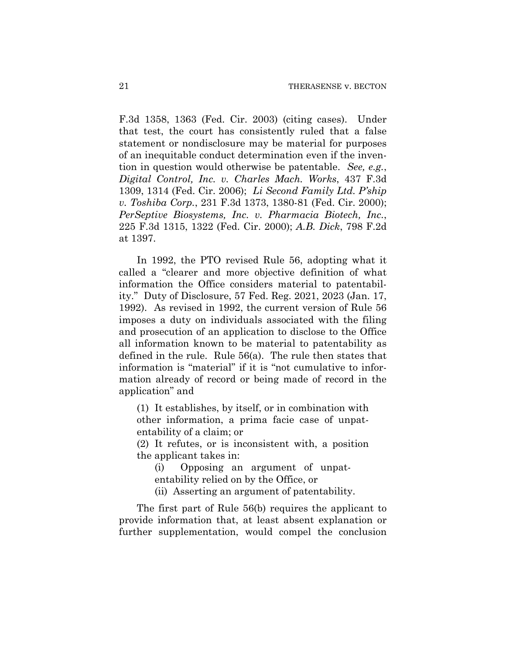F.3d 1358, 1363 (Fed. Cir. 2003) (citing cases). Under that test, the court has consistently ruled that a false statement or nondisclosure may be material for purposes of an inequitable conduct determination even if the invention in question would otherwise be patentable. *See, e.g.*, *Digital Control, Inc. v. Charles Mach. Works*, 437 F.3d 1309, 1314 (Fed. Cir. 2006); *Li Second Family Ltd. P'ship v. Toshiba Corp.*, 231 F.3d 1373, 1380-81 (Fed. Cir. 2000); *PerSeptive Biosystems, Inc. v. Pharmacia Biotech, Inc.*, 225 F.3d 1315, 1322 (Fed. Cir. 2000); *A.B. Dick*, 798 F.2d at 1397.

In 1992, the PTO revised Rule 56, adopting what it called a "clearer and more objective definition of what information the Office considers material to patentability." Duty of Disclosure, 57 Fed. Reg. 2021, 2023 (Jan. 17, 1992). As revised in 1992, the current version of Rule 56 imposes a duty on individuals associated with the filing and prosecution of an application to disclose to the Office all information known to be material to patentability as defined in the rule. Rule 56(a). The rule then states that information is "material" if it is "not cumulative to information already of record or being made of record in the application" and

(1) It establishes, by itself, or in combination with other information, a prima facie case of unpatentability of a claim; or

(2) It refutes, or is inconsistent with, a position the applicant takes in:

(i) Opposing an argument of unpatentability relied on by the Office, or

(ii) Asserting an argument of patentability.

The first part of Rule 56(b) requires the applicant to provide information that, at least absent explanation or further supplementation, would compel the conclusion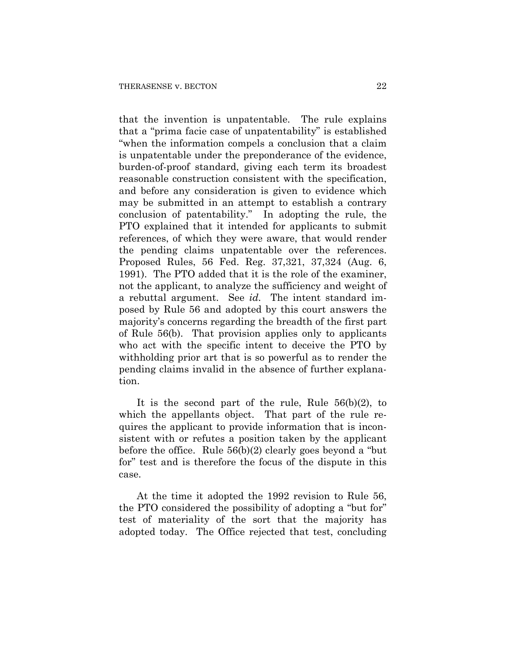that the invention is unpatentable. The rule explains that a "prima facie case of unpatentability" is established "when the information compels a conclusion that a claim is unpatentable under the preponderance of the evidence, burden-of-proof standard, giving each term its broadest reasonable construction consistent with the specification, and before any consideration is given to evidence which may be submitted in an attempt to establish a contrary conclusion of patentability." In adopting the rule, the PTO explained that it intended for applicants to submit references, of which they were aware, that would render the pending claims unpatentable over the references. Proposed Rules, 56 Fed. Reg. 37,321, 37,324 (Aug. 6, 1991). The PTO added that it is the role of the examiner, not the applicant, to analyze the sufficiency and weight of a rebuttal argument. See *id.* The intent standard imposed by Rule 56 and adopted by this court answers the majority's concerns regarding the breadth of the first part of Rule 56(b). That provision applies only to applicants who act with the specific intent to deceive the PTO by withholding prior art that is so powerful as to render the pending claims invalid in the absence of further explanation.

It is the second part of the rule, Rule 56(b)(2), to which the appellants object. That part of the rule requires the applicant to provide information that is inconsistent with or refutes a position taken by the applicant before the office. Rule 56(b)(2) clearly goes beyond a "but for" test and is therefore the focus of the dispute in this case.

At the time it adopted the 1992 revision to Rule 56, the PTO considered the possibility of adopting a "but for" test of materiality of the sort that the majority has adopted today. The Office rejected that test, concluding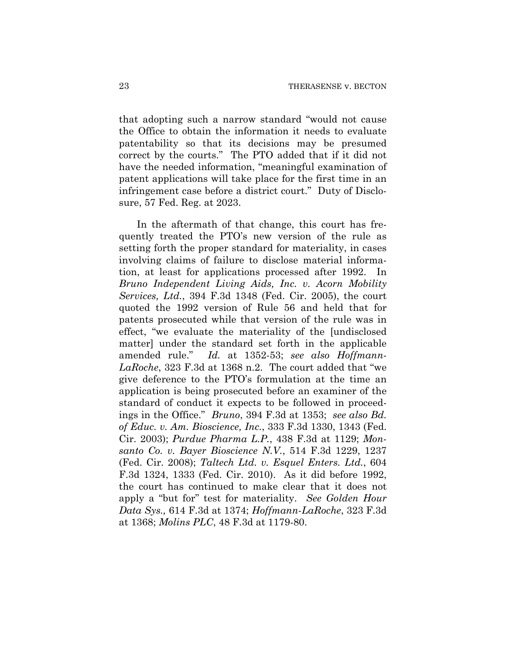that adopting such a narrow standard "would not cause the Office to obtain the information it needs to evaluate patentability so that its decisions may be presumed correct by the courts." The PTO added that if it did not have the needed information, "meaningful examination of patent applications will take place for the first time in an infringement case before a district court." Duty of Disclosure, 57 Fed. Reg. at 2023.

In the aftermath of that change, this court has frequently treated the PTO's new version of the rule as setting forth the proper standard for materiality, in cases involving claims of failure to disclose material information, at least for applications processed after 1992. In *Bruno Independent Living Aids, Inc. v. Acorn Mobility Services, Ltd.*, 394 F.3d 1348 (Fed. Cir. 2005), the court quoted the 1992 version of Rule 56 and held that for patents prosecuted while that version of the rule was in effect, "we evaluate the materiality of the [undisclosed matter] under the standard set forth in the applicable amended rule." *Id.* at 1352-53; *see also Hoffmann-LaRoche*, 323 F.3d at 1368 n.2. The court added that "we give deference to the PTO's formulation at the time an application is being prosecuted before an examiner of the standard of conduct it expects to be followed in proceedings in the Office." *Bruno*, 394 F.3d at 1353; *see also Bd. of Educ. v. Am. Bioscience, Inc.*, 333 F.3d 1330, 1343 (Fed. Cir. 2003); *Purdue Pharma L.P.*, 438 F.3d at 1129; *Monsanto Co. v. Bayer Bioscience N.V.*, 514 F.3d 1229, 1237 (Fed. Cir. 2008); *Taltech Ltd. v. Esquel Enters. Ltd.*, 604 F.3d 1324, 1333 (Fed. Cir. 2010). As it did before 1992, the court has continued to make clear that it does not apply a "but for" test for materiality. *See Golden Hour Data Sys.,* 614 F.3d at 1374; *Hoffmann-LaRoche*, 323 F.3d at 1368; *Molins PLC*, 48 F.3d at 1179-80.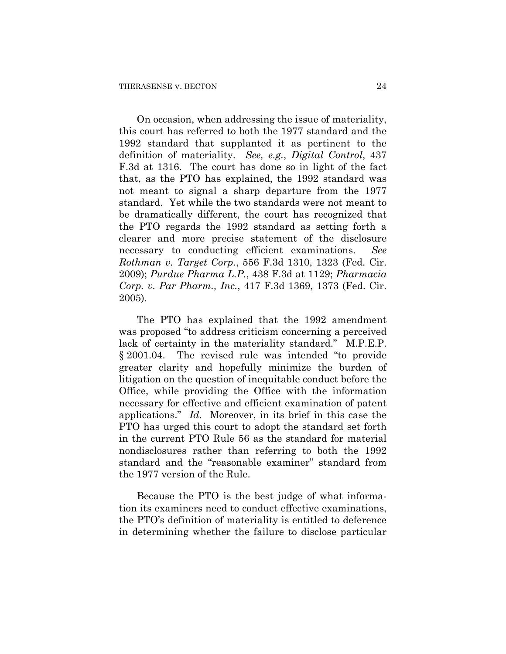On occasion, when addressing the issue of materiality, this court has referred to both the 1977 standard and the 1992 standard that supplanted it as pertinent to the definition of materiality. *See, e.g.*, *Digital Control*, 437 F.3d at 1316. The court has done so in light of the fact that, as the PTO has explained, the 1992 standard was not meant to signal a sharp departure from the 1977 standard. Yet while the two standards were not meant to be dramatically different, the court has recognized that the PTO regards the 1992 standard as setting forth a clearer and more precise statement of the disclosure necessary to conducting efficient examinations. *See Rothman v. Target Corp.*, 556 F.3d 1310, 1323 (Fed. Cir. 2009); *Purdue Pharma L.P.*, 438 F.3d at 1129; *Pharmacia Corp. v. Par Pharm., Inc.*, 417 F.3d 1369, 1373 (Fed. Cir. 2005).

The PTO has explained that the 1992 amendment was proposed "to address criticism concerning a perceived lack of certainty in the materiality standard." M.P.E.P. § 2001.04. The revised rule was intended "to provide greater clarity and hopefully minimize the burden of litigation on the question of inequitable conduct before the Office, while providing the Office with the information necessary for effective and efficient examination of patent applications." *Id.* Moreover, in its brief in this case the PTO has urged this court to adopt the standard set forth in the current PTO Rule 56 as the standard for material nondisclosures rather than referring to both the 1992 standard and the "reasonable examiner" standard from the 1977 version of the Rule.

Because the PTO is the best judge of what information its examiners need to conduct effective examinations, the PTO's definition of materiality is entitled to deference in determining whether the failure to disclose particular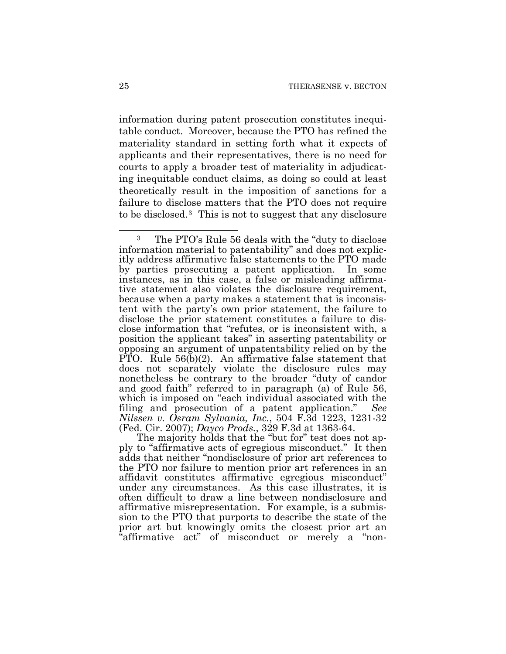information during patent prosecution constitutes inequitable conduct. Moreover, because the PTO has refined the materiality standard in setting forth what it expects of applicants and their representatives, there is no need for courts to apply a broader test of materiality in adjudicating inequitable conduct claims, as doing so could at least theoretically result in the imposition of sanctions for a failure to disclose matters that the PTO does not require to be disclosed.[3](#page-74-0) This is not to suggest that any disclosure

The majority holds that the "but for" test does not apply to "affirmative acts of egregious misconduct." It then adds that neither "nondisclosure of prior art references to the PTO nor failure to mention prior art references in an affidavit constitutes affirmative egregious misconduct" under any circumstances. As this case illustrates, it is often difficult to draw a line between nondisclosure and affirmative misrepresentation. For example, is a submission to the PTO that purports to describe the state of the prior art but knowingly omits the closest prior art an "affirmative act" of misconduct or merely a "non-

<span id="page-74-0"></span><sup>3</sup> The PTO's Rule 56 deals with the "duty to disclose information material to patentability" and does not explicitly address affirmative false statements to the PTO made by parties prosecuting a patent application. In some instances, as in this case, a false or misleading affirmative statement also violates the disclosure requirement, because when a party makes a statement that is inconsistent with the party's own prior statement, the failure to disclose the prior statement constitutes a failure to disclose information that "refutes, or is inconsistent with, a position the applicant takes" in asserting patentability or opposing an argument of unpatentability relied on by the PTO. Rule  $56(b)(2)$ . An affirmative false statement that does not separately violate the disclosure rules may nonetheless be contrary to the broader "duty of candor and good faith" referred to in paragraph (a) of Rule 56, which is imposed on "each individual associated with the filing and prosecution of a patent application." *See Nilssen v. Osram Sylvania, Inc.*, 504 F.3d 1223, 1231-32 (Fed. Cir. 2007); *Dayco Prods.*, 329 F.3d at 1363-64.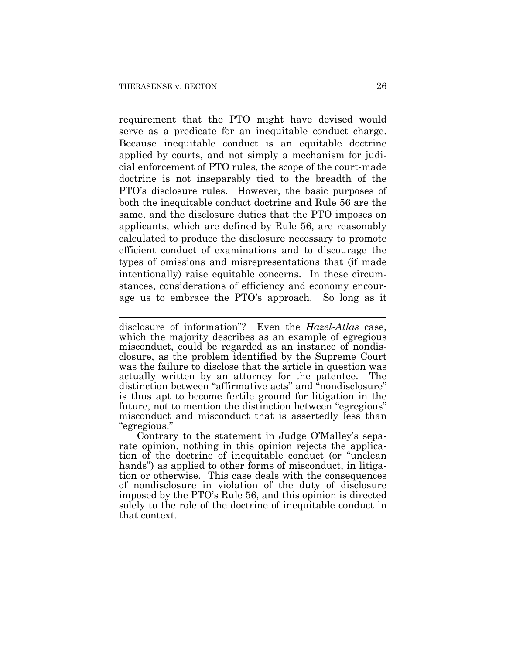requirement that the PTO might have devised would serve as a predicate for an inequitable conduct charge. Because inequitable conduct is an equitable doctrine applied by courts, and not simply a mechanism for judicial enforcement of PTO rules, the scope of the court-made doctrine is not inseparably tied to the breadth of the PTO's disclosure rules. However, the basic purposes of both the inequitable conduct doctrine and Rule 56 are the same, and the disclosure duties that the PTO imposes on applicants, which are defined by Rule 56, are reasonably calculated to produce the disclosure necessary to promote efficient conduct of examinations and to discourage the types of omissions and misrepresentations that (if made intentionally) raise equitable concerns. In these circumstances, considerations of efficiency and economy encourage us to embrace the PTO's approach. So long as it

Contrary to the statement in Judge O'Malley's separate opinion, nothing in this opinion rejects the application of the doctrine of inequitable conduct (or "unclean hands") as applied to other forms of misconduct, in litigation or otherwise. This case deals with the consequences of nondisclosure in violation of the duty of disclosure imposed by the PTO's Rule 56, and this opinion is directed solely to the role of the doctrine of inequitable conduct in that context.

 $\overline{a}$ disclosure of information"? Even the *Hazel-Atlas* case, which the majority describes as an example of egregious misconduct, could be regarded as an instance of nondisclosure, as the problem identified by the Supreme Court was the failure to disclose that the article in question was actually written by an attorney for the patentee. The distinction between "affirmative acts" and "nondisclosure" is thus apt to become fertile ground for litigation in the future, not to mention the distinction between "egregious" misconduct and misconduct that is assertedly less than "egregious."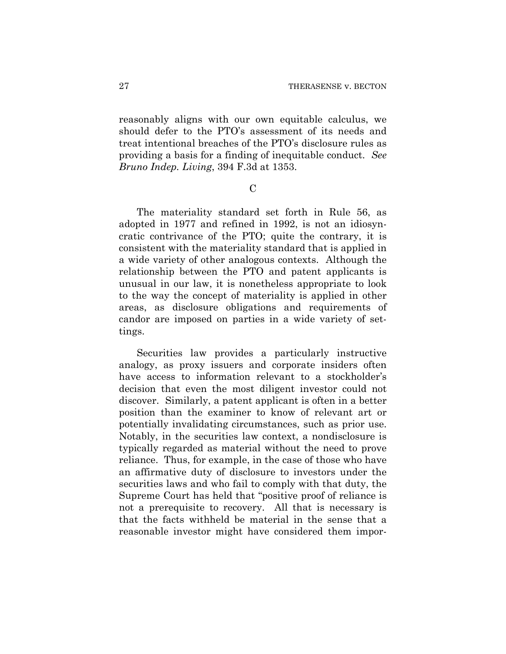reasonably aligns with our own equitable calculus, we should defer to the PTO's assessment of its needs and treat intentional breaches of the PTO's disclosure rules as providing a basis for a finding of inequitable conduct. *See Bruno Indep. Living*, 394 F.3d at 1353.

 $\overline{C}$ 

The materiality standard set forth in Rule 56, as adopted in 1977 and refined in 1992, is not an idiosyncratic contrivance of the PTO; quite the contrary, it is consistent with the materiality standard that is applied in a wide variety of other analogous contexts. Although the relationship between the PTO and patent applicants is unusual in our law, it is nonetheless appropriate to look to the way the concept of materiality is applied in other areas, as disclosure obligations and requirements of candor are imposed on parties in a wide variety of settings.

Securities law provides a particularly instructive analogy, as proxy issuers and corporate insiders often have access to information relevant to a stockholder's decision that even the most diligent investor could not discover. Similarly, a patent applicant is often in a better position than the examiner to know of relevant art or potentially invalidating circumstances, such as prior use. Notably, in the securities law context, a nondisclosure is typically regarded as material without the need to prove reliance. Thus, for example, in the case of those who have an affirmative duty of disclosure to investors under the securities laws and who fail to comply with that duty, the Supreme Court has held that "positive proof of reliance is not a prerequisite to recovery. All that is necessary is that the facts withheld be material in the sense that a reasonable investor might have considered them impor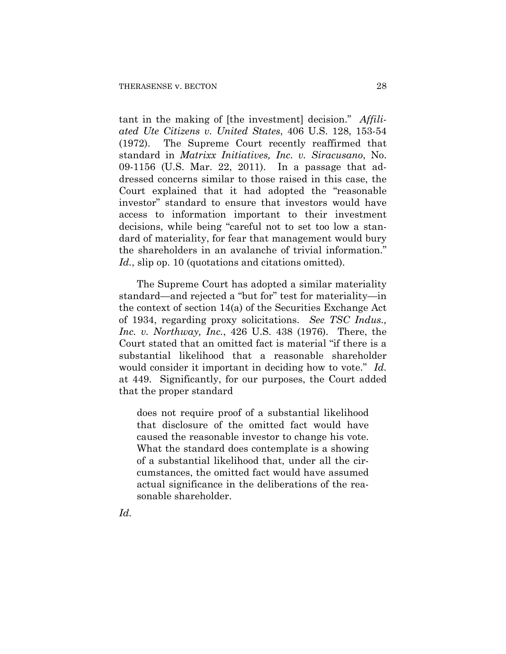tant in the making of [the investment] decision." *Affiliated Ute Citizens v. United States*, 406 U.S. 128, 153-54 (1972). The Supreme Court recently reaffirmed that standard in *Matrixx Initiatives, Inc. v. Siracusano*, No. 09-1156 (U.S. Mar. 22, 2011). In a passage that addressed concerns similar to those raised in this case, the Court explained that it had adopted the "reasonable investor" standard to ensure that investors would have access to information important to their investment decisions, while being "careful not to set too low a standard of materiality, for fear that management would bury the shareholders in an avalanche of trivial information." *Id.*, slip op. 10 (quotations and citations omitted).

The Supreme Court has adopted a similar materiality standard—and rejected a "but for" test for materiality—in the context of section 14(a) of the Securities Exchange Act of 1934, regarding proxy solicitations. *See TSC Indus., Inc. v. Northway, Inc.*, 426 U.S. 438 (1976). There, the Court stated that an omitted fact is material "if there is a substantial likelihood that a reasonable shareholder would consider it important in deciding how to vote." *Id.* at 449. Significantly, for our purposes, the Court added that the proper standard

does not require proof of a substantial likelihood that disclosure of the omitted fact would have caused the reasonable investor to change his vote. What the standard does contemplate is a showing of a substantial likelihood that, under all the circumstances, the omitted fact would have assumed actual significance in the deliberations of the reasonable shareholder.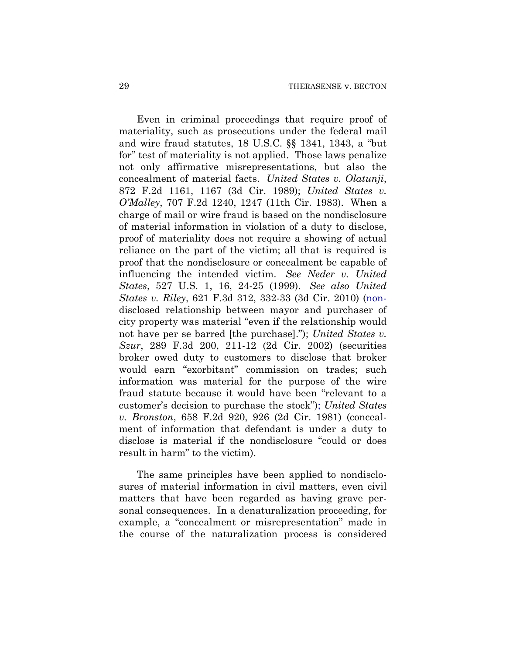Even in criminal proceedings that require proof of materiality, such as prosecutions under the federal mail and wire fraud statutes, 18 U.S.C. §§ 1341, 1343, a "but for" test of materiality is not applied. Those laws penalize not only affirmative misrepresentations, but also the concealment of material facts. *United States v. Olatunji*, 872 F.2d 1161, 1167 (3d Cir. 1989); *United States v. O'Malley*, 707 F.2d 1240, 1247 (11th Cir. 1983). When a charge of mail or wire fraud is based on the nondisclosure of material information in violation of a duty to disclose, proof of materiality does not require a showing of actual reliance on the part of the victim; all that is required is proof that the nondisclosure or concealment be capable of influencing the intended victim. *See Neder v. United States*, 527 U.S. 1, 16, 24-25 (1999). *See also United States v. Riley*, 621 F.3d 312, 332-33 (3d Cir. 2010) (nondisclosed relationship between mayor and purchaser of city property was material "even if the relationship would not have per se barred [the purchase]."); *United States v. Szur*, 289 F.3d 200, 211-12 (2d Cir. 2002) (securities broker owed duty to customers to disclose that broker would earn "exorbitant" commission on trades; such information was material for the purpose of the wire fraud statute because it would have been "relevant to a customer's decision to purchase the stock"); *United States v. Bronston*, 658 F.2d 920, 926 (2d Cir. 1981) (concealment of information that defendant is under a duty to disclose is material if the nondisclosure "could or does result in harm" to the victim).

The same principles have been applied to nondisclosures of material information in civil matters, even civil matters that have been regarded as having grave personal consequences. In a denaturalization proceeding, for example, a "concealment or misrepresentation" made in the course of the naturalization process is considered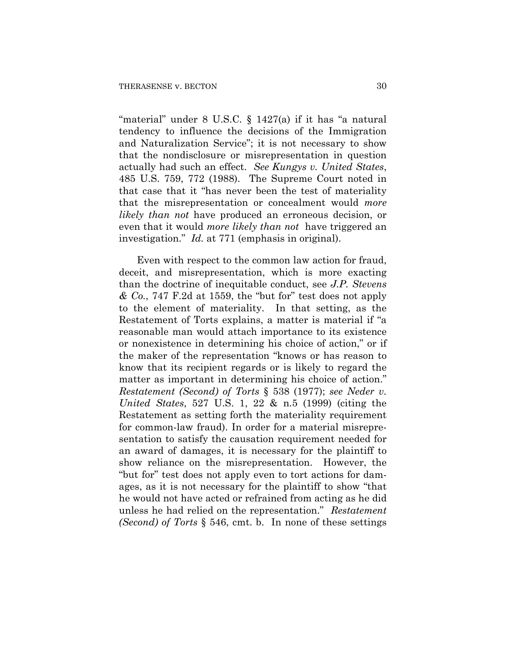"material" under 8 U.S.C. § 1427(a) if it has "a natural tendency to influence the decisions of the Immigration and Naturalization Service"; it is not necessary to show that the nondisclosure or misrepresentation in question actually had such an effect. *See Kungys v. United States*, 485 U.S. 759, 772 (1988). The Supreme Court noted in that case that it "has never been the test of materiality that the misrepresentation or concealment would *more likely than not* have produced an erroneous decision, or even that it would *more likely than not* have triggered an investigation." *Id.* at 771 (emphasis in original).

Even with respect to the common law action for fraud, deceit, and misrepresentation, which is more exacting than the doctrine of inequitable conduct, see *J.P. Stevens & Co.*, 747 F.2d at 1559, the "but for" test does not apply to the element of materiality. In that setting, as the Restatement of Torts explains, a matter is material if "a reasonable man would attach importance to its existence or nonexistence in determining his choice of action," or if the maker of the representation "knows or has reason to know that its recipient regards or is likely to regard the matter as important in determining his choice of action." *Restatement (Second) of Torts* § 538 (1977); *see Neder v. United States*, 527 U.S. 1, 22 & n.5 (1999) (citing the Restatement as setting forth the materiality requirement for common-law fraud). In order for a material misrepresentation to satisfy the causation requirement needed for an award of damages, it is necessary for the plaintiff to show reliance on the misrepresentation. However, the "but for" test does not apply even to tort actions for damages, as it is not necessary for the plaintiff to show "that he would not have acted or refrained from acting as he did unless he had relied on the representation." *Restatement (Second) of Torts* § 546, cmt. b. In none of these settings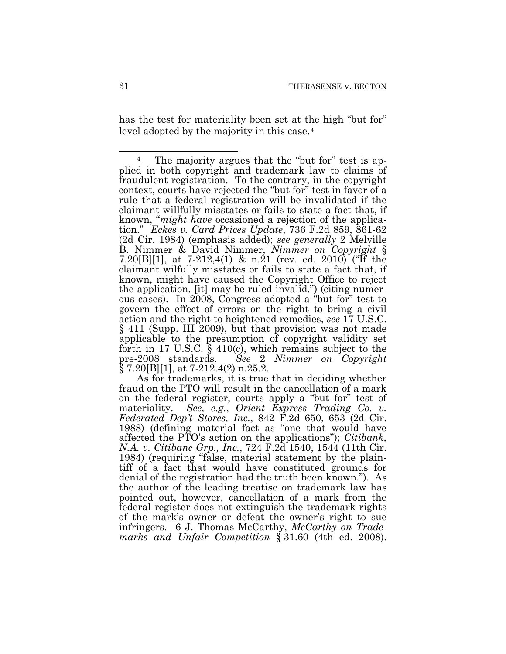has the test for materiality been set at the high "but for" level adopted by the majority in this case.[4](#page-80-0)

As for trademarks, it is true that in deciding whether fraud on the PTO will result in the cancellation of a mark on the federal register, courts apply a "but for" test of materiality. *See, e.g.*, *Orient Express Trading Co. v. Federated Dep't Stores, Inc.*, 842 F.2d 650, 653 (2d Cir. 1988) (defining material fact as "one that would have affected the PTO's action on the applications"); *Citibank, N.A. v. Citibanc Grp., Inc.*, 724 F.2d 1540, 1544 (11th Cir. 1984) (requiring "false, material statement by the plaintiff of a fact that would have constituted grounds for denial of the registration had the truth been known."). As the author of the leading treatise on trademark law has pointed out, however, cancellation of a mark from the federal register does not extinguish the trademark rights of the mark's owner or defeat the owner's right to sue infringers. 6 J. Thomas McCarthy, *McCarthy on Trademarks and Unfair Competition* § 31.60 (4th ed. 2008).

<span id="page-80-0"></span><sup>4</sup> The majority argues that the "but for" test is applied in both copyright and trademark law to claims of fraudulent registration. To the contrary, in the copyright context, courts have rejected the "but for" test in favor of a rule that a federal registration will be invalidated if the claimant willfully misstates or fails to state a fact that, if known, "*might have* occasioned a rejection of the application." *Eckes v. Card Prices Update*, 736 F.2d 859, 861-62 (2d Cir. 1984) (emphasis added); *see generally* 2 Melville B. Nimmer & David Nimmer, *Nimmer on Copyright* § 7.20[B][1], at 7-212,4(1) & n.21 (rev. ed. 2010) ("If the claimant wilfully misstates or fails to state a fact that, if known, might have caused the Copyright Office to reject the application, [it] may be ruled invalid.") (citing numerous cases). In 2008, Congress adopted a "but for" test to govern the effect of errors on the right to bring a civil action and the right to heightened remedies, *see* 17 U.S.C. § 411 (Supp. III 2009), but that provision was not made applicable to the presumption of copyright validity set forth in 17 U.S.C. § 410(c), which remains subject to the pre-2008 standards. See 2 Nimmer on Copyright See 2 *Nimmer on Copyright*  $\S$  7.20[B][1], at 7-212.4(2) n.25.2.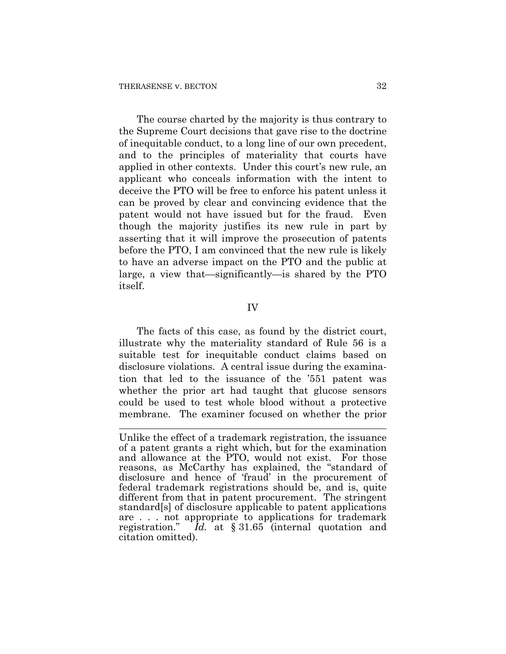$\overline{a}$ 

The course charted by the majority is thus contrary to the Supreme Court decisions that gave rise to the doctrine of inequitable conduct, to a long line of our own precedent, and to the principles of materiality that courts have applied in other contexts. Under this court's new rule, an applicant who conceals information with the intent to deceive the PTO will be free to enforce his patent unless it can be proved by clear and convincing evidence that the patent would not have issued but for the fraud. Even though the majority justifies its new rule in part by asserting that it will improve the prosecution of patents before the PTO, I am convinced that the new rule is likely to have an adverse impact on the PTO and the public at large, a view that—significantly—is shared by the PTO itself.

## IV

The facts of this case, as found by the district court, illustrate why the materiality standard of Rule 56 is a suitable test for inequitable conduct claims based on disclosure violations. A central issue during the examination that led to the issuance of the '551 patent was whether the prior art had taught that glucose sensors could be used to test whole blood without a protective membrane. The examiner focused on whether the prior

Unlike the effect of a trademark registration, the issuance of a patent grants a right which, but for the examination and allowance at the PTO, would not exist. For those reasons, as McCarthy has explained, the "standard of disclosure and hence of 'fraud' in the procurement of federal trademark registrations should be, and is, quite different from that in patent procurement. The stringent standard[s] of disclosure applicable to patent applications are . . . not appropriate to applications for trademark registration." *Id.* at § 31.65 (internal quotation and citation omitted).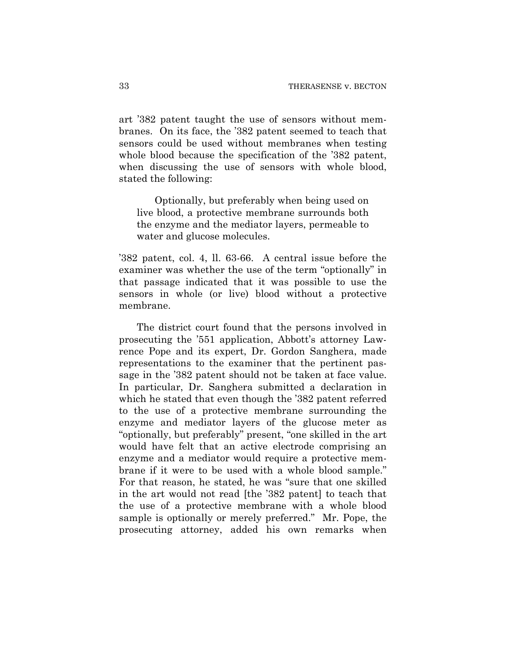art '382 patent taught the use of sensors without membranes. On its face, the '382 patent seemed to teach that sensors could be used without membranes when testing whole blood because the specification of the '382 patent, when discussing the use of sensors with whole blood, stated the following:

Optionally, but preferably when being used on live blood, a protective membrane surrounds both the enzyme and the mediator layers, permeable to water and glucose molecules.

'382 patent, col. 4, ll. 63-66. A central issue before the examiner was whether the use of the term "optionally" in that passage indicated that it was possible to use the sensors in whole (or live) blood without a protective membrane.

The district court found that the persons involved in prosecuting the '551 application, Abbott's attorney Lawrence Pope and its expert, Dr. Gordon Sanghera, made representations to the examiner that the pertinent passage in the '382 patent should not be taken at face value. In particular, Dr. Sanghera submitted a declaration in which he stated that even though the '382 patent referred to the use of a protective membrane surrounding the enzyme and mediator layers of the glucose meter as "optionally, but preferably" present, "one skilled in the art would have felt that an active electrode comprising an enzyme and a mediator would require a protective membrane if it were to be used with a whole blood sample." For that reason, he stated, he was "sure that one skilled in the art would not read [the '382 patent] to teach that the use of a protective membrane with a whole blood sample is optionally or merely preferred." Mr. Pope, the prosecuting attorney, added his own remarks when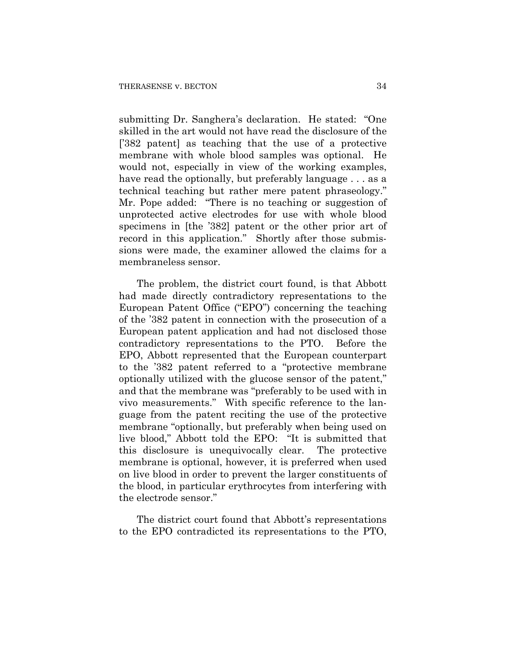submitting Dr. Sanghera's declaration. He stated: "One skilled in the art would not have read the disclosure of the ['382 patent] as teaching that the use of a protective membrane with whole blood samples was optional. He would not, especially in view of the working examples, have read the optionally, but preferably language . . . as a technical teaching but rather mere patent phraseology." Mr. Pope added: "There is no teaching or suggestion of unprotected active electrodes for use with whole blood specimens in [the '382] patent or the other prior art of record in this application." Shortly after those submissions were made, the examiner allowed the claims for a membraneless sensor.

The problem, the district court found, is that Abbott had made directly contradictory representations to the European Patent Office ("EPO") concerning the teaching of the '382 patent in connection with the prosecution of a European patent application and had not disclosed those contradictory representations to the PTO. Before the EPO, Abbott represented that the European counterpart to the '382 patent referred to a "protective membrane optionally utilized with the glucose sensor of the patent," and that the membrane was "preferably to be used with in vivo measurements." With specific reference to the language from the patent reciting the use of the protective membrane "optionally, but preferably when being used on live blood," Abbott told the EPO: "It is submitted that this disclosure is unequivocally clear. The protective membrane is optional, however, it is preferred when used on live blood in order to prevent the larger constituents of the blood, in particular erythrocytes from interfering with the electrode sensor."

The district court found that Abbott's representations to the EPO contradicted its representations to the PTO,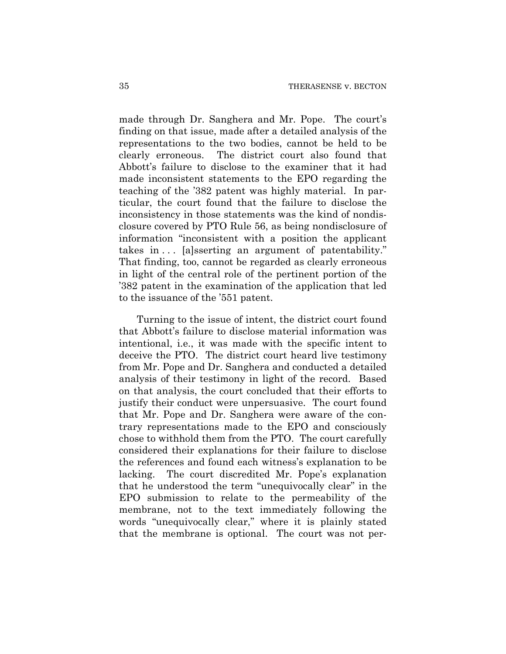made through Dr. Sanghera and Mr. Pope. The court's finding on that issue, made after a detailed analysis of the representations to the two bodies, cannot be held to be clearly erroneous. The district court also found that Abbott's failure to disclose to the examiner that it had made inconsistent statements to the EPO regarding the teaching of the '382 patent was highly material. In particular, the court found that the failure to disclose the inconsistency in those statements was the kind of nondisclosure covered by PTO Rule 56, as being nondisclosure of information "inconsistent with a position the applicant takes in  $\ldots$  [a]sserting an argument of patentability." That finding, too, cannot be regarded as clearly erroneous in light of the central role of the pertinent portion of the '382 patent in the examination of the application that led to the issuance of the '551 patent.

Turning to the issue of intent, the district court found that Abbott's failure to disclose material information was intentional, i.e., it was made with the specific intent to deceive the PTO. The district court heard live testimony from Mr. Pope and Dr. Sanghera and conducted a detailed analysis of their testimony in light of the record. Based on that analysis, the court concluded that their efforts to justify their conduct were unpersuasive. The court found that Mr. Pope and Dr. Sanghera were aware of the contrary representations made to the EPO and consciously chose to withhold them from the PTO. The court carefully considered their explanations for their failure to disclose the references and found each witness's explanation to be lacking. The court discredited Mr. Pope's explanation that he understood the term "unequivocally clear" in the EPO submission to relate to the permeability of the membrane, not to the text immediately following the words "unequivocally clear," where it is plainly stated that the membrane is optional. The court was not per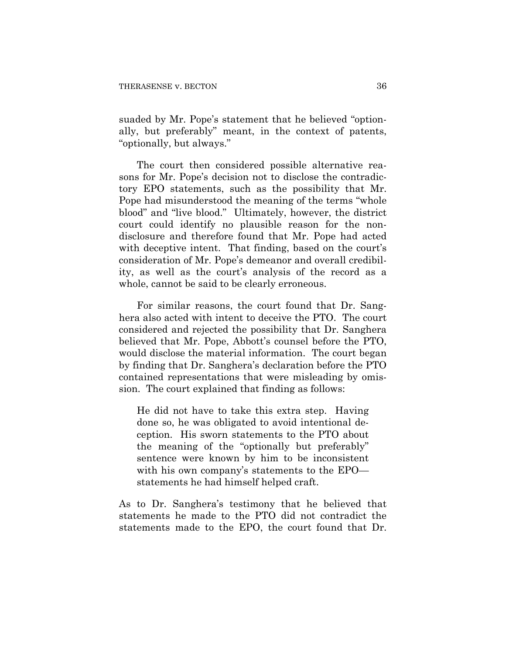suaded by Mr. Pope's statement that he believed "optionally, but preferably" meant, in the context of patents, "optionally, but always."

The court then considered possible alternative reasons for Mr. Pope's decision not to disclose the contradictory EPO statements, such as the possibility that Mr. Pope had misunderstood the meaning of the terms "whole blood" and "live blood." Ultimately, however, the district court could identify no plausible reason for the nondisclosure and therefore found that Mr. Pope had acted with deceptive intent. That finding, based on the court's consideration of Mr. Pope's demeanor and overall credibility, as well as the court's analysis of the record as a whole, cannot be said to be clearly erroneous.

For similar reasons, the court found that Dr. Sanghera also acted with intent to deceive the PTO. The court considered and rejected the possibility that Dr. Sanghera believed that Mr. Pope, Abbott's counsel before the PTO, would disclose the material information. The court began by finding that Dr. Sanghera's declaration before the PTO contained representations that were misleading by omission. The court explained that finding as follows:

He did not have to take this extra step. Having done so, he was obligated to avoid intentional deception. His sworn statements to the PTO about the meaning of the "optionally but preferably" sentence were known by him to be inconsistent with his own company's statements to the EPO statements he had himself helped craft.

As to Dr. Sanghera's testimony that he believed that statements he made to the PTO did not contradict the statements made to the EPO, the court found that Dr.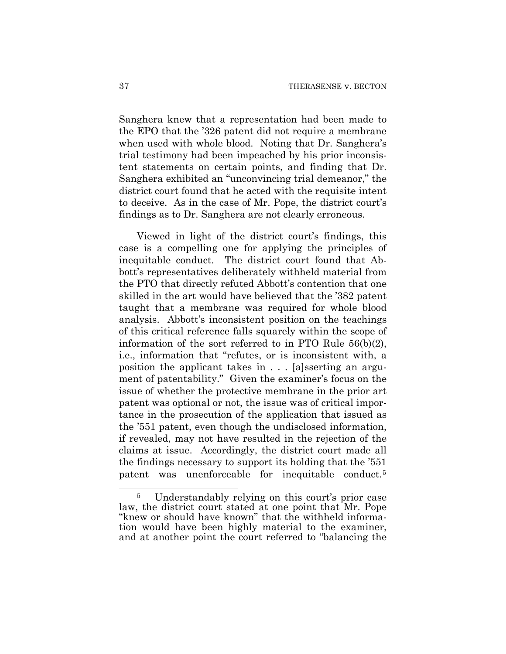Sanghera knew that a representation had been made to the EPO that the '326 patent did not require a membrane when used with whole blood. Noting that Dr. Sanghera's trial testimony had been impeached by his prior inconsistent statements on certain points, and finding that Dr. Sanghera exhibited an "unconvincing trial demeanor," the district court found that he acted with the requisite intent to deceive. As in the case of Mr. Pope, the district court's findings as to Dr. Sanghera are not clearly erroneous.

Viewed in light of the district court's findings, this case is a compelling one for applying the principles of inequitable conduct. The district court found that Abbott's representatives deliberately withheld material from the PTO that directly refuted Abbott's contention that one skilled in the art would have believed that the '382 patent taught that a membrane was required for whole blood analysis. Abbott's inconsistent position on the teachings of this critical reference falls squarely within the scope of information of the sort referred to in PTO Rule 56(b)(2), i.e., information that "refutes, or is inconsistent with, a position the applicant takes in . . . [a]sserting an argument of patentability." Given the examiner's focus on the issue of whether the protective membrane in the prior art patent was optional or not, the issue was of critical importance in the prosecution of the application that issued as the '551 patent, even though the undisclosed information, if revealed, may not have resulted in the rejection of the claims at issue. Accordingly, the district court made all the findings necessary to support its holding that the '551 patent was unenforceable for inequitable conduct.[5](#page-86-0)

<span id="page-86-0"></span><sup>5</sup> Understandably relying on this court's prior case law, the district court stated at one point that Mr. Pope "knew or should have known" that the withheld information would have been highly material to the examiner, and at another point the court referred to "balancing the